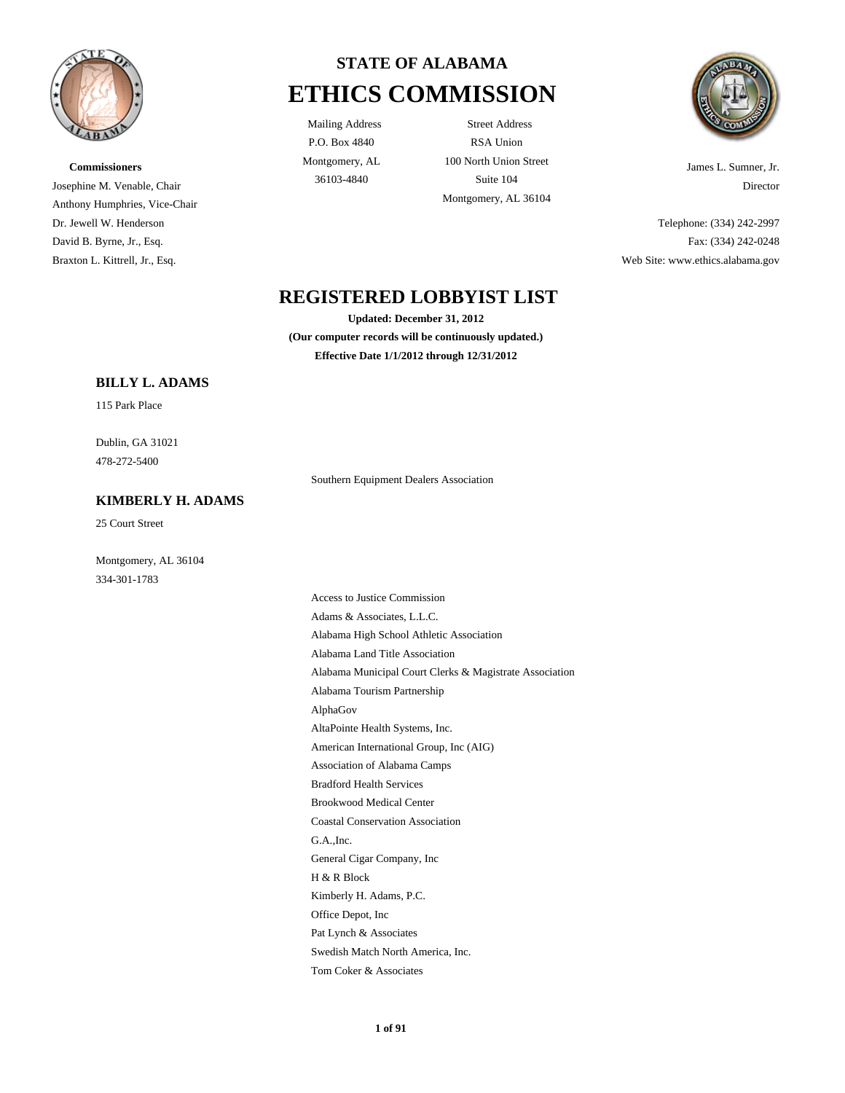

# **Commissioners** Josephine M. Venable, Chair Anthony Humphries, Vice-Chair Dr. Jewell W. Henderson David B. Byrne, Jr., Esq. Braxton L. Kittrell, Jr., Esq.



P.O. Box 4840 Montgomery, AL

Mailing Address Street Address RSA Union 100 North Union Street 36103-4840 Suite 104 Montgomery, AL 36104



James L. Sumner, Jr. Director

Telephone: (334) 242-2997 Fax: (334) 242-0248 Web Site: www.ethics.alabama.gov

# **REGISTERED LOBBYIST LIST**

**Updated: December 31, 2012 (Our computer records will be continuously updated.) Effective Date 1/1/2012 through 12/31/2012**

# **BILLY L. ADAMS**

115 Park Place

478-272-5400 Dublin, GA 31021

# **KIMBERLY H. ADAMS**

25 Court Street

334-301-1783 Montgomery, AL 36104 Southern Equipment Dealers Association

Office Depot, Inc Kimberly H. Adams, P.C. Pat Lynch & Associates Tom Coker & Associates Swedish Match North America, Inc. H & R Block Alabama Municipal Court Clerks & Magistrate Association Alabama Tourism Partnership AlphaGov Alabama Land Title Association Access to Justice Commission Adams & Associates, L.L.C. Alabama High School Athletic Association AltaPointe Health Systems, Inc. Coastal Conservation Association G.A.,Inc. General Cigar Company, Inc Brookwood Medical Center American International Group, Inc (AIG) Association of Alabama Camps Bradford Health Services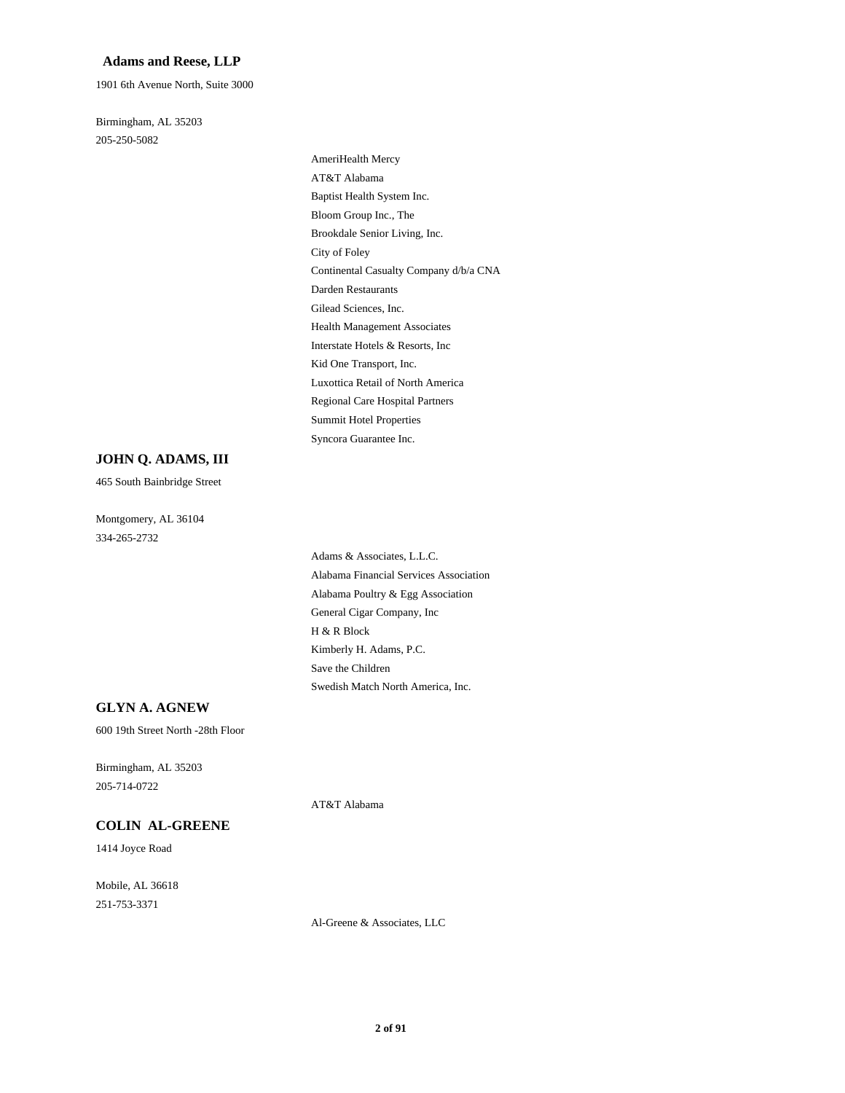#### **Adams and Reese, LLP**

1901 6th Avenue North, Suite 3000

205-250-5082 Birmingham, AL 35203

> City of Foley Brookdale Senior Living, Inc. Darden Restaurants Continental Casualty Company d/b/a CNA AT&T Alabama AmeriHealth Mercy Bloom Group Inc., The Baptist Health System Inc. Regional Care Hospital Partners Luxottica Retail of North America Syncora Guarantee Inc. Summit Hotel Properties Health Management Associates Gilead Sciences, Inc. Kid One Transport, Inc. Interstate Hotels & Resorts, Inc

### **JOHN Q. ADAMS, III**

465 South Bainbridge Street

334-265-2732 Montgomery, AL 36104

> Alabama Poultry & Egg Association General Cigar Company, Inc Adams & Associates, L.L.C. Alabama Financial Services Association Save the Children Swedish Match North America, Inc. H & R Block Kimberly H. Adams, P.C.

#### **GLYN A. AGNEW**

600 19th Street North -28th Floor

205-714-0722 Birmingham, AL 35203

# **COLIN AL-GREENE**

1414 Joyce Road

251-753-3371 Mobile, AL 36618 AT&T Alabama

Al-Greene & Associates, LLC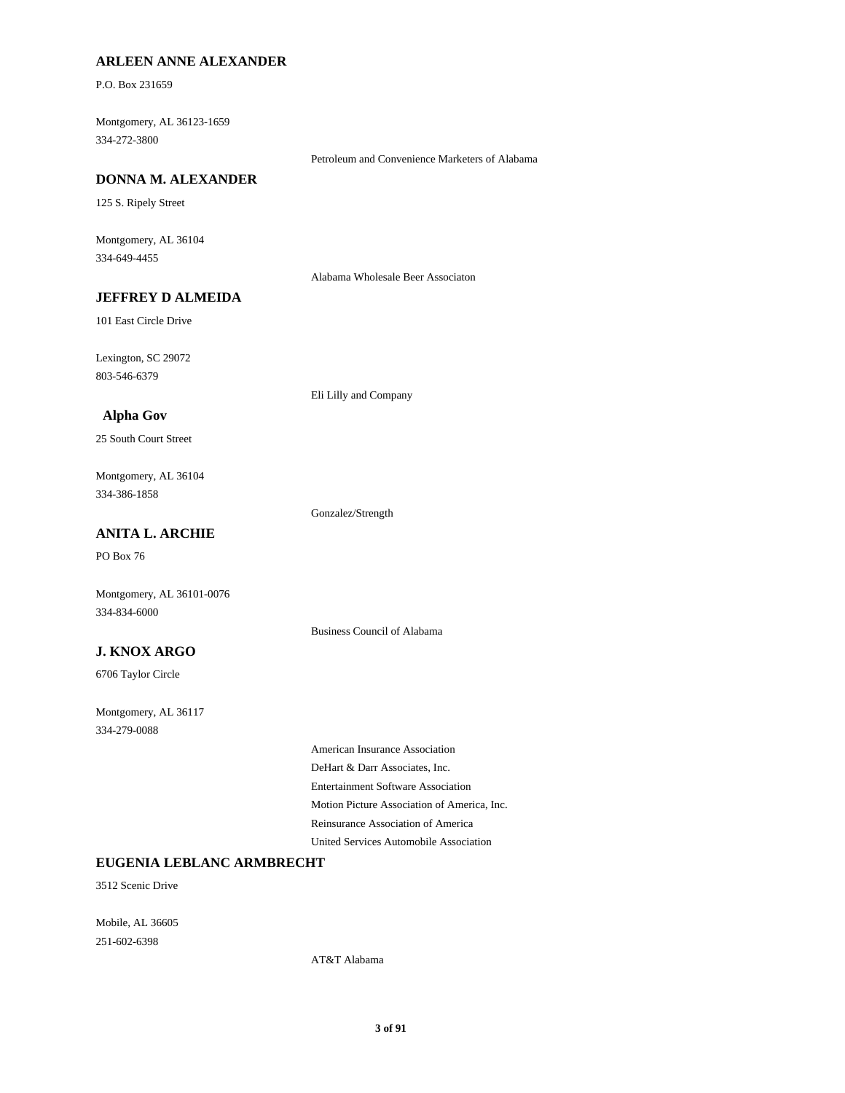# **ARLEEN ANNE ALEXANDER**

P.O. Box 231659

334-272-3800 Montgomery, AL 36123-1659

Petroleum and Convenience Marketers of Alabama

# **DONNA M. ALEXANDER**

125 S. Ripely Street

334-649-4455 Montgomery, AL 36104

Alabama Wholesale Beer Associaton

# **JEFFREY D ALMEIDA**

101 East Circle Drive

803-546-6379 Lexington, SC 29072

Eli Lilly and Company

### **Alpha Gov**

25 South Court Street

334-386-1858 Montgomery, AL 36104

Gonzalez/Strength

Business Council of Alabama

# **ANITA L. ARCHIE**

PO Box 76

Montgomery, AL 36101-0076 334-834-6000

# **J. KNOX ARGO**

6706 Taylor Circle

334-279-0088 Montgomery, AL 36117

> Entertainment Software Association DeHart & Darr Associates, Inc. American Insurance Association United Services Automobile Association Reinsurance Association of America Motion Picture Association of America, Inc.

# **EUGENIA LEBLANC ARMBRECHT**

3512 Scenic Drive

251-602-6398 Mobile, AL 36605

AT&T Alabama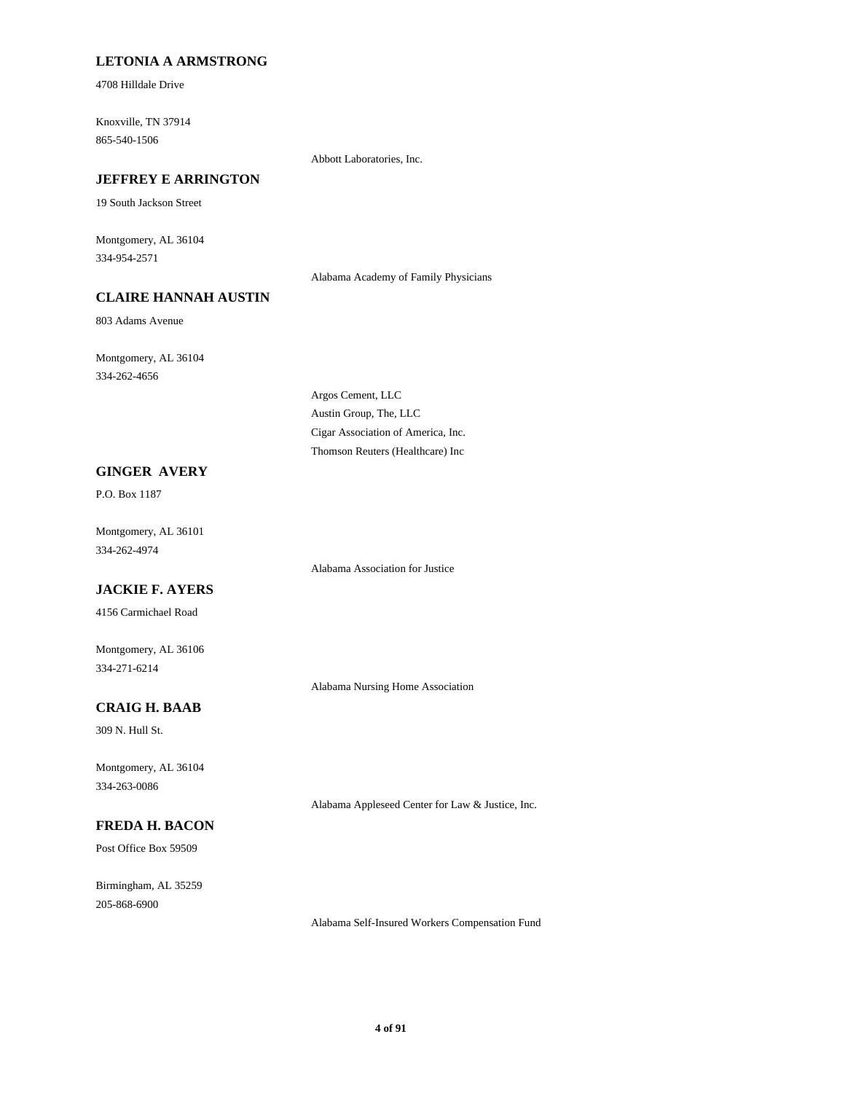# **LETONIA A ARMSTRONG**

4708 Hilldale Drive

865-540-1506 Knoxville, TN 37914

Abbott Laboratories, Inc.

# **JEFFREY E ARRINGTON**

19 South Jackson Street

334-954-2571 Montgomery, AL 36104

Alabama Academy of Family Physicians

# **CLAIRE HANNAH AUSTIN**

803 Adams Avenue

334-262-4656 Montgomery, AL 36104

> Austin Group, The, LLC Argos Cement, LLC Thomson Reuters (Healthcare) Inc Cigar Association of America, Inc.

# **GINGER AVERY**

P.O. Box 1187

334-262-4974 Montgomery, AL 36101

# **JACKIE F. AYERS**

4156 Carmichael Road

334-271-6214 Montgomery, AL 36106

Alabama Nursing Home Association

Alabama Association for Justice

# **CRAIG H. BAAB**

309 N. Hull St.

334-263-0086 Montgomery, AL 36104

# **FREDA H. BACON**

Post Office Box 59509

205-868-6900 Birmingham, AL 35259

Alabama Self-Insured Workers Compensation Fund

Alabama Appleseed Center for Law & Justice, Inc.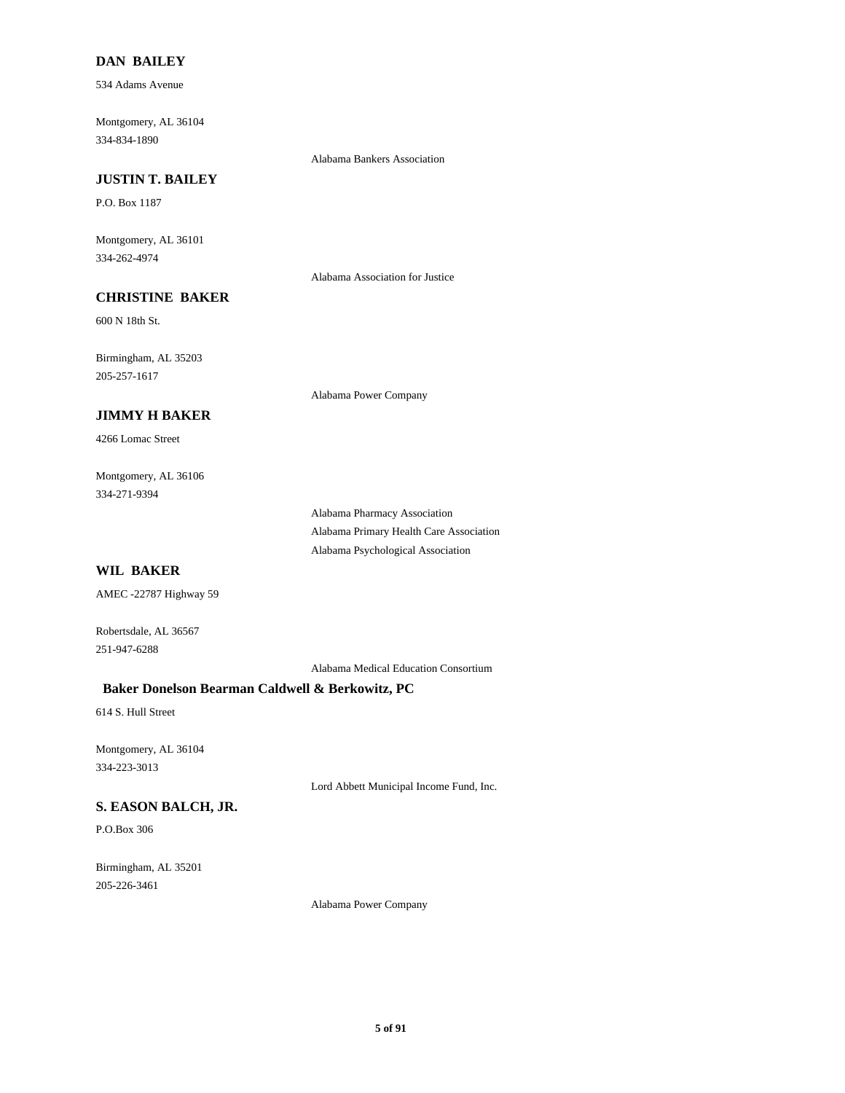### **DAN BAILEY**

534 Adams Avenue

334-834-1890 Montgomery, AL 36104

Alabama Bankers Association

# **JUSTIN T. BAILEY**

P.O. Box 1187

334-262-4974 Montgomery, AL 36101

Alabama Association for Justice

Alabama Power Company

# **CHRISTINE BAKER**

600 N 18th St.

205-257-1617 Birmingham, AL 35203

# **JIMMY H BAKER**

4266 Lomac Street

334-271-9394 Montgomery, AL 36106

> Alabama Pharmacy Association Alabama Primary Health Care Association Alabama Psychological Association

# **WIL BAKER**

AMEC -22787 Highway 59

Robertsdale, AL 36567 251-947-6288

Alabama Medical Education Consortium

# **Baker Donelson Bearman Caldwell & Berkowitz, PC**

614 S. Hull Street

334-223-3013 Montgomery, AL 36104

Lord Abbett Municipal Income Fund, Inc.

# **S. EASON BALCH, JR.**

P.O.Box 306

205-226-3461 Birmingham, AL 35201

Alabama Power Company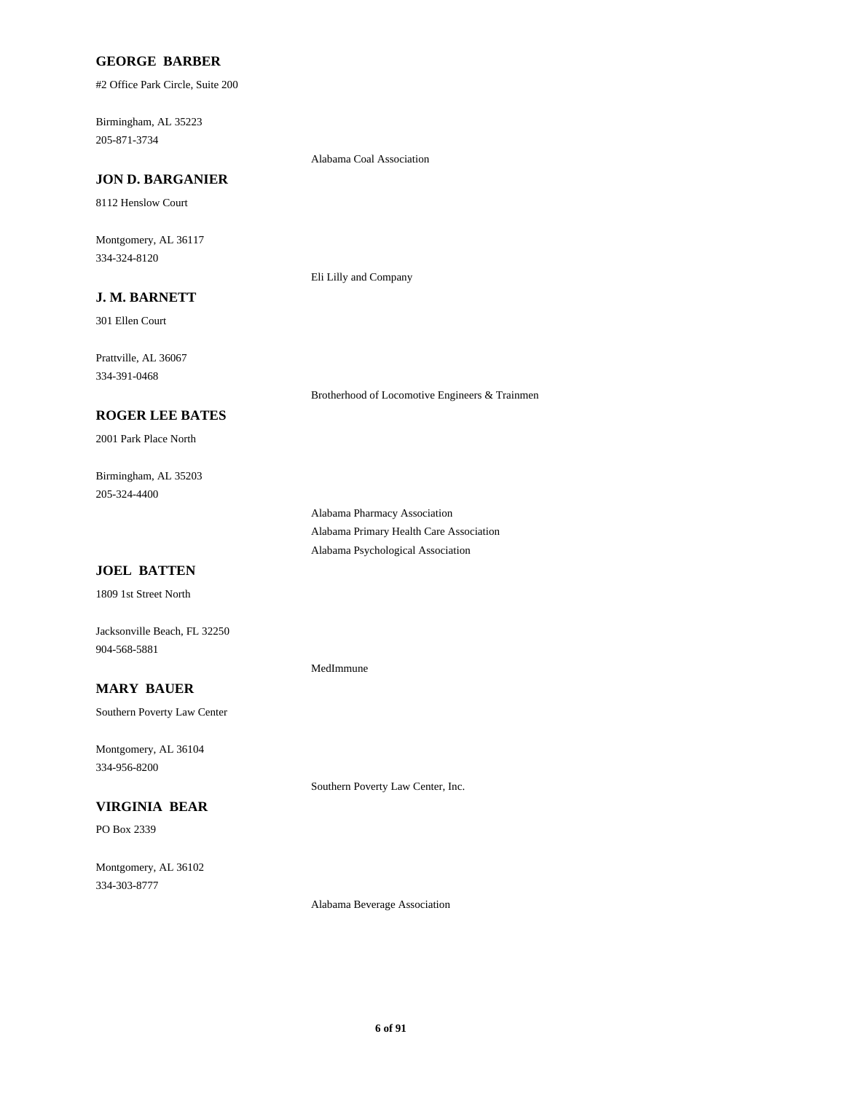### **GEORGE BARBER**

#2 Office Park Circle, Suite 200

205-871-3734 Birmingham, AL 35223

#### Alabama Coal Association

# **JON D. BARGANIER**

8112 Henslow Court

334-324-8120 Montgomery, AL 36117

Eli Lilly and Company

# **J. M. BARNETT**

301 Ellen Court

334-391-0468 Prattville, AL 36067

#### **ROGER LEE BATES**

2001 Park Place North

205-324-4400 Birmingham, AL 35203

> Alabama Pharmacy Association Alabama Primary Health Care Association Alabama Psychological Association

Brotherhood of Locomotive Engineers & Trainmen

# **JOEL BATTEN**

1809 1st Street North

Jacksonville Beach, FL 32250 904-568-5881

# **MARY BAUER**

Southern Poverty Law Center

334-956-8200 Montgomery, AL 36104

# **VIRGINIA BEAR**

PO Box 2339

334-303-8777 Montgomery, AL 36102

MedImmune

Southern Poverty Law Center, Inc.

Alabama Beverage Association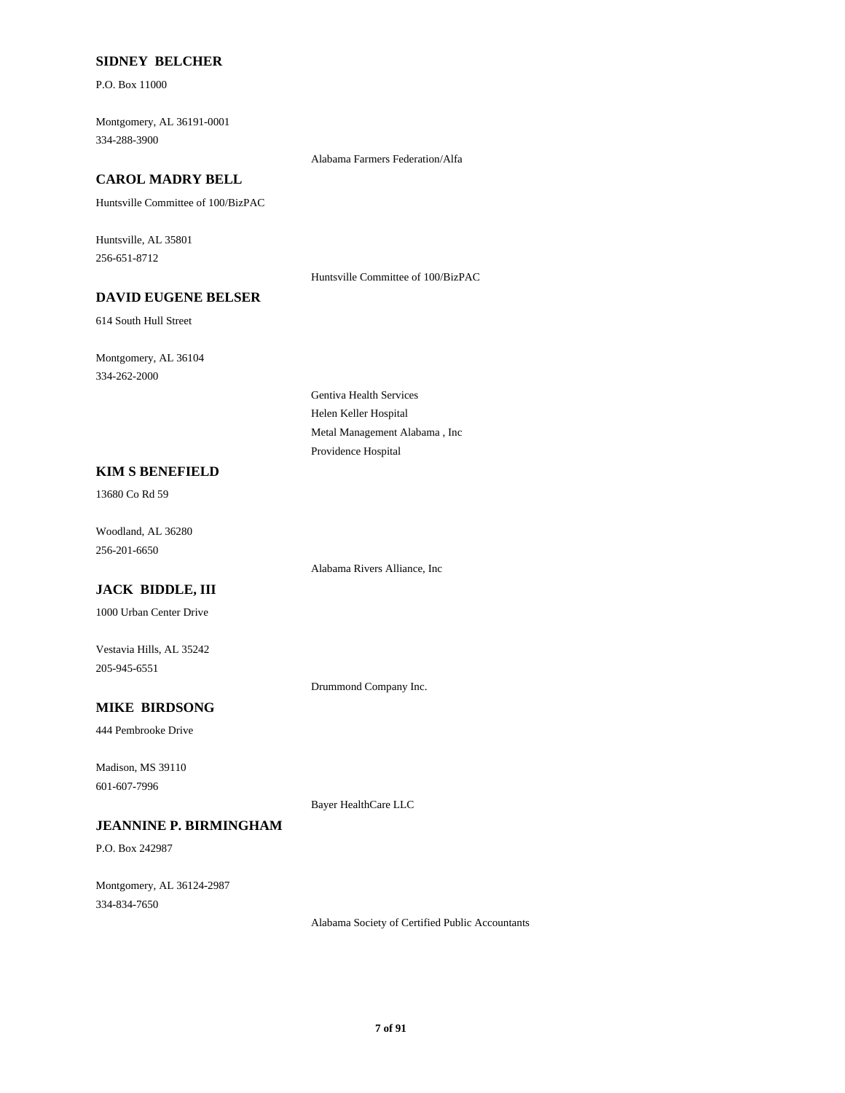### **SIDNEY BELCHER**

P.O. Box 11000

334-288-3900 Montgomery, AL 36191-0001

# **CAROL MADRY BELL**

Huntsville Committee of 100/BizPAC

256-651-8712 Huntsville, AL 35801

# **DAVID EUGENE BELSER**

614 South Hull Street

334-262-2000 Montgomery, AL 36104

> Helen Keller Hospital Providence Hospital Metal Management Alabama , Inc

Gentiva Health Services

#### **KIM S BENEFIELD**

13680 Co Rd 59

256-201-6650 Woodland, AL 36280

# **JACK BIDDLE, III**

1000 Urban Center Drive

205-945-6551 Vestavia Hills, AL 35242

Drummond Company Inc.

Alabama Rivers Alliance, Inc

# **MIKE BIRDSONG**

444 Pembrooke Drive

601-607-7996 Madison, MS 39110

Bayer HealthCare LLC

# **JEANNINE P. BIRMINGHAM**

P.O. Box 242987

334-834-7650 Montgomery, AL 36124-2987

Alabama Society of Certified Public Accountants

Alabama Farmers Federation/Alfa

# Huntsville Committee of 100/BizPAC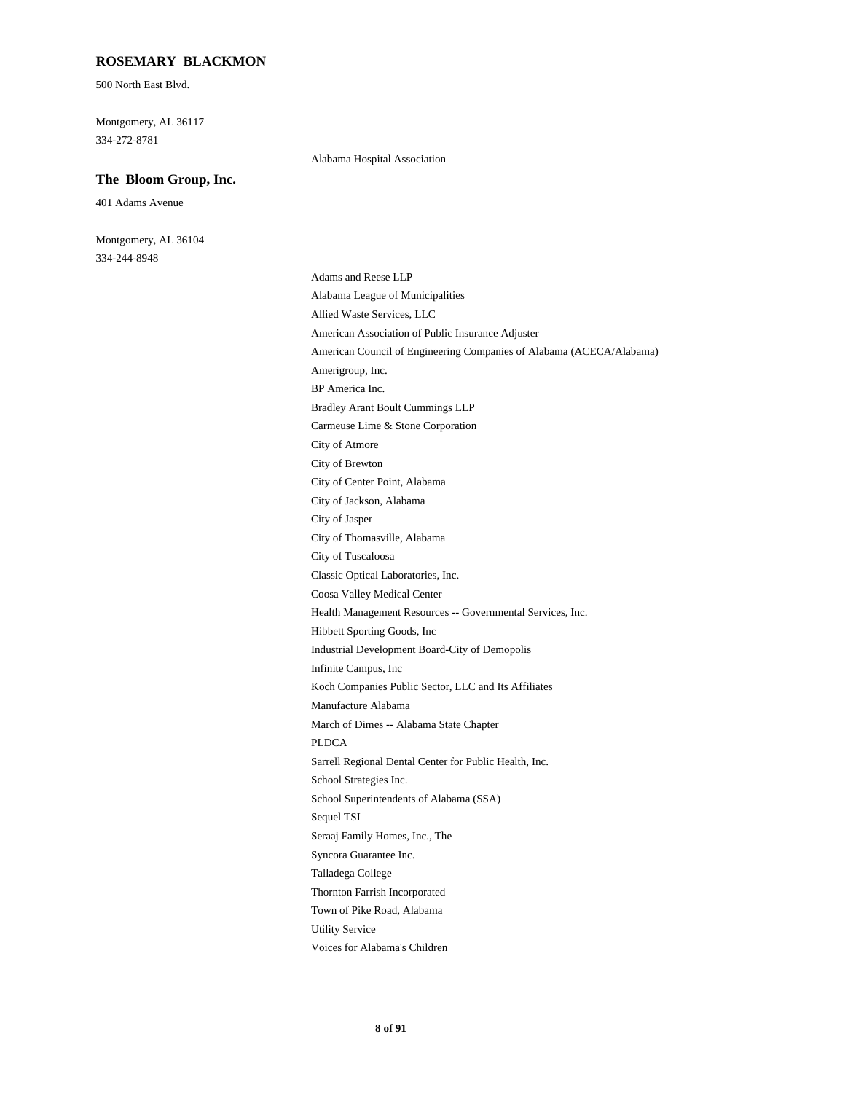#### **ROSEMARY BLACKMON**

500 North East Blvd.

334-272-8781 Montgomery, AL 36117

#### **The Bloom Group, Inc.**

401 Adams Avenue

334-244-8948 Montgomery, AL 36104 Alabama Hospital Association

Koch Companies Public Sector, LLC and Its Affiliates Infinite Campus, Inc Manufacture Alabama PLDCA March of Dimes -- Alabama State Chapter Coosa Valley Medical Center Classic Optical Laboratories, Inc. Health Management Resources -- Governmental Services, Inc. Industrial Development Board-City of Demopolis Hibbett Sporting Goods, Inc Sarrell Regional Dental Center for Public Health, Inc. Thornton Farrish Incorporated Talladega College Town of Pike Road, Alabama Voices for Alabama's Children Utility Service School Superintendents of Alabama (SSA) School Strategies Inc. Sequel TSI Syncora Guarantee Inc. Seraaj Family Homes, Inc., The Amerigroup, Inc. American Council of Engineering Companies of Alabama (ACECA/Alabama) Bradley Arant Boult Cummings LLP BP America Inc. Alabama League of Municipalities Adams and Reese LLP American Association of Public Insurance Adjuster Allied Waste Services, LLC City of Jasper City of Jackson, Alabama City of Tuscaloosa City of Thomasville, Alabama City of Atmore Carmeuse Lime & Stone Corporation City of Center Point, Alabama City of Brewton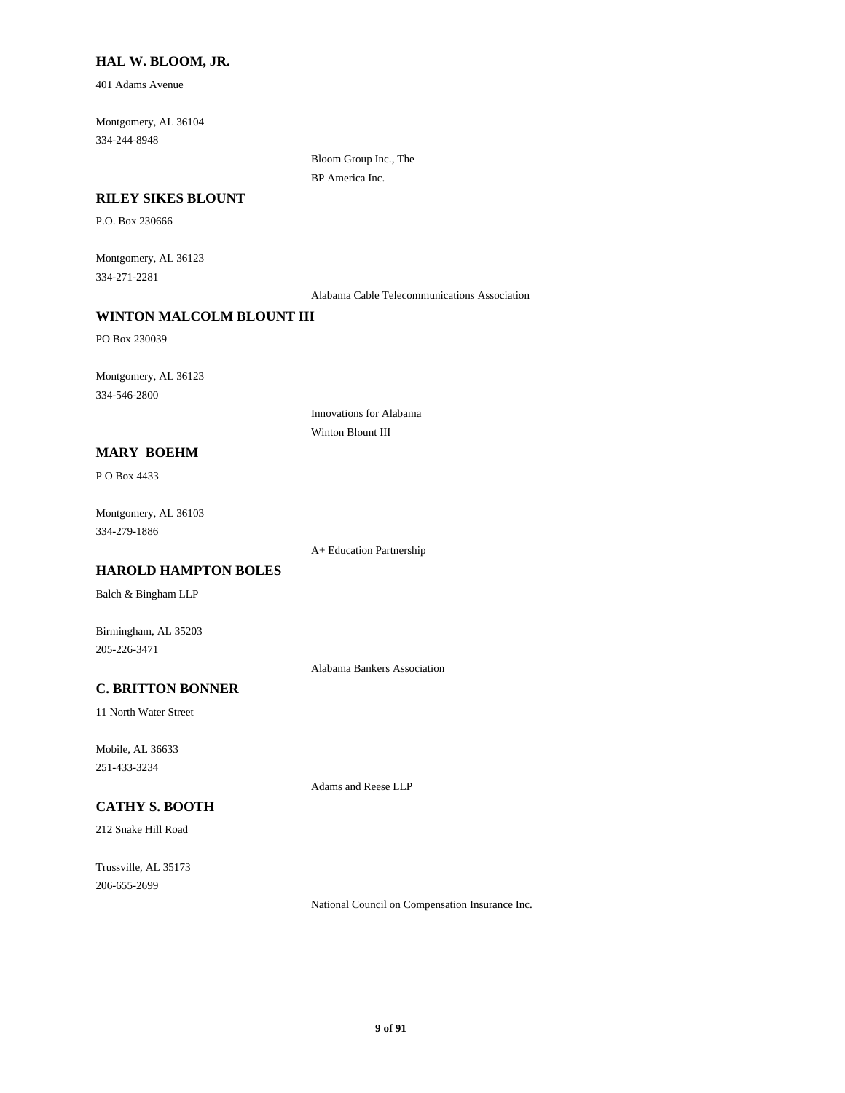### **HAL W. BLOOM, JR.**

401 Adams Avenue

334-244-8948 Montgomery, AL 36104

> Bloom Group Inc., The BP America Inc.

#### **RILEY SIKES BLOUNT**

P.O. Box 230666

334-271-2281 Montgomery, AL 36123

Alabama Cable Telecommunications Association

# **WINTON MALCOLM BLOUNT III**

PO Box 230039

334-546-2800 Montgomery, AL 36123

> Innovations for Alabama Winton Blount III

### **MARY BOEHM**

P O Box 4433

334-279-1886 Montgomery, AL 36103

A+ Education Partnership

# **HAROLD HAMPTON BOLES**

Balch & Bingham LLP

Birmingham, AL 35203 205-226-3471

Alabama Bankers Association

# **C. BRITTON BONNER**

11 North Water Street

251-433-3234 Mobile, AL 36633

Adams and Reese LLP

# **CATHY S. BOOTH**

212 Snake Hill Road

206-655-2699 Trussville, AL 35173

National Council on Compensation Insurance Inc.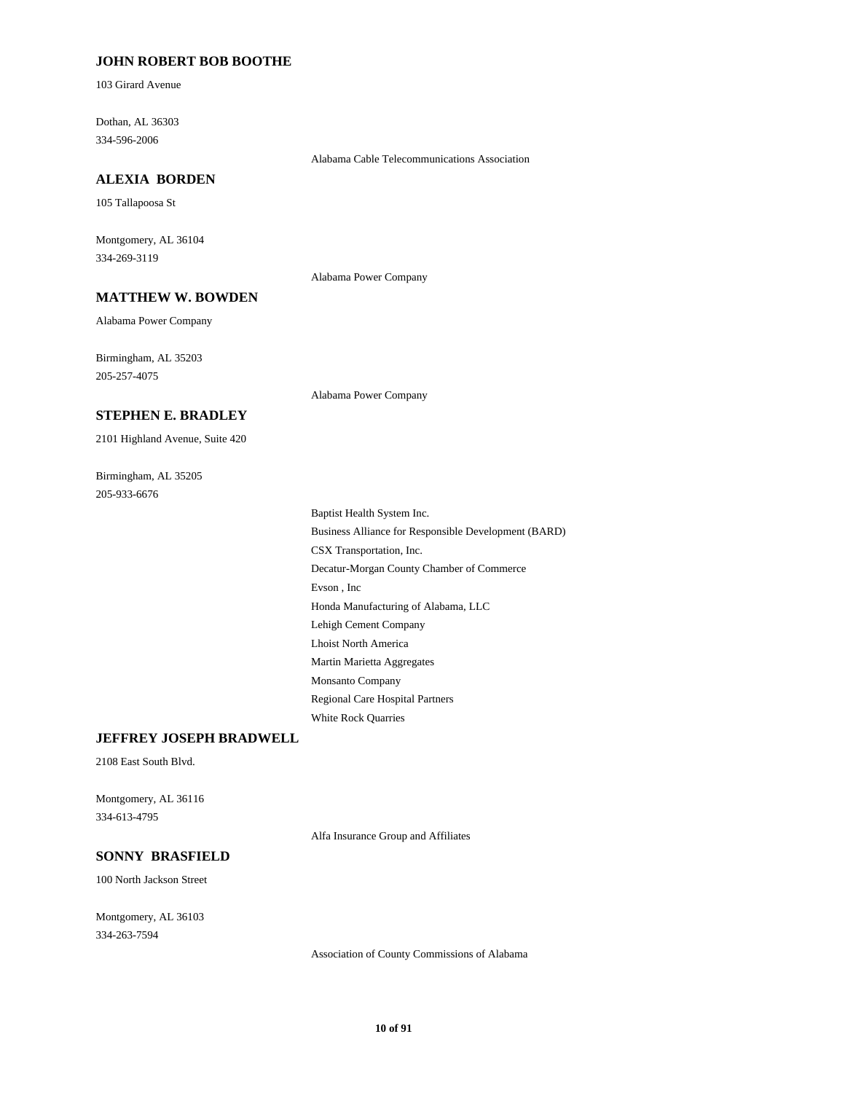### **JOHN ROBERT BOB BOOTHE**

103 Girard Avenue

334-596-2006 Dothan, AL 36303

#### Alabama Cable Telecommunications Association

105 Tallapoosa St

334-269-3119 Montgomery, AL 36104

**ALEXIA BORDEN**

Alabama Power Company

# **MATTHEW W. BOWDEN**

Alabama Power Company

205-257-4075 Birmingham, AL 35203

Alabama Power Company

#### **STEPHEN E. BRADLEY**

2101 Highland Avenue, Suite 420

205-933-6676 Birmingham, AL 35205

> Lehigh Cement Company Lhoist North America Evson , Inc Honda Manufacturing of Alabama, LLC Regional Care Hospital Partners White Rock Quarries Martin Marietta Aggregates Monsanto Company Decatur-Morgan County Chamber of Commerce Baptist Health System Inc. Business Alliance for Responsible Development (BARD) CSX Transportation, Inc.

#### **JEFFREY JOSEPH BRADWELL**

2108 East South Blvd.

334-613-4795 Montgomery, AL 36116

Alfa Insurance Group and Affiliates

# **SONNY BRASFIELD**

100 North Jackson Street

334-263-7594 Montgomery, AL 36103

Association of County Commissions of Alabama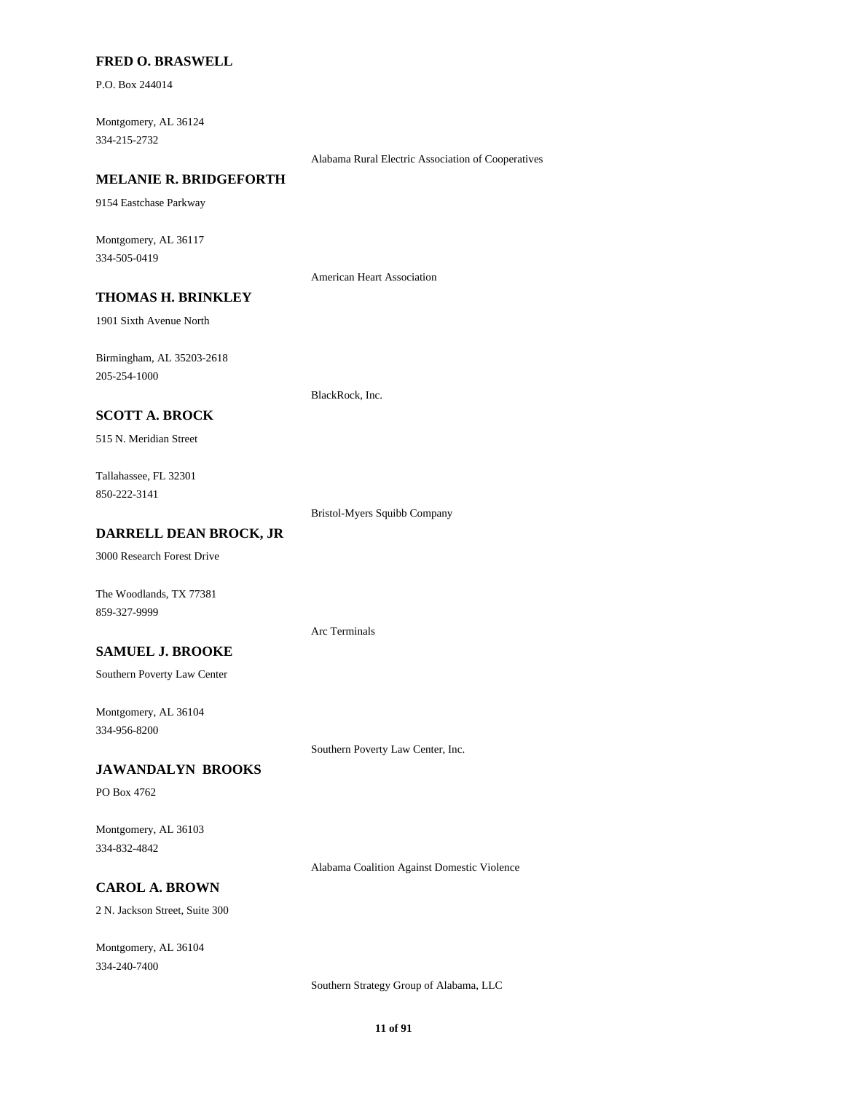#### **FRED O. BRASWELL**

P.O. Box 244014

334-215-2732 Montgomery, AL 36124

Alabama Rural Electric Association of Cooperatives

# **MELANIE R. BRIDGEFORTH**

9154 Eastchase Parkway

334-505-0419 Montgomery, AL 36117

American Heart Association

# **THOMAS H. BRINKLEY**

1901 Sixth Avenue North

205-254-1000 Birmingham, AL 35203-2618

BlackRock, Inc.

# **SCOTT A. BROCK**

515 N. Meridian Street

850-222-3141 Tallahassee, FL 32301

Bristol-Myers Squibb Company

### **DARRELL DEAN BROCK, JR**

3000 Research Forest Drive

The Woodlands, TX 77381 859-327-9999

Arc Terminals

**SAMUEL J. BROOKE**

Southern Poverty Law Center

334-956-8200 Montgomery, AL 36104

Southern Poverty Law Center, Inc.

### **JAWANDALYN BROOKS**

PO Box 4762

334-832-4842 Montgomery, AL 36103

Alabama Coalition Against Domestic Violence

# **CAROL A. BROWN**

2 N. Jackson Street, Suite 300

334-240-7400 Montgomery, AL 36104

Southern Strategy Group of Alabama, LLC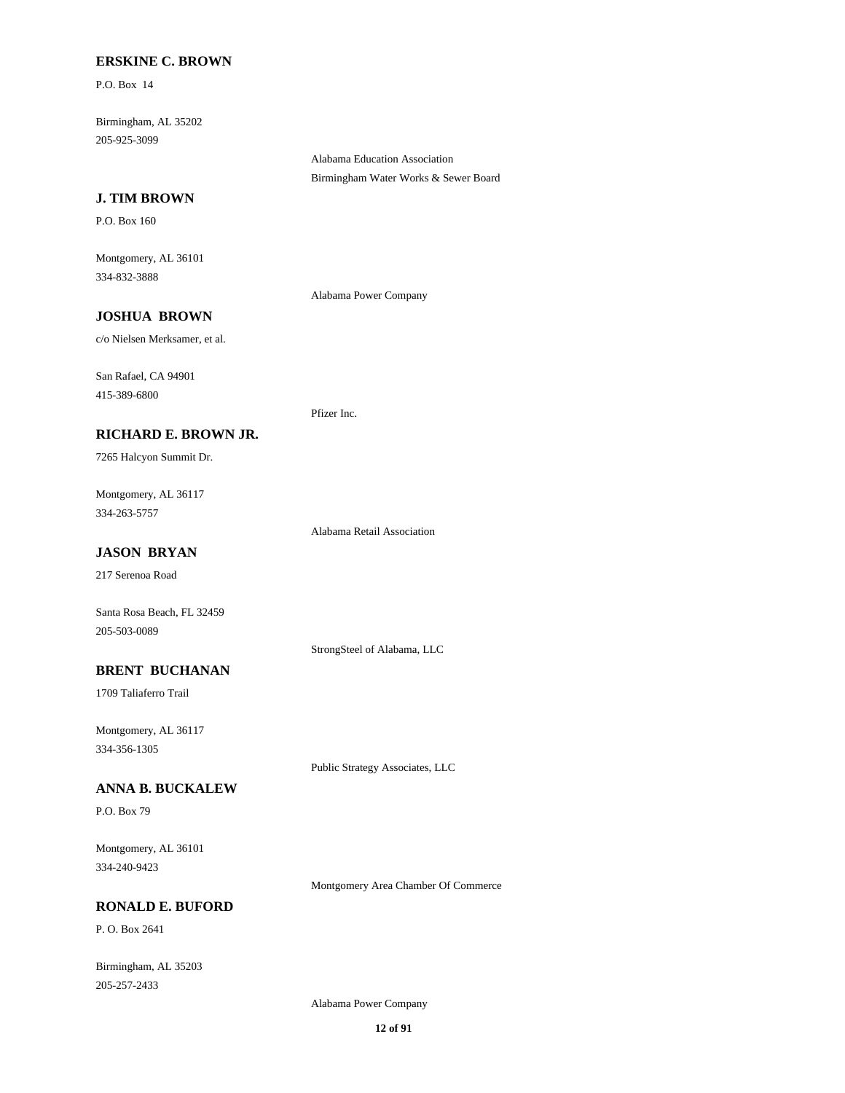### **ERSKINE C. BROWN**

P.O. Box 14

205-925-3099 Birmingham, AL 35202

> Alabama Education Association Birmingham Water Works & Sewer Board

### **J. TIM BROWN**

P.O. Box 160

334-832-3888 Montgomery, AL 36101

Alabama Power Company

Pfizer Inc.

# **JOSHUA BROWN**

c/o Nielsen Merksamer, et al.

415-389-6800 San Rafael, CA 94901

### **RICHARD E. BROWN JR.**

7265 Halcyon Summit Dr.

334-263-5757 Montgomery, AL 36117

Alabama Retail Association

# **JASON BRYAN**

217 Serenoa Road

Santa Rosa Beach, FL 32459 205-503-0089

StrongSteel of Alabama, LLC

# **BRENT BUCHANAN**

1709 Taliaferro Trail

334-356-1305 Montgomery, AL 36117

Public Strategy Associates, LLC

# **ANNA B. BUCKALEW**

P.O. Box 79

334-240-9423 Montgomery, AL 36101

Montgomery Area Chamber Of Commerce

### **RONALD E. BUFORD**

P. O. Box 2641

205-257-2433 Birmingham, AL 35203

Alabama Power Company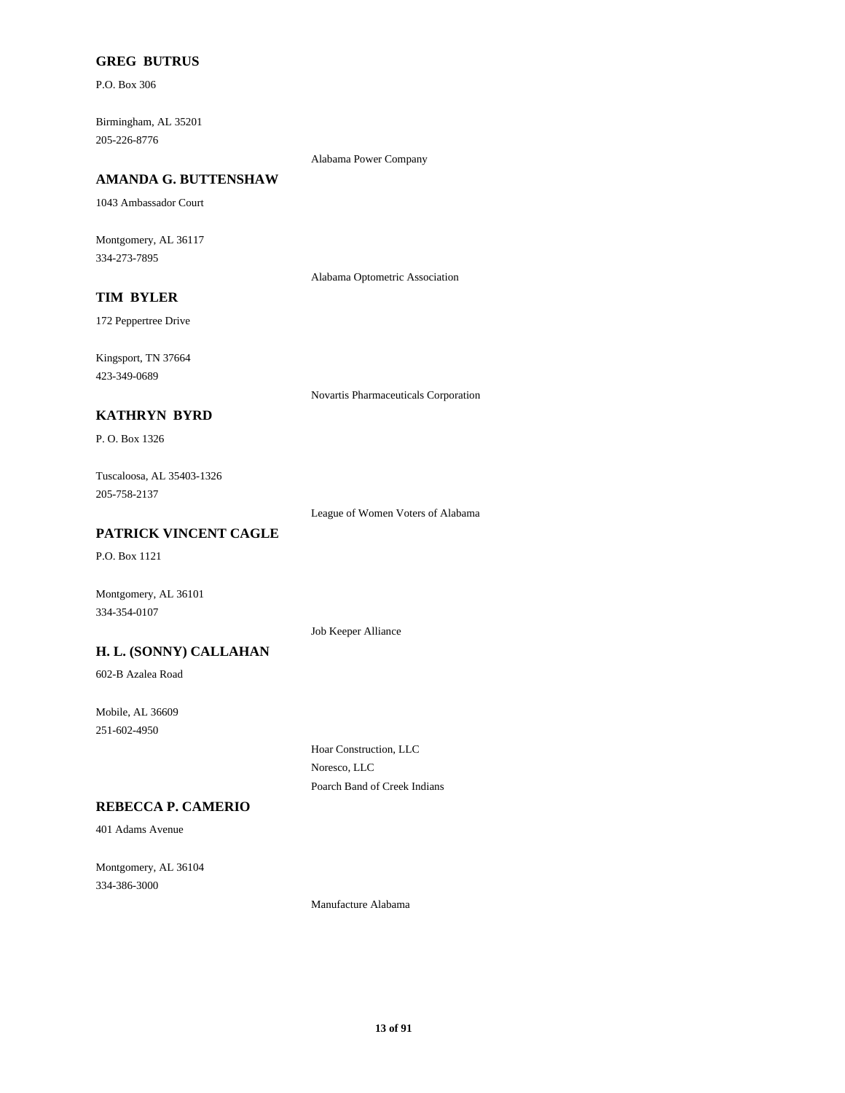# **GREG BUTRUS**

P.O. Box 306

205-226-8776 Birmingham, AL 35201

Alabama Power Company

# **AMANDA G. BUTTENSHAW**

1043 Ambassador Court

334-273-7895 Montgomery, AL 36117

Alabama Optometric Association

# **TIM BYLER**

172 Peppertree Drive

423-349-0689 Kingsport, TN 37664

Novartis Pharmaceuticals Corporation

# **KATHRYN BYRD**

P. O. Box 1326

205-758-2137 Tuscaloosa, AL 35403-1326

League of Women Voters of Alabama

# **PATRICK VINCENT CAGLE**

P.O. Box 1121

Montgomery, AL 36101 334-354-0107

Job Keeper Alliance

# **H. L. (SONNY) CALLAHAN**

602-B Azalea Road

251-602-4950 Mobile, AL 36609

> Hoar Construction, LLC Noresco, LLC Poarch Band of Creek Indians

# **REBECCA P. CAMERIO**

401 Adams Avenue

334-386-3000 Montgomery, AL 36104

Manufacture Alabama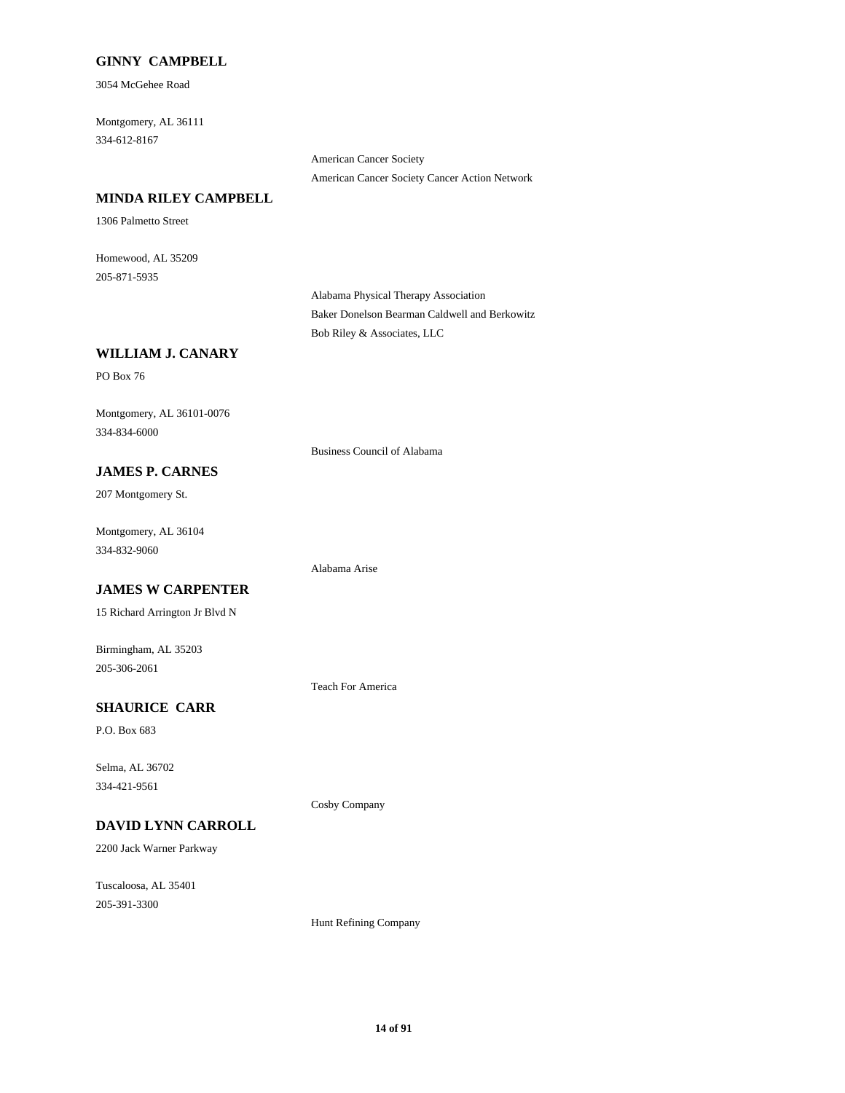### **GINNY CAMPBELL**

3054 McGehee Road

334-612-8167 Montgomery, AL 36111

> American Cancer Society American Cancer Society Cancer Action Network

### **MINDA RILEY CAMPBELL**

1306 Palmetto Street

205-871-5935 Homewood, AL 35209

> Alabama Physical Therapy Association Baker Donelson Bearman Caldwell and Berkowitz Bob Riley & Associates, LLC

# **WILLIAM J. CANARY**

PO Box 76

334-834-6000 Montgomery, AL 36101-0076

Business Council of Alabama

# **JAMES P. CARNES**

207 Montgomery St.

334-832-9060 Montgomery, AL 36104

# **JAMES W CARPENTER**

15 Richard Arrington Jr Blvd N

205-306-2061 Birmingham, AL 35203

Teach For America

Alabama Arise

Cosby Company

# **SHAURICE CARR**

P.O. Box 683

334-421-9561 Selma, AL 36702

# **DAVID LYNN CARROLL**

2200 Jack Warner Parkway

205-391-3300 Tuscaloosa, AL 35401

Hunt Refining Company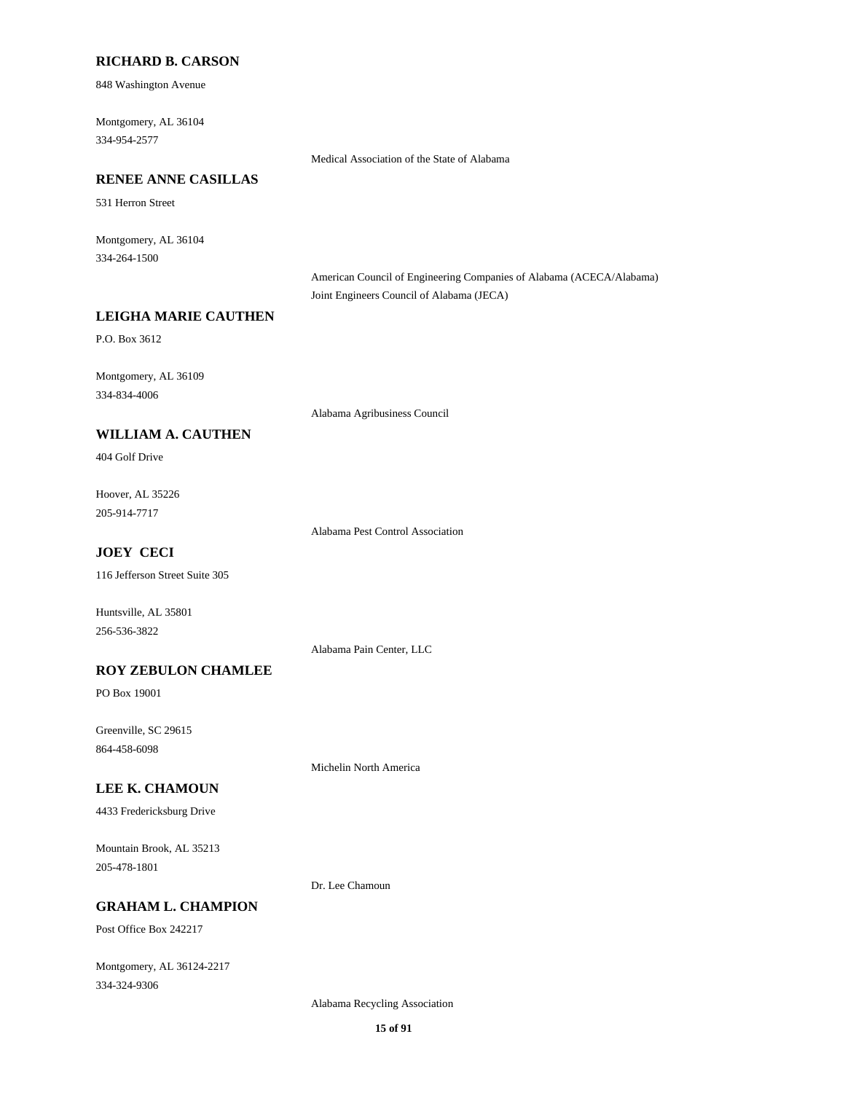#### **RICHARD B. CARSON**

848 Washington Avenue

334-954-2577 Montgomery, AL 36104

Medical Association of the State of Alabama

# **RENEE ANNE CASILLAS**

531 Herron Street

334-264-1500 Montgomery, AL 36104

> American Council of Engineering Companies of Alabama (ACECA/Alabama) Joint Engineers Council of Alabama (JECA)

### **LEIGHA MARIE CAUTHEN**

P.O. Box 3612

334-834-4006 Montgomery, AL 36109

Alabama Agribusiness Council

# **WILLIAM A. CAUTHEN**

404 Golf Drive

205-914-7717 Hoover, AL 35226

Alabama Pest Control Association

# **JOEY CECI**

116 Jefferson Street Suite 305

256-536-3822 Huntsville, AL 35801

Alabama Pain Center, LLC

#### **ROY ZEBULON CHAMLEE**

PO Box 19001

864-458-6098 Greenville, SC 29615

Michelin North America

# **LEE K. CHAMOUN**

4433 Fredericksburg Drive

205-478-1801 Mountain Brook, AL 35213

Dr. Lee Chamoun

#### **GRAHAM L. CHAMPION**

Post Office Box 242217

334-324-9306 Montgomery, AL 36124-2217

Alabama Recycling Association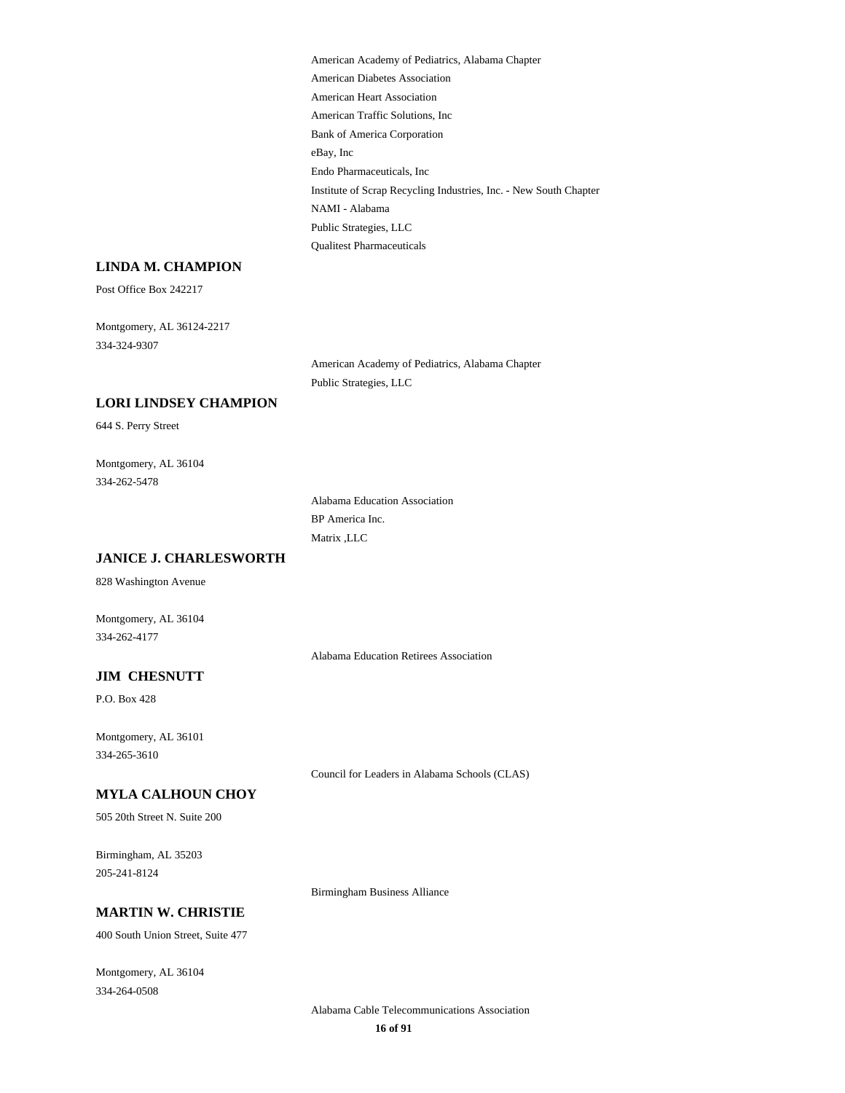|                                   | American Academy of Pediatrics, Alabama Chapter                   |
|-----------------------------------|-------------------------------------------------------------------|
|                                   | American Diabetes Association                                     |
|                                   | <b>American Heart Association</b>                                 |
|                                   | American Traffic Solutions, Inc                                   |
|                                   | <b>Bank of America Corporation</b>                                |
|                                   | eBay, Inc                                                         |
|                                   | Endo Pharmaceuticals, Inc                                         |
|                                   | Institute of Scrap Recycling Industries, Inc. - New South Chapter |
|                                   | NAMI - Alabama                                                    |
|                                   | Public Strategies, LLC                                            |
|                                   |                                                                   |
|                                   | <b>Qualitest Pharmaceuticals</b>                                  |
| LINDA M. CHAMPION                 |                                                                   |
| Post Office Box 242217            |                                                                   |
| Montgomery, AL 36124-2217         |                                                                   |
| 334-324-9307                      |                                                                   |
|                                   | American Academy of Pediatrics, Alabama Chapter                   |
|                                   | Public Strategies, LLC                                            |
| <b>LORI LINDSEY CHAMPION</b>      |                                                                   |
|                                   |                                                                   |
| 644 S. Perry Street               |                                                                   |
| Montgomery, AL 36104              |                                                                   |
| 334-262-5478                      |                                                                   |
|                                   | Alabama Education Association                                     |
|                                   | BP America Inc.                                                   |
|                                   | Matrix , LLC                                                      |
| <b>JANICE J. CHARLESWORTH</b>     |                                                                   |
|                                   |                                                                   |
| 828 Washington Avenue             |                                                                   |
| Montgomery, AL 36104              |                                                                   |
| 334-262-4177                      |                                                                   |
|                                   | Alabama Education Retirees Association                            |
|                                   |                                                                   |
| <b>JIM CHESNUTT</b>               |                                                                   |
| P.O. Box 428                      |                                                                   |
| Montgomery, AL 36101              |                                                                   |
| 334-265-3610                      |                                                                   |
|                                   | Council for Leaders in Alabama Schools (CLAS)                     |
|                                   |                                                                   |
| <b>MYLA CALHOUN CHOY</b>          |                                                                   |
| 505 20th Street N. Suite 200      |                                                                   |
| Birmingham, AL 35203              |                                                                   |
| 205-241-8124                      |                                                                   |
|                                   |                                                                   |
|                                   | <b>Birmingham Business Alliance</b>                               |
| <b>MARTIN W. CHRISTIE</b>         |                                                                   |
| 400 South Union Street, Suite 477 |                                                                   |
|                                   |                                                                   |

334-264-0508 Montgomery, AL 36104

> **16 of 91** Alabama Cable Telecommunications Association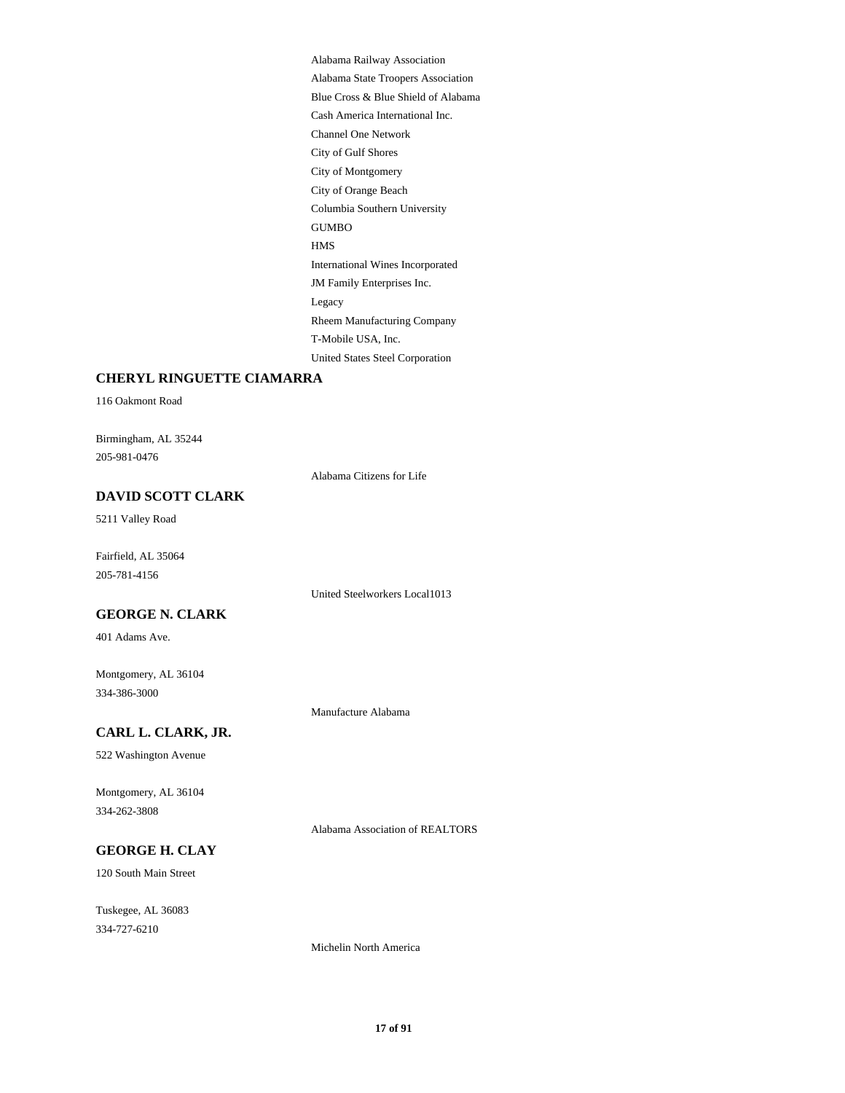City of Gulf Shores Channel One Network City of Orange Beach City of Montgomery Alabama State Troopers Association Alabama Railway Association Cash America International Inc. Blue Cross & Blue Shield of Alabama Columbia Southern University Rheem Manufacturing Company Legacy United States Steel Corporation T-Mobile USA, Inc. HMS GUMBO JM Family Enterprises Inc. International Wines Incorporated

### **CHERYL RINGUETTE CIAMARRA**

116 Oakmont Road

205-981-0476 Birmingham, AL 35244

Alabama Citizens for Life

# **DAVID SCOTT CLARK**

5211 Valley Road

205-781-4156 Fairfield, AL 35064

United Steelworkers Local1013

# **GEORGE N. CLARK**

401 Adams Ave.

334-386-3000 Montgomery, AL 36104

Manufacture Alabama

# **CARL L. CLARK, JR.**

522 Washington Avenue

334-262-3808 Montgomery, AL 36104

Alabama Association of REALTORS

# **GEORGE H. CLAY**

120 South Main Street

334-727-6210 Tuskegee, AL 36083

Michelin North America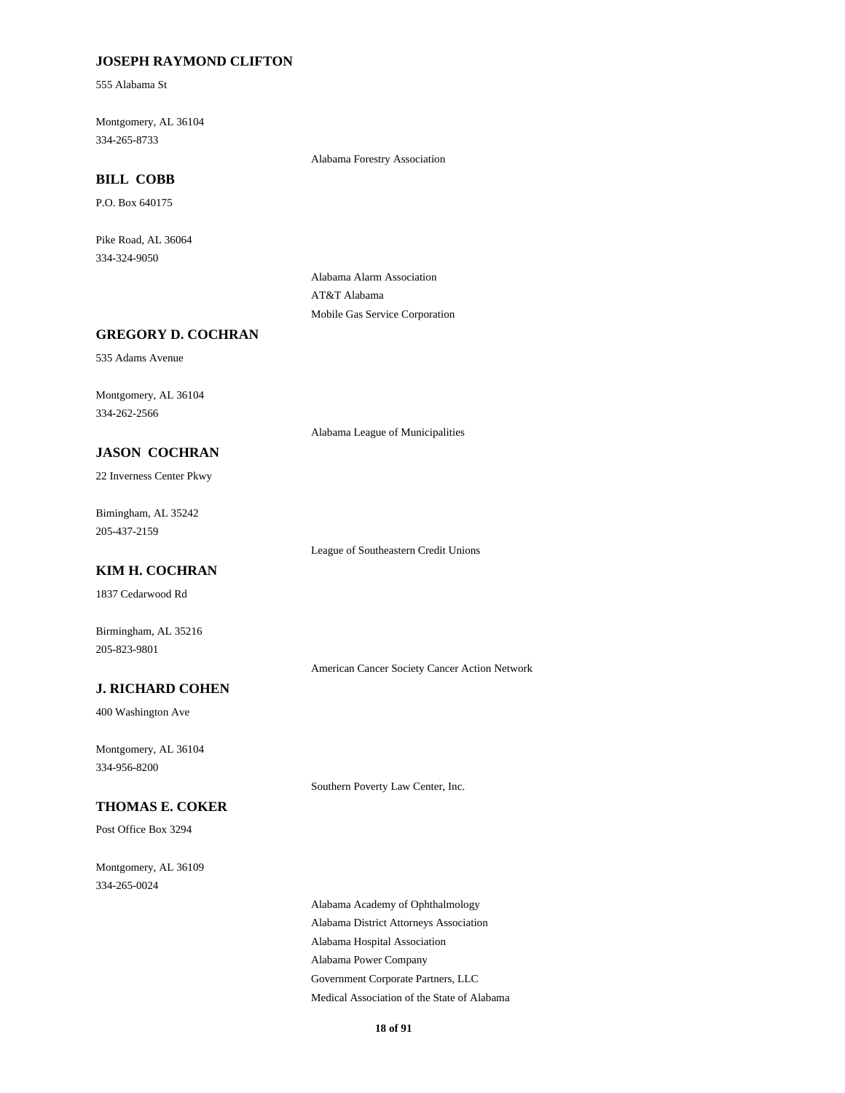# **JOSEPH RAYMOND CLIFTON**

555 Alabama St

334-265-8733 Montgomery, AL 36104

Alabama Forestry Association

# **BILL COBB**

P.O. Box 640175

334-324-9050 Pike Road, AL 36064

> Alabama Alarm Association AT&T Alabama Mobile Gas Service Corporation

### **GREGORY D. COCHRAN**

535 Adams Avenue

334-262-2566 Montgomery, AL 36104

Alabama League of Municipalities

### **JASON COCHRAN**

22 Inverness Center Pkwy

205-437-2159 Bimingham, AL 35242

League of Southeastern Credit Unions

# **KIM H. COCHRAN**

1837 Cedarwood Rd

205-823-9801 Birmingham, AL 35216

American Cancer Society Cancer Action Network

# **J. RICHARD COHEN**

400 Washington Ave

334-956-8200 Montgomery, AL 36104

Southern Poverty Law Center, Inc.

# **THOMAS E. COKER**

Post Office Box 3294

334-265-0024 Montgomery, AL 36109

> Alabama Hospital Association Alabama Power Company Alabama Academy of Ophthalmology Alabama District Attorneys Association Government Corporate Partners, LLC Medical Association of the State of Alabama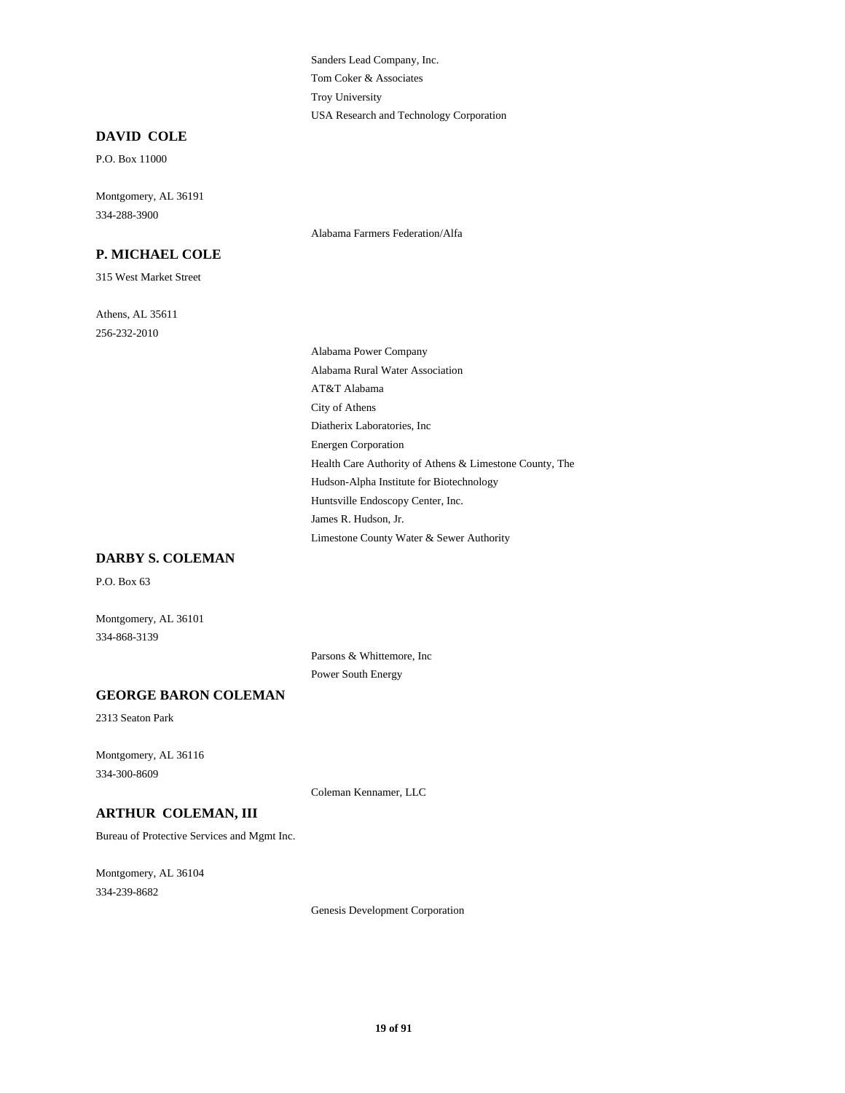Tom Coker & Associates Sanders Lead Company, Inc. USA Research and Technology Corporation Troy University

#### **DAVID COLE**

P.O. Box 11000

334-288-3900 Montgomery, AL 36191

# **P. MICHAEL COLE**

315 West Market Street

256-232-2010 Athens, AL 35611 Alabama Farmers Federation/Alfa

City of Athens Diatherix Laboratories, Inc AT&T Alabama Alabama Power Company Alabama Rural Water Association Energen Corporation James R. Hudson, Jr. Limestone County Water & Sewer Authority Huntsville Endoscopy Center, Inc. Health Care Authority of Athens & Limestone County, The Hudson-Alpha Institute for Biotechnology

### **DARBY S. COLEMAN**

P.O. Box 63

Montgomery, AL 36101 334-868-3139

> Parsons & Whittemore, Inc Power South Energy

### **GEORGE BARON COLEMAN**

2313 Seaton Park

334-300-8609 Montgomery, AL 36116

Coleman Kennamer, LLC

#### **ARTHUR COLEMAN, III**

Bureau of Protective Services and Mgmt Inc.

334-239-8682 Montgomery, AL 36104

Genesis Development Corporation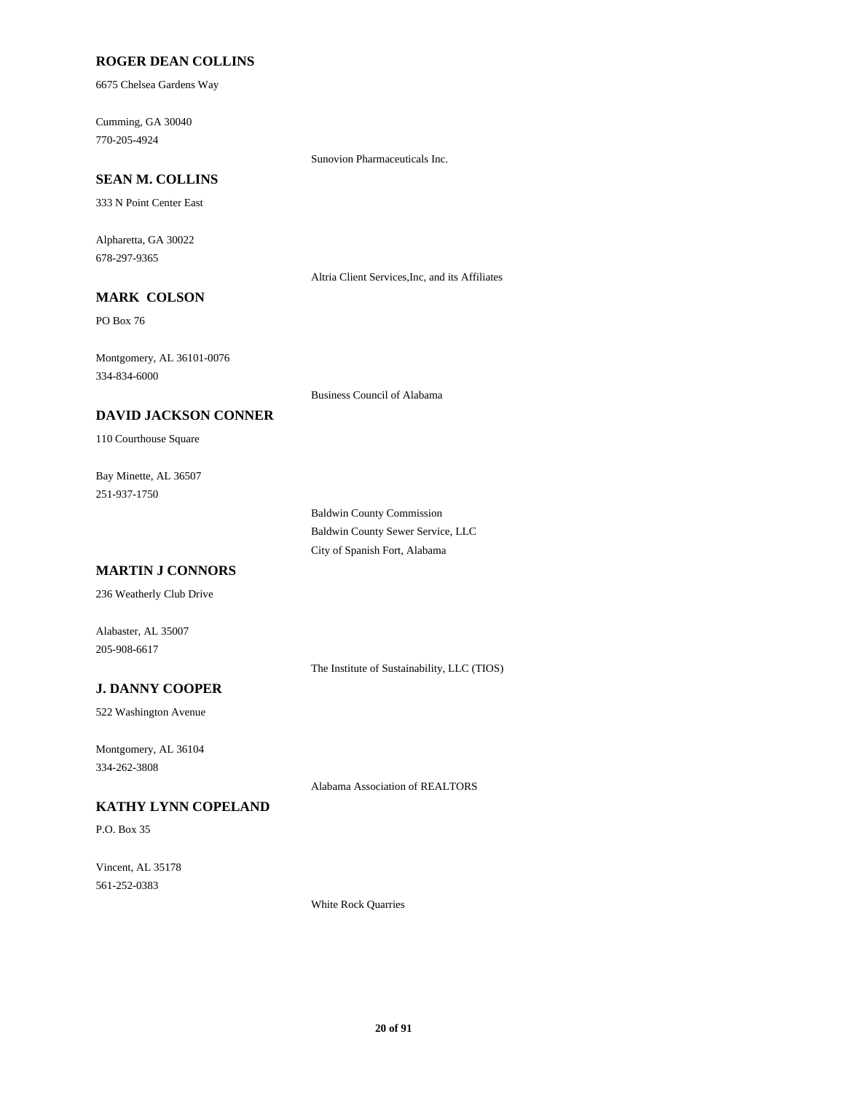### **ROGER DEAN COLLINS**

6675 Chelsea Gardens Way

770-205-4924 Cumming, GA 30040

Sunovion Pharmaceuticals Inc.

# **SEAN M. COLLINS**

333 N Point Center East

678-297-9365 Alpharetta, GA 30022

Altria Client Services,Inc, and its Affiliates

# **MARK COLSON**

PO Box 76

334-834-6000 Montgomery, AL 36101-0076

Business Council of Alabama

# **DAVID JACKSON CONNER**

110 Courthouse Square

251-937-1750 Bay Minette, AL 36507

> Baldwin County Commission Baldwin County Sewer Service, LLC City of Spanish Fort, Alabama

# **MARTIN J CONNORS**

236 Weatherly Club Drive

Alabaster, AL 35007 205-908-6617

The Institute of Sustainability, LLC (TIOS)

# **J. DANNY COOPER**

522 Washington Avenue

334-262-3808 Montgomery, AL 36104

Alabama Association of REALTORS

# **KATHY LYNN COPELAND**

P.O. Box 35

561-252-0383 Vincent, AL 35178

White Rock Quarries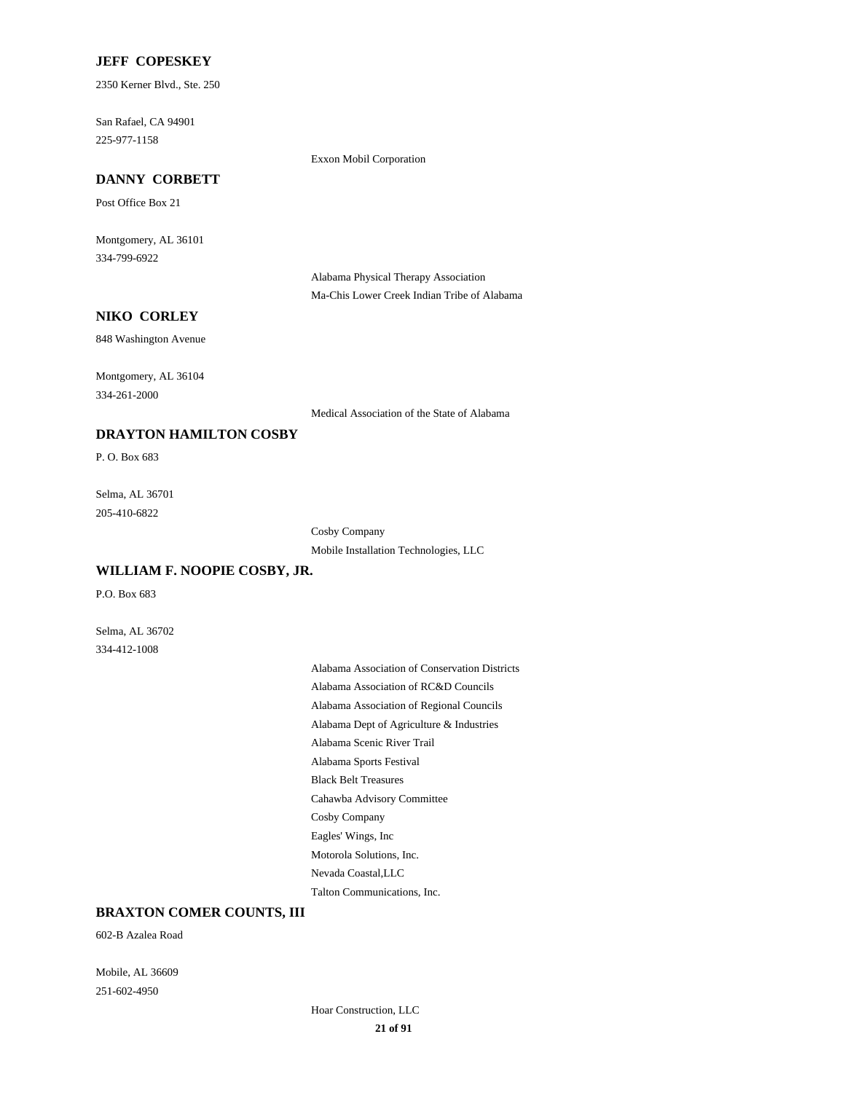#### **JEFF COPESKEY**

2350 Kerner Blvd., Ste. 250

**DANNY CORBETT**

225-977-1158 San Rafael, CA 94901

Exxon Mobil Corporation

# Post Office Box 21

334-799-6922 Montgomery, AL 36101

> Alabama Physical Therapy Association Ma-Chis Lower Creek Indian Tribe of Alabama

### **NIKO CORLEY**

848 Washington Avenue

334-261-2000 Montgomery, AL 36104

Medical Association of the State of Alabama

# **DRAYTON HAMILTON COSBY**

P. O. Box 683

205-410-6822 Selma, AL 36701

> Cosby Company Mobile Installation Technologies, LLC

# **WILLIAM F. NOOPIE COSBY, JR.**

P.O. Box 683

334-412-1008 Selma, AL 36702

> Alabama Dept of Agriculture & Industries Alabama Scenic River Trail Alabama Sports Festival Alabama Association of Conservation Districts Alabama Association of RC&D Councils Alabama Association of Regional Councils Black Belt Treasures Motorola Solutions, Inc. Nevada Coastal,LLC Talton Communications, Inc. Cahawba Advisory Committee Cosby Company Eagles' Wings, Inc

### **BRAXTON COMER COUNTS, III**

602-B Azalea Road

251-602-4950 Mobile, AL 36609

> **21 of 91** Hoar Construction, LLC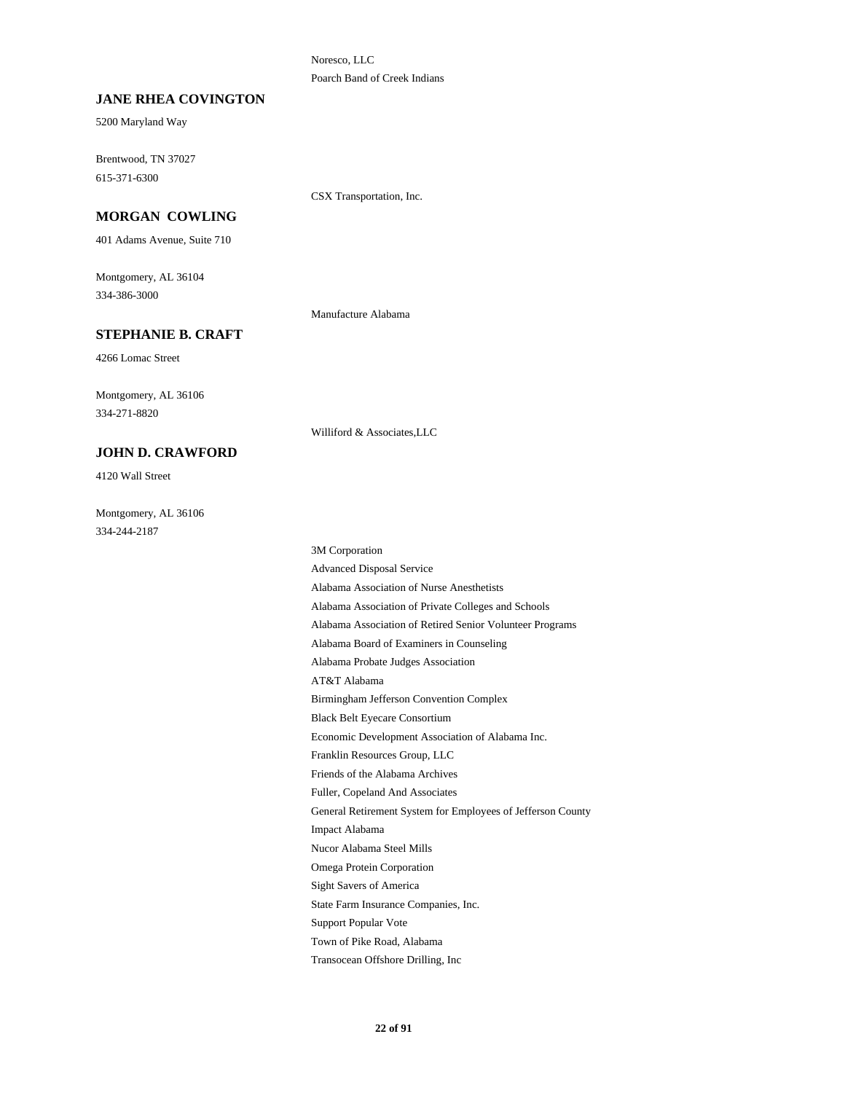Noresco, LLC Poarch Band of Creek Indians

### **JANE RHEA COVINGTON**

5200 Maryland Way

615-371-6300 Brentwood, TN 37027

CSX Transportation, Inc.

# **MORGAN COWLING**

401 Adams Avenue, Suite 710

334-386-3000 Montgomery, AL 36104

Manufacture Alabama

### **STEPHANIE B. CRAFT**

4266 Lomac Street

334-271-8820 Montgomery, AL 36106

#### **JOHN D. CRAWFORD**

4120 Wall Street

334-244-2187 Montgomery, AL 36106

Williford & Associates,LLC

Birmingham Jefferson Convention Complex AT&T Alabama Black Belt Eyecare Consortium Franklin Resources Group, LLC Economic Development Association of Alabama Inc. Alabama Association of Private Colleges and Schools Alabama Association of Nurse Anesthetists Alabama Association of Retired Senior Volunteer Programs Alabama Probate Judges Association Alabama Board of Examiners in Counseling Friends of the Alabama Archives State Farm Insurance Companies, Inc. Sight Savers of America Support Popular Vote Transocean Offshore Drilling, Inc Town of Pike Road, Alabama General Retirement System for Employees of Jefferson County Fuller, Copeland And Associates Impact Alabama Omega Protein Corporation Nucor Alabama Steel Mills 3M Corporation Advanced Disposal Service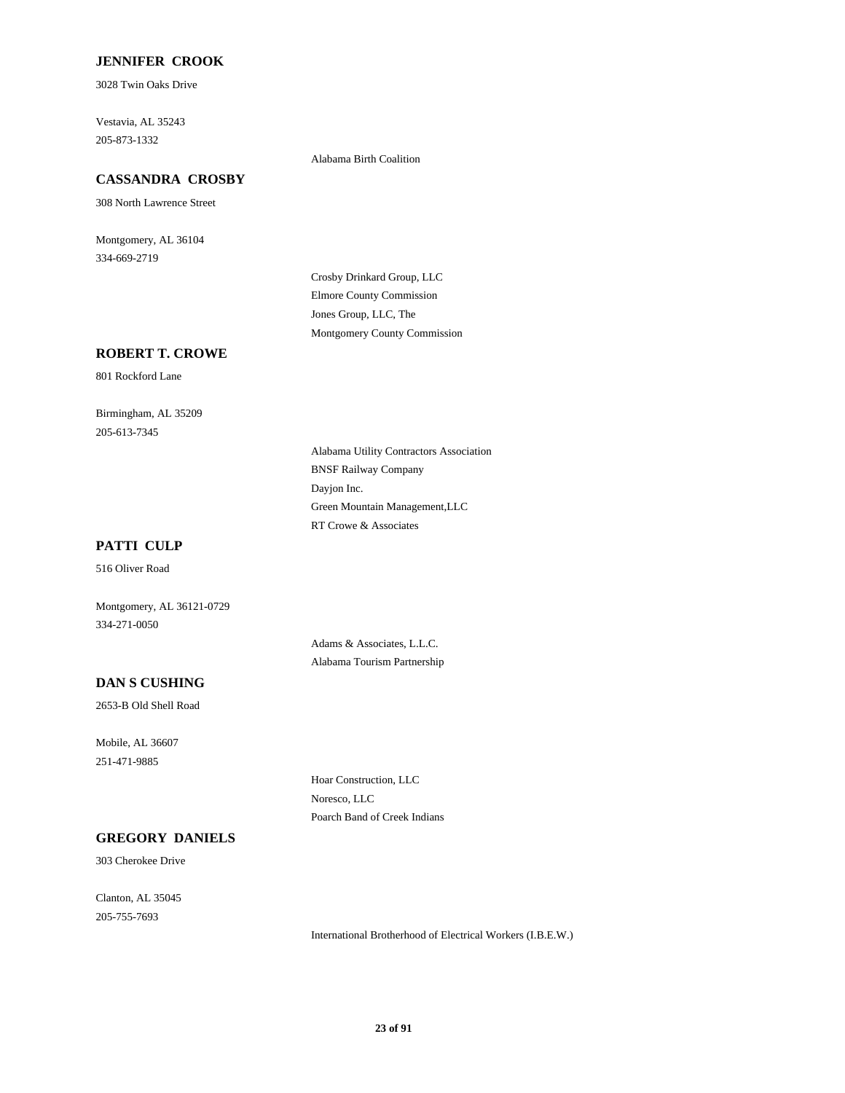### **JENNIFER CROOK**

3028 Twin Oaks Drive

205-873-1332 Vestavia, AL 35243

#### Alabama Birth Coalition

# **CASSANDRA CROSBY**

308 North Lawrence Street

334-669-2719 Montgomery, AL 36104

> Elmore County Commission Crosby Drinkard Group, LLC Montgomery County Commission Jones Group, LLC, The

### **ROBERT T. CROWE**

801 Rockford Lane

205-613-7345 Birmingham, AL 35209

> BNSF Railway Company Alabama Utility Contractors Association Dayjon Inc. RT Crowe & Associates Green Mountain Management,LLC

# **PATTI CULP**

516 Oliver Road

334-271-0050 Montgomery, AL 36121-0729

> Adams & Associates, L.L.C. Alabama Tourism Partnership

# **DAN S CUSHING**

2653-B Old Shell Road

251-471-9885 Mobile, AL 36607

> Hoar Construction, LLC Noresco, LLC Poarch Band of Creek Indians

### **GREGORY DANIELS**

303 Cherokee Drive

205-755-7693 Clanton, AL 35045

International Brotherhood of Electrical Workers (I.B.E.W.)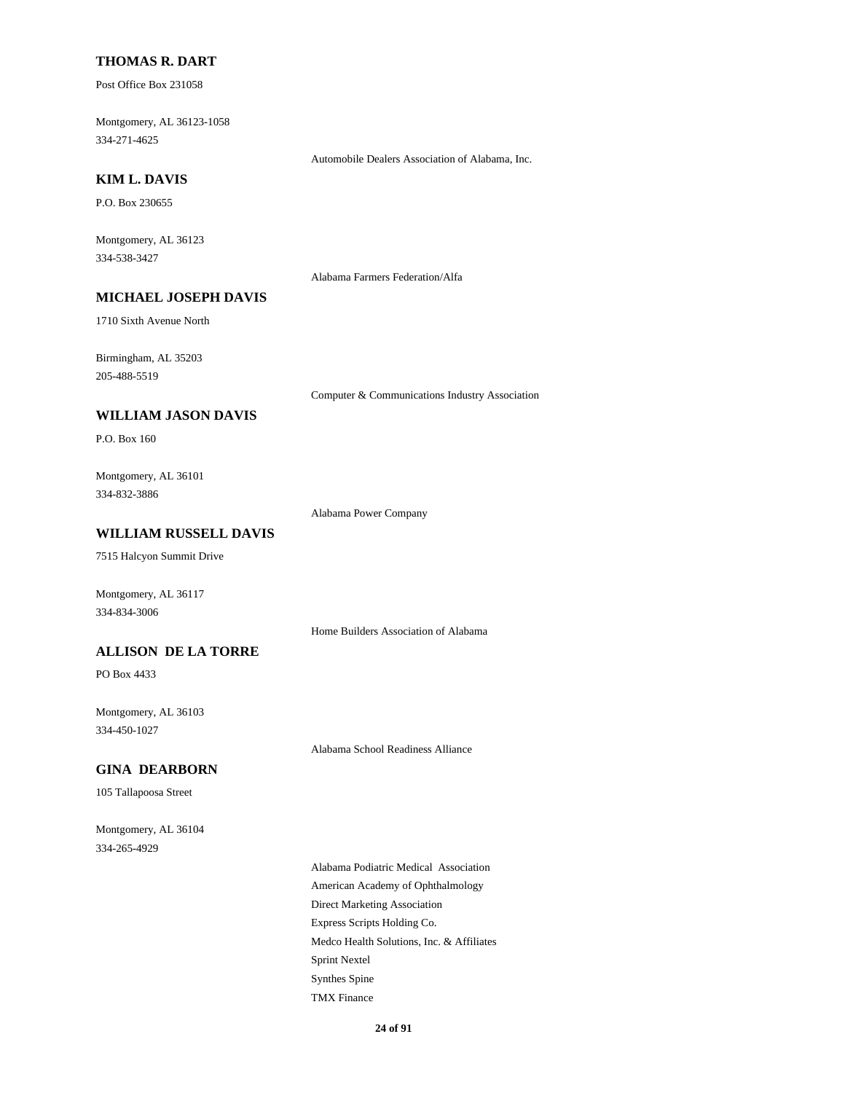#### **THOMAS R. DART**

Post Office Box 231058

334-271-4625 Montgomery, AL 36123-1058

Automobile Dealers Association of Alabama, Inc.

# **KIM L. DAVIS**

P.O. Box 230655

334-538-3427 Montgomery, AL 36123

Alabama Farmers Federation/Alfa

# **MICHAEL JOSEPH DAVIS**

1710 Sixth Avenue North

205-488-5519 Birmingham, AL 35203

Computer & Communications Industry Association

### **WILLIAM JASON DAVIS**

P.O. Box 160

334-832-3886 Montgomery, AL 36101

Alabama Power Company

# **WILLIAM RUSSELL DAVIS**

7515 Halcyon Summit Drive

Montgomery, AL 36117 334-834-3006

Home Builders Association of Alabama

#### **ALLISON DE LA TORRE**

PO Box 4433

334-450-1027 Montgomery, AL 36103

Alabama School Readiness Alliance

#### **GINA DEARBORN**

105 Tallapoosa Street

334-265-4929 Montgomery, AL 36104

> Express Scripts Holding Co. Medco Health Solutions, Inc. & Affiliates Direct Marketing Association Alabama Podiatric Medical Association American Academy of Ophthalmology TMX Finance Sprint Nextel Synthes Spine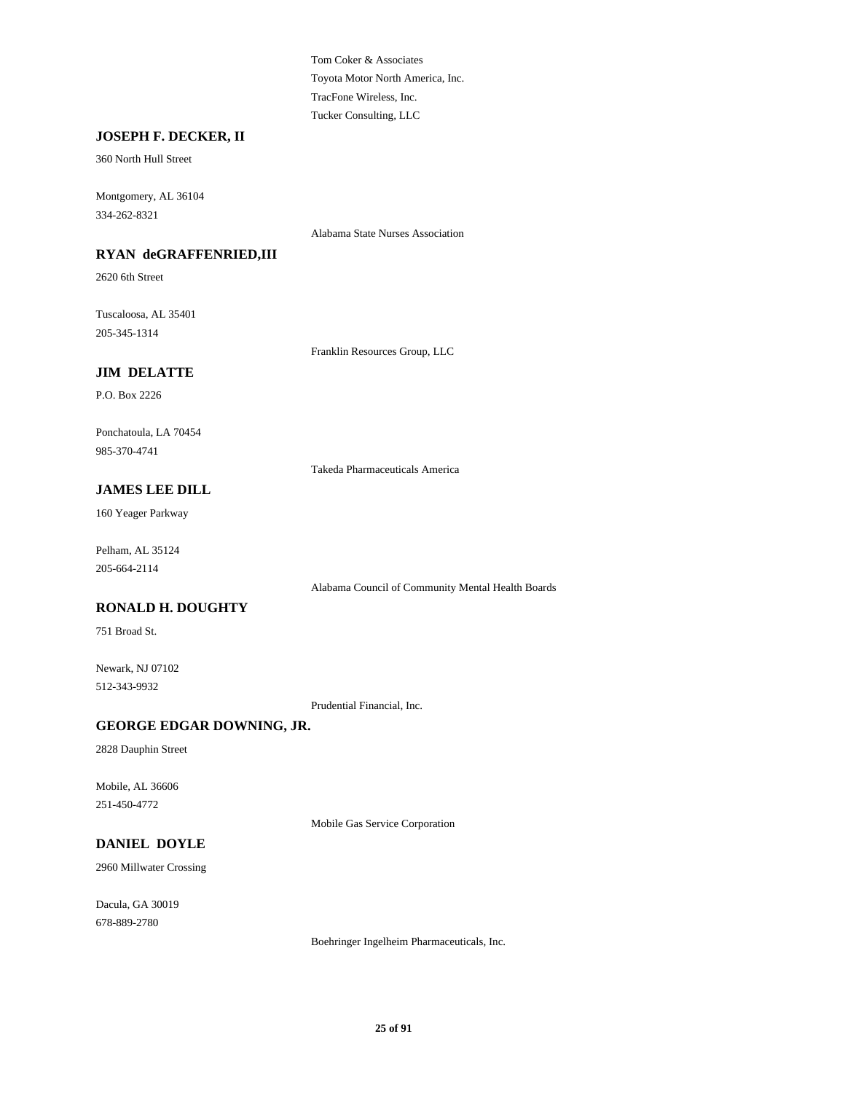Toyota Motor North America, Inc. Tom Coker & Associates Tucker Consulting, LLC TracFone Wireless, Inc.

# **JOSEPH F. DECKER, II**

360 North Hull Street

334-262-8321 Montgomery, AL 36104

Alabama State Nurses Association

# **RYAN deGRAFFENRIED,III**

2620 6th Street

205-345-1314 Tuscaloosa, AL 35401

Franklin Resources Group, LLC

# **JIM DELATTE**

P.O. Box 2226

985-370-4741 Ponchatoula, LA 70454

Takeda Pharmaceuticals America

# **JAMES LEE DILL**

160 Yeager Parkway

205-664-2114 Pelham, AL 35124

Alabama Council of Community Mental Health Boards

# **RONALD H. DOUGHTY**

751 Broad St.

512-343-9932 Newark, NJ 07102

Prudential Financial, Inc.

# **GEORGE EDGAR DOWNING, JR.**

2828 Dauphin Street

251-450-4772 Mobile, AL 36606

Mobile Gas Service Corporation

# **DANIEL DOYLE**

2960 Millwater Crossing

678-889-2780 Dacula, GA 30019

Boehringer Ingelheim Pharmaceuticals, Inc.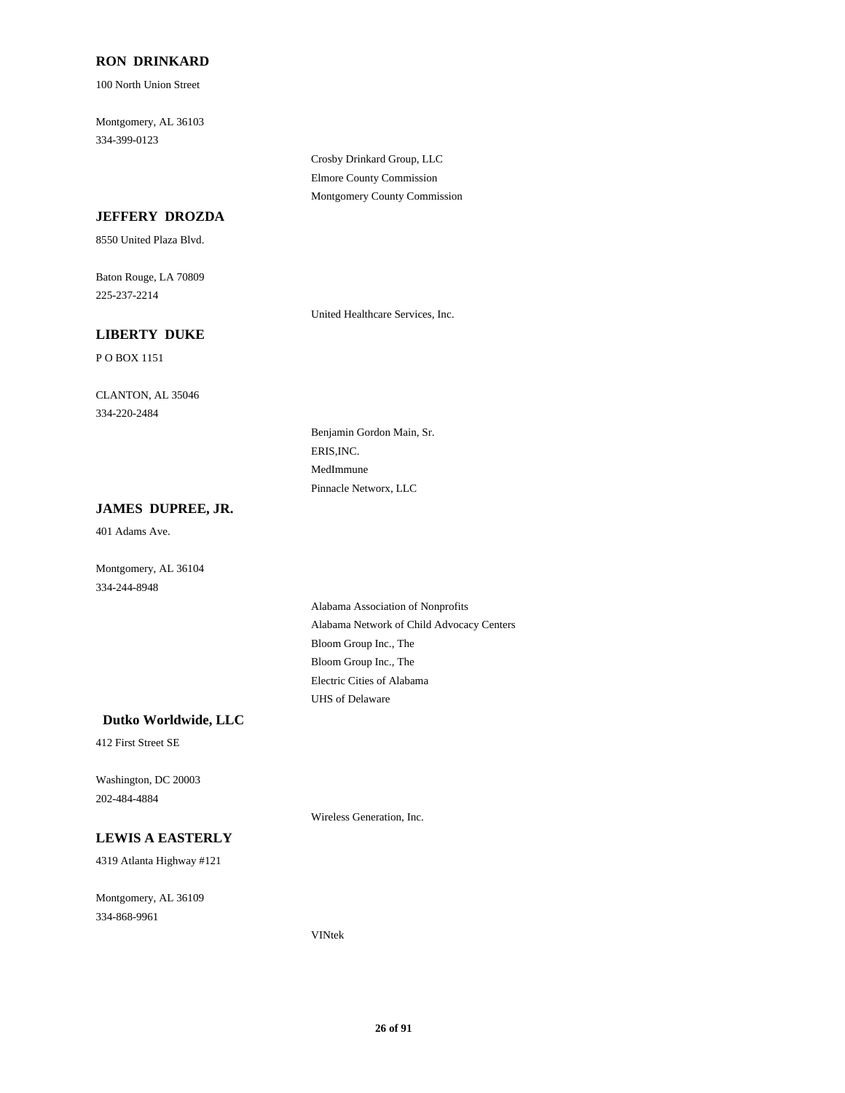# **RON DRINKARD**

100 North Union Street

334-399-0123 Montgomery, AL 36103

> Crosby Drinkard Group, LLC Elmore County Commission Montgomery County Commission

# **JEFFERY DROZDA**

8550 United Plaza Blvd.

225-237-2214 Baton Rouge, LA 70809

United Healthcare Services, Inc.

# **LIBERTY DUKE**

P O BOX 1151

334-220-2484 CLANTON, AL 35046

> ERIS,INC. Benjamin Gordon Main, Sr. Pinnacle Networx, LLC MedImmune

# **JAMES DUPREE, JR.**

401 Adams Ave.

Montgomery, AL 36104 334-244-8948

> Bloom Group Inc., The Alabama Network of Child Advocacy Centers Alabama Association of Nonprofits UHS of Delaware Electric Cities of Alabama Bloom Group Inc., The

#### **Dutko Worldwide, LLC**

412 First Street SE

202-484-4884 Washington, DC 20003

Wireless Generation, Inc.

### **LEWIS A EASTERLY**

4319 Atlanta Highway #121

334-868-9961 Montgomery, AL 36109

VINtek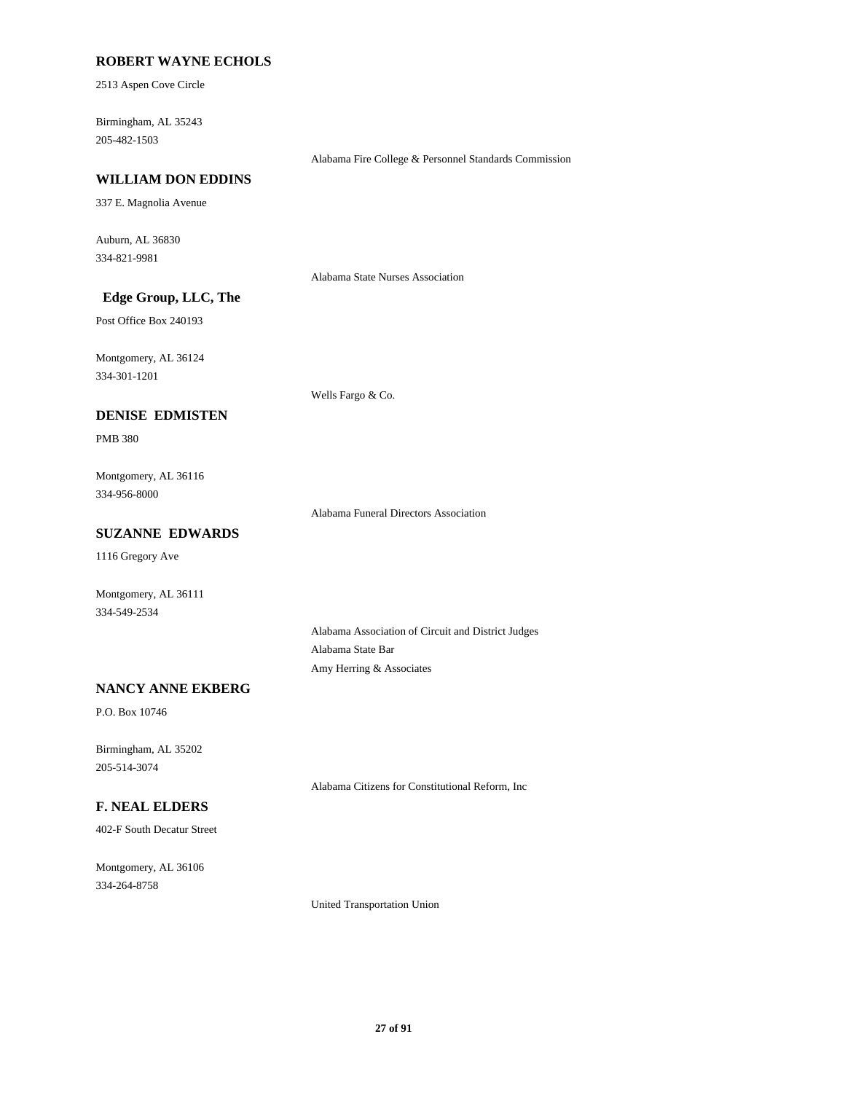# **ROBERT WAYNE ECHOLS**

2513 Aspen Cove Circle

205-482-1503 Birmingham, AL 35243

Alabama Fire College & Personnel Standards Commission

#### **WILLIAM DON EDDINS**

337 E. Magnolia Avenue

334-821-9981 Auburn, AL 36830

Alabama State Nurses Association

# **Edge Group, LLC, The**

Post Office Box 240193

334-301-1201 Montgomery, AL 36124

**DENISE EDMISTEN**

Wells Fargo & Co.

PMB 380

334-956-8000 Montgomery, AL 36116

Alabama Funeral Directors Association

# **SUZANNE EDWARDS**

1116 Gregory Ave

334-549-2534 Montgomery, AL 36111

> Alabama Association of Circuit and District Judges Alabama State Bar Amy Herring & Associates

# **NANCY ANNE EKBERG**

P.O. Box 10746

205-514-3074 Birmingham, AL 35202

Alabama Citizens for Constitutional Reform, Inc

# **F. NEAL ELDERS**

402-F South Decatur Street

334-264-8758 Montgomery, AL 36106

United Transportation Union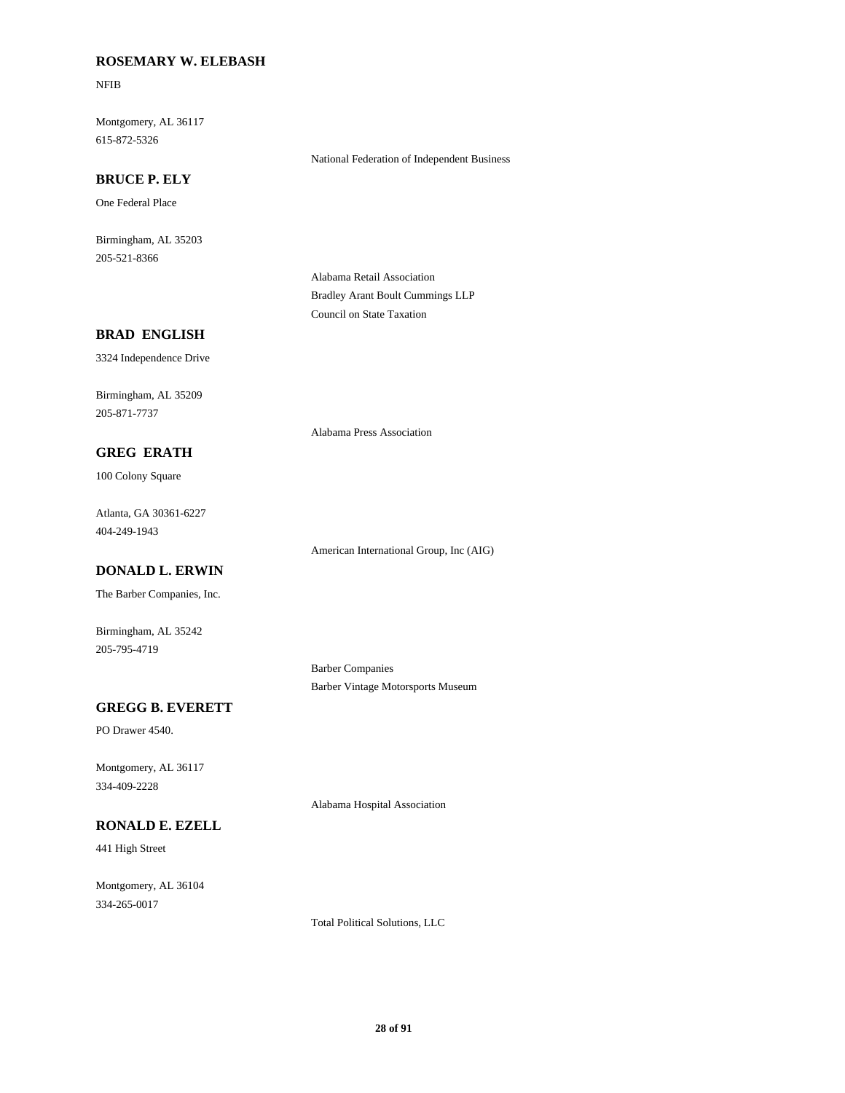# **ROSEMARY W. ELEBASH**

NFIB

615-872-5326 Montgomery, AL 36117

#### **BRUCE P. ELY**

One Federal Place

205-521-8366 Birmingham, AL 35203

> Alabama Retail Association Bradley Arant Boult Cummings LLP Council on State Taxation

National Federation of Independent Business

Alabama Press Association

#### **BRAD ENGLISH**

3324 Independence Drive

205-871-7737 Birmingham, AL 35209

#### **GREG ERATH**

100 Colony Square

404-249-1943 Atlanta, GA 30361-6227

American International Group, Inc (AIG)

# **DONALD L. ERWIN**

The Barber Companies, Inc.

205-795-4719 Birmingham, AL 35242

> Barber Companies Barber Vintage Motorsports Museum

# **GREGG B. EVERETT**

PO Drawer 4540.

334-409-2228 Montgomery, AL 36117

# **RONALD E. EZELL**

441 High Street

334-265-0017 Montgomery, AL 36104

Alabama Hospital Association

Total Political Solutions, LLC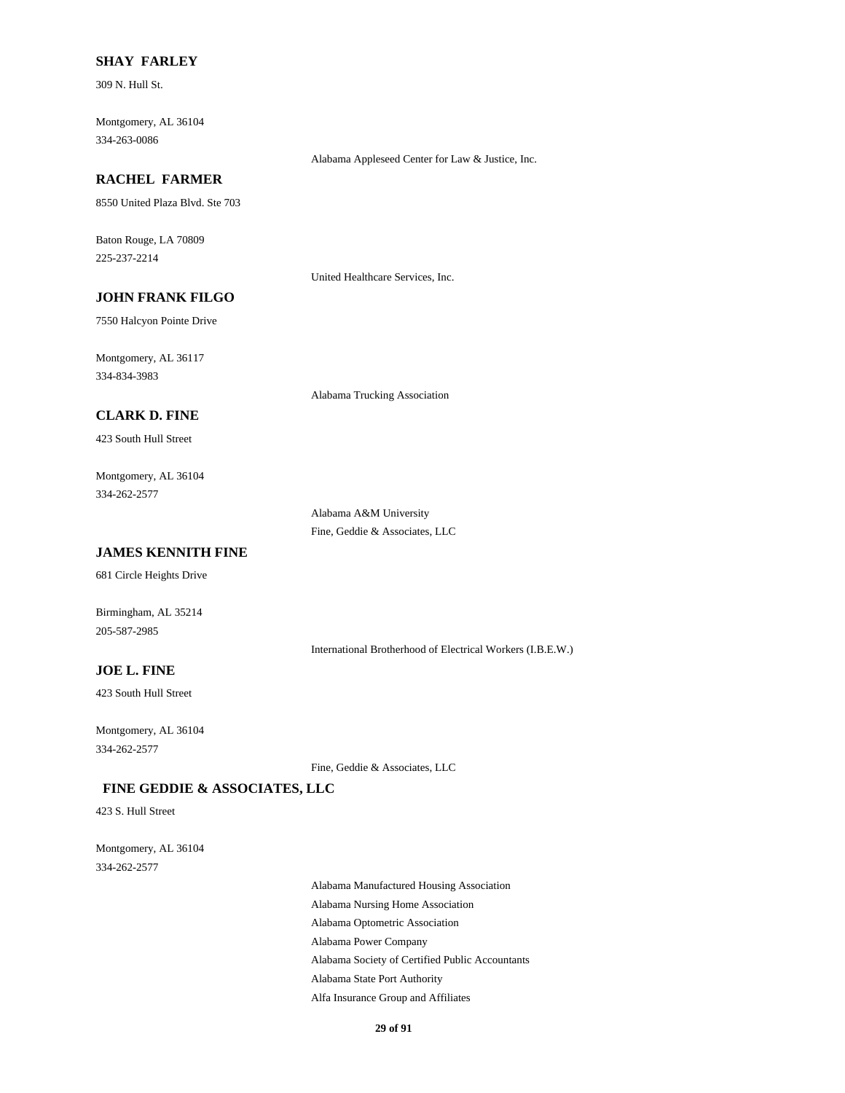#### **SHAY FARLEY**

309 N. Hull St.

334-263-0086 Montgomery, AL 36104

# **RACHEL FARMER**

8550 United Plaza Blvd. Ste 703

225-237-2214 Baton Rouge, LA 70809

United Healthcare Services, Inc.

Alabama Appleseed Center for Law & Justice, Inc.

# **JOHN FRANK FILGO**

7550 Halcyon Pointe Drive

334-834-3983 Montgomery, AL 36117

Alabama Trucking Association

# **CLARK D. FINE**

423 South Hull Street

334-262-2577 Montgomery, AL 36104

> Alabama A&M University Fine, Geddie & Associates, LLC

# **JAMES KENNITH FINE**

681 Circle Heights Drive

205-587-2985 Birmingham, AL 35214

International Brotherhood of Electrical Workers (I.B.E.W.)

### **JOE L. FINE**

423 South Hull Street

334-262-2577 Montgomery, AL 36104

Fine, Geddie & Associates, LLC

# **FINE GEDDIE & ASSOCIATES, LLC**

423 S. Hull Street

334-262-2577 Montgomery, AL 36104

> Alabama Optometric Association Alabama Power Company Alabama Manufactured Housing Association Alabama Nursing Home Association Alabama Society of Certified Public Accountants Alabama State Port Authority Alfa Insurance Group and Affiliates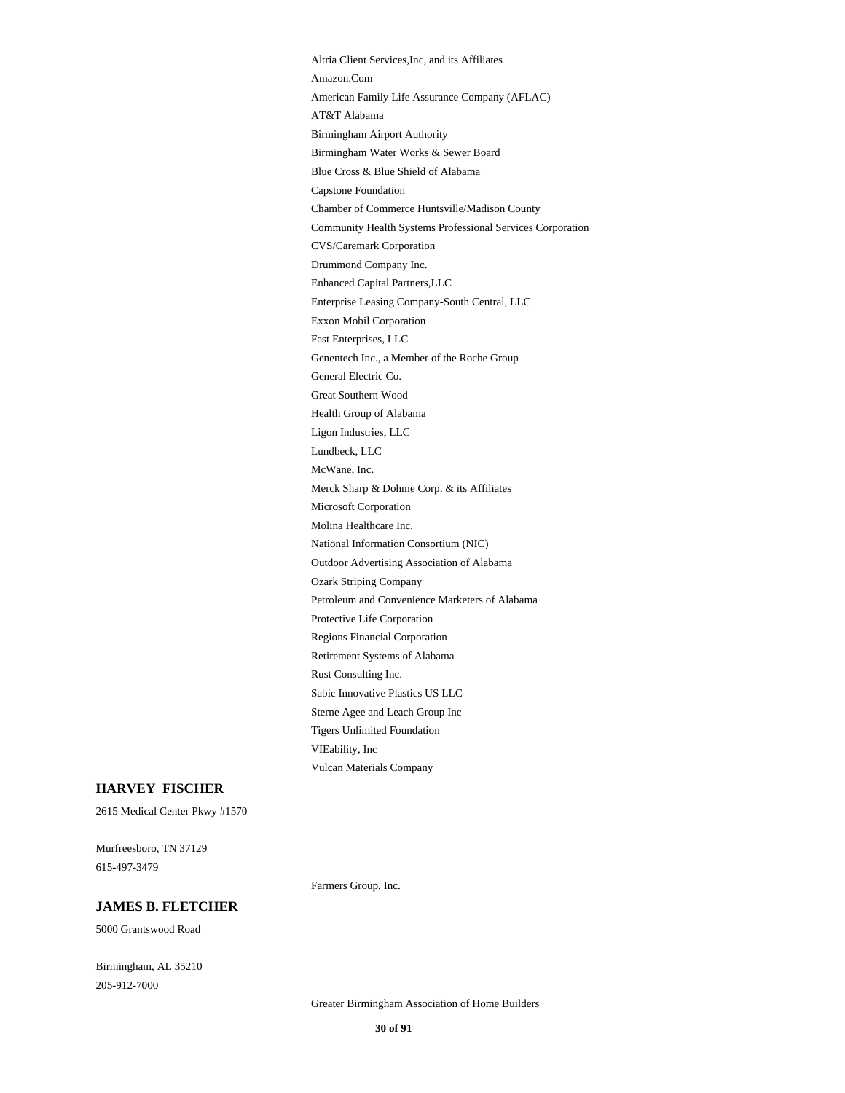Retirement Systems of Alabama Rust Consulting Inc. Regions Financial Corporation Petroleum and Convenience Marketers of Alabama Protective Life Corporation Sabic Innovative Plastics US LLC Vulcan Materials Company Altria Client Services,Inc, and its Affiliates VIEability, Inc Sterne Agee and Leach Group Inc Tigers Unlimited Foundation CVS/Caremark Corporation Community Health Systems Professional Services Corporation Chamber of Commerce Huntsville/Madison County Drummond Company Inc. Exxon Mobil Corporation Enterprise Leasing Company-South Central, LLC Enhanced Capital Partners,LLC AT&T Alabama American Family Life Assurance Company (AFLAC) Amazon.Com Birmingham Airport Authority Capstone Foundation Blue Cross & Blue Shield of Alabama Birmingham Water Works & Sewer Board Microsoft Corporation Merck Sharp & Dohme Corp. & its Affiliates McWane, Inc. Molina Healthcare Inc. Ozark Striping Company Outdoor Advertising Association of Alabama National Information Consortium (NIC) General Electric Co. Genentech Inc., a Member of the Roche Group Fast Enterprises, LLC Great Southern Wood Lundbeck, LLC Ligon Industries, LLC Health Group of Alabama

#### **HARVEY FISCHER**

2615 Medical Center Pkwy #1570

615-497-3479 Murfreesboro, TN 37129

#### **JAMES B. FLETCHER**

5000 Grantswood Road

Birmingham, AL 35210 205-912-7000

Greater Birmingham Association of Home Builders

Farmers Group, Inc.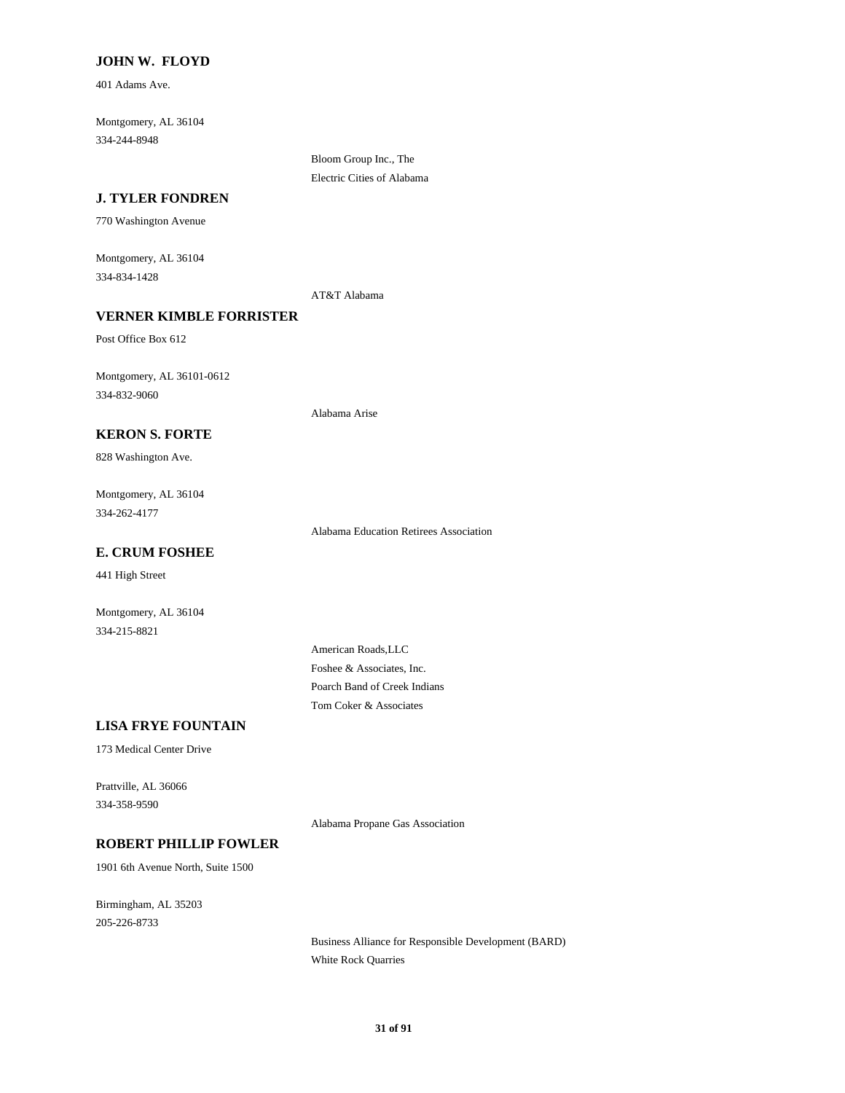### **JOHN W. FLOYD**

401 Adams Ave.

334-244-8948 Montgomery, AL 36104

**J. TYLER FONDREN**

770 Washington Avenue

334-834-1428 Montgomery, AL 36104

AT&T Alabama

Bloom Group Inc., The Electric Cities of Alabama

Alabama Arise

# **VERNER KIMBLE FORRISTER**

Post Office Box 612

334-832-9060 Montgomery, AL 36101-0612

# **KERON S. FORTE**

828 Washington Ave.

334-262-4177 Montgomery, AL 36104

Alabama Education Retirees Association

# **E. CRUM FOSHEE**

441 High Street

Montgomery, AL 36104 334-215-8821

# Foshee & Associates, Inc. Poarch Band of Creek Indians

**LISA FRYE FOUNTAIN**

173 Medical Center Drive

334-358-9590 Prattville, AL 36066

Alabama Propane Gas Association

American Roads,LLC

Tom Coker & Associates

# **ROBERT PHILLIP FOWLER**

1901 6th Avenue North, Suite 1500

205-226-8733 Birmingham, AL 35203

> Business Alliance for Responsible Development (BARD) White Rock Quarries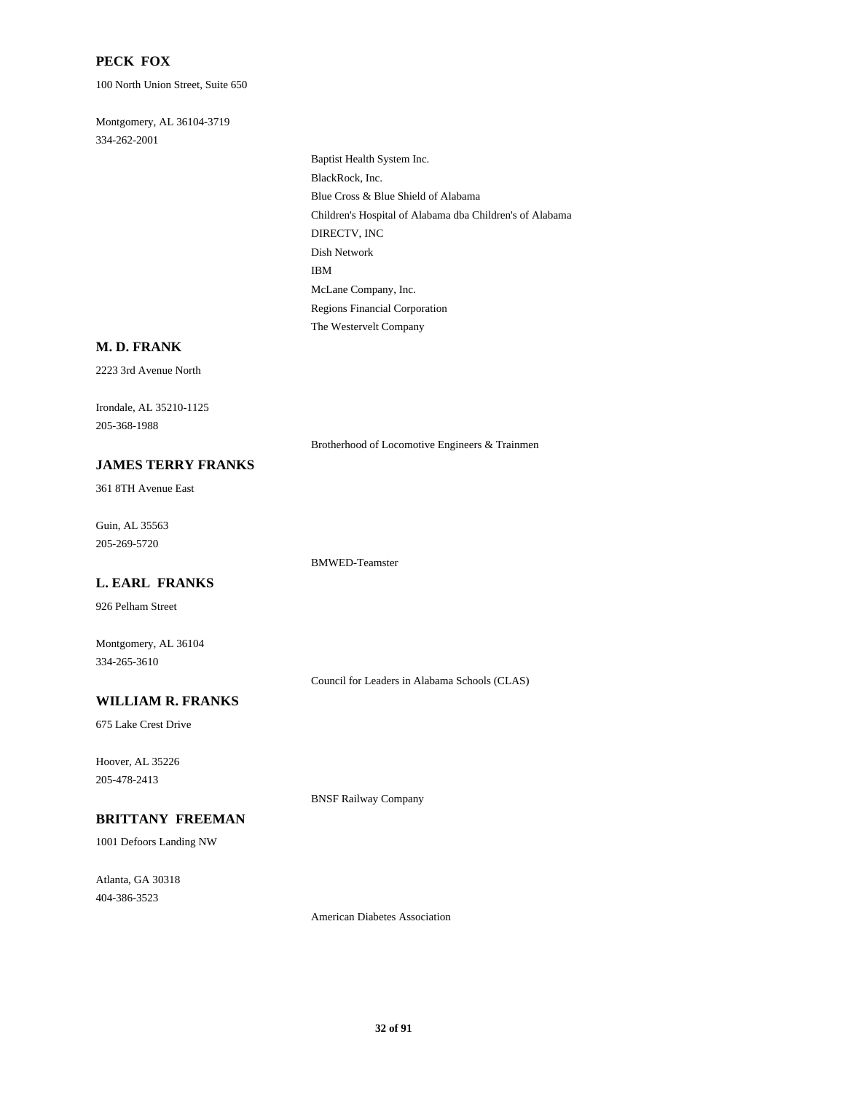### **PECK FOX**

100 North Union Street, Suite 650

334-262-2001 Montgomery, AL 36104-3719

> Children's Hospital of Alabama dba Children's of Alabama DIRECTV, INC Blue Cross & Blue Shield of Alabama Baptist Health System Inc. BlackRock, Inc. Regions Financial Corporation The Westervelt Company McLane Company, Inc. Dish Network IBM

#### **M. D. FRANK**

2223 3rd Avenue North

205-368-1988 Irondale, AL 35210-1125

Brotherhood of Locomotive Engineers & Trainmen

# **JAMES TERRY FRANKS**

361 8TH Avenue East

205-269-5720 Guin, AL 35563

BMWED-Teamster

### **L. EARL FRANKS**

926 Pelham Street

334-265-3610 Montgomery, AL 36104

Council for Leaders in Alabama Schools (CLAS)

#### **WILLIAM R. FRANKS**

675 Lake Crest Drive

205-478-2413 Hoover, AL 35226

BNSF Railway Company

# **BRITTANY FREEMAN**

1001 Defoors Landing NW

404-386-3523 Atlanta, GA 30318

American Diabetes Association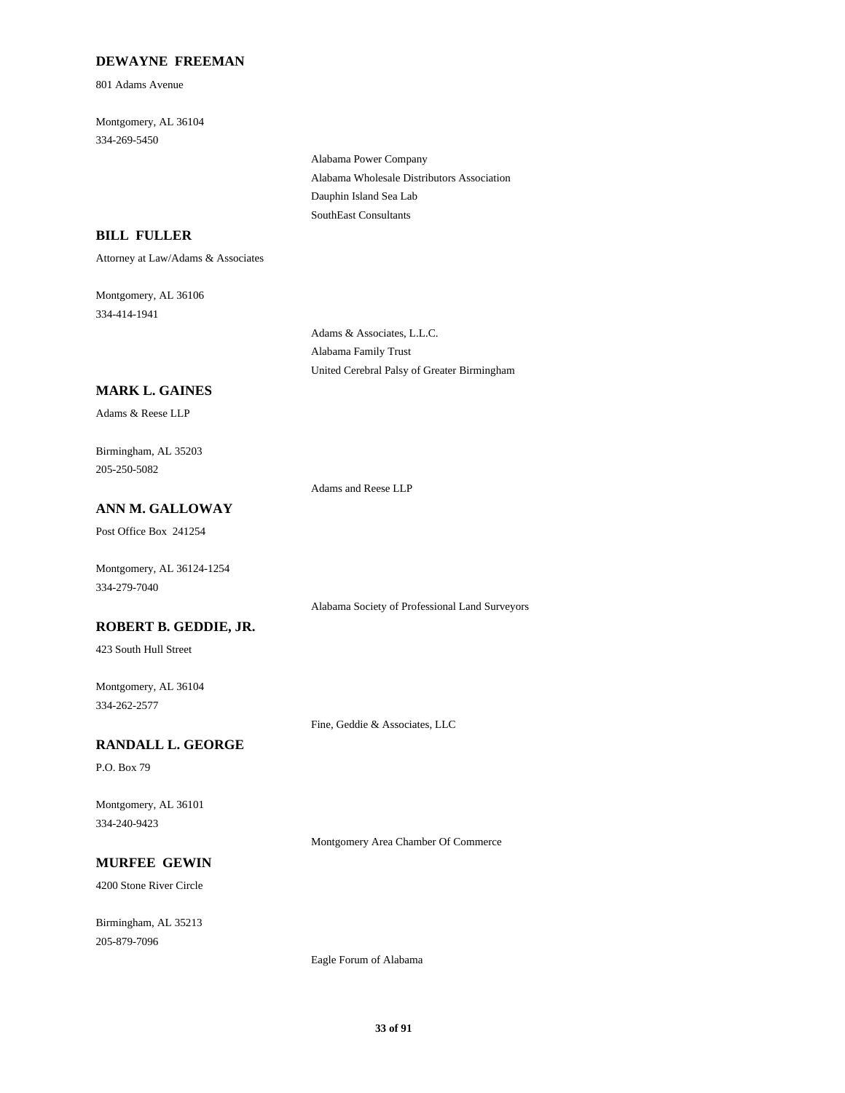# **DEWAYNE FREEMAN**

801 Adams Avenue

334-269-5450 Montgomery, AL 36104

> Alabama Wholesale Distributors Association Alabama Power Company SouthEast Consultants Dauphin Island Sea Lab

# **BILL FULLER**

Attorney at Law/Adams & Associates

334-414-1941 Montgomery, AL 36106

> Adams & Associates, L.L.C. Alabama Family Trust United Cerebral Palsy of Greater Birmingham

# **MARK L. GAINES**

Adams & Reese LLP

205-250-5082 Birmingham, AL 35203

Adams and Reese LLP

# **ANN M. GALLOWAY**

Post Office Box 241254

334-279-7040 Montgomery, AL 36124-1254

Alabama Society of Professional Land Surveyors

# **ROBERT B. GEDDIE, JR.**

423 South Hull Street

334-262-2577 Montgomery, AL 36104

#### **RANDALL L. GEORGE**

P.O. Box 79

334-240-9423 Montgomery, AL 36101

Montgomery Area Chamber Of Commerce

Fine, Geddie & Associates, LLC

#### **MURFEE GEWIN**

4200 Stone River Circle

205-879-7096 Birmingham, AL 35213

Eagle Forum of Alabama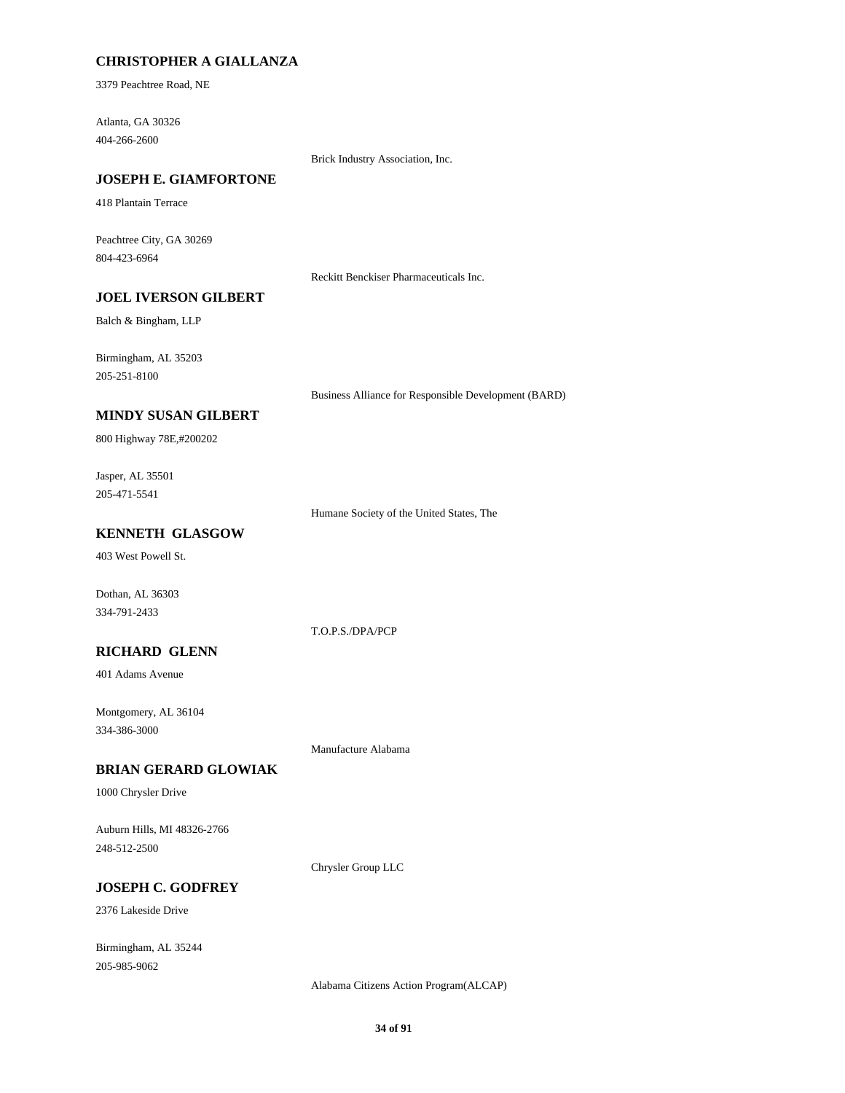# **CHRISTOPHER A GIALLANZA**

3379 Peachtree Road, NE

404-266-2600 Atlanta, GA 30326

Brick Industry Association, Inc.

# **JOSEPH E. GIAMFORTONE**

418 Plantain Terrace

804-423-6964 Peachtree City, GA 30269

Reckitt Benckiser Pharmaceuticals Inc.

# **JOEL IVERSON GILBERT**

Balch & Bingham, LLP

205-251-8100 Birmingham, AL 35203

Business Alliance for Responsible Development (BARD)

# **MINDY SUSAN GILBERT**

800 Highway 78E,#200202

205-471-5541 Jasper, AL 35501

Humane Society of the United States, The

# **KENNETH GLASGOW**

403 West Powell St.

Dothan, AL 36303 334-791-2433

T.O.P.S./DPA/PCP

# **RICHARD GLENN**

401 Adams Avenue

334-386-3000 Montgomery, AL 36104

Manufacture Alabama

# **BRIAN GERARD GLOWIAK**

1000 Chrysler Drive

248-512-2500 Auburn Hills, MI 48326-2766

Chrysler Group LLC

# **JOSEPH C. GODFREY**

2376 Lakeside Drive

205-985-9062 Birmingham, AL 35244

Alabama Citizens Action Program(ALCAP)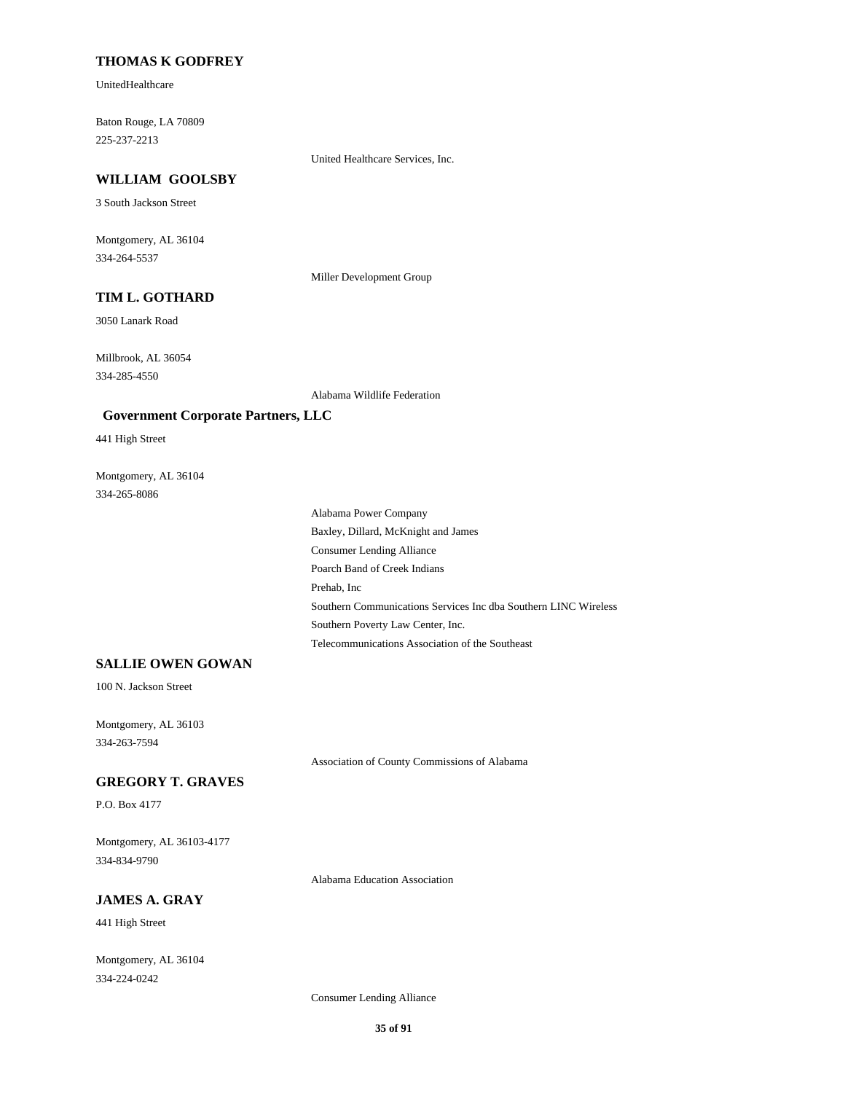### **THOMAS K GODFREY**

UnitedHealthcare

225-237-2213 Baton Rouge, LA 70809

United Healthcare Services, Inc.

# **WILLIAM GOOLSBY**

3 South Jackson Street

334-264-5537 Montgomery, AL 36104

Miller Development Group

# **TIM L. GOTHARD**

3050 Lanark Road

334-285-4550 Millbrook, AL 36054

Alabama Wildlife Federation

#### **Government Corporate Partners, LLC**

441 High Street

334-265-8086 Montgomery, AL 36104

> Prehab, Inc Poarch Band of Creek Indians Southern Communications Services Inc dba Southern LINC Wireless Telecommunications Association of the Southeast Southern Poverty Law Center, Inc. Consumer Lending Alliance Alabama Power Company Baxley, Dillard, McKnight and James

# **SALLIE OWEN GOWAN**

100 N. Jackson Street

334-263-7594 Montgomery, AL 36103

Association of County Commissions of Alabama

# **GREGORY T. GRAVES**

P.O. Box 4177

334-834-9790 Montgomery, AL 36103-4177

Alabama Education Association

# **JAMES A. GRAY**

441 High Street

334-224-0242 Montgomery, AL 36104

Consumer Lending Alliance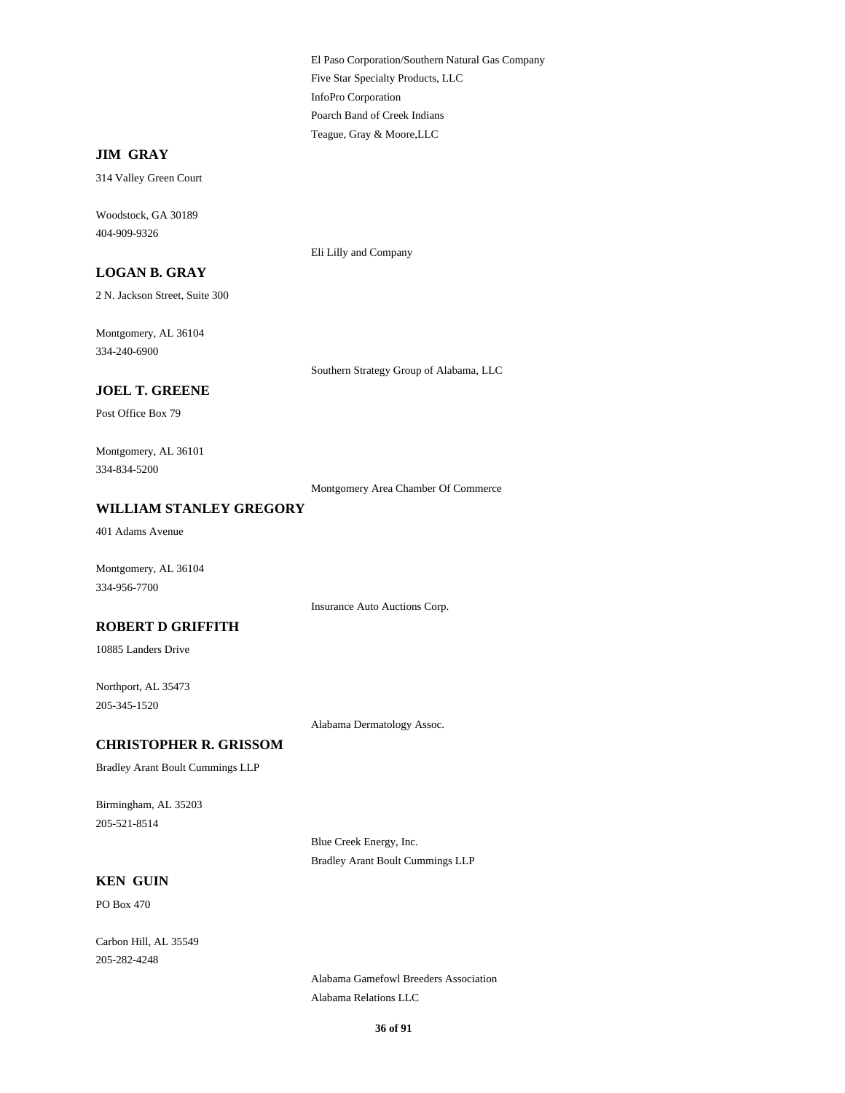Five Star Specialty Products, LLC El Paso Corporation/Southern Natural Gas Company InfoPro Corporation Teague, Gray & Moore,LLC Poarch Band of Creek Indians

# **JIM GRAY**

314 Valley Green Court

404-909-9326 Woodstock, GA 30189

# **LOGAN B. GRAY**

2 N. Jackson Street, Suite 300

334-240-6900 Montgomery, AL 36104

Southern Strategy Group of Alabama, LLC

Eli Lilly and Company

# **JOEL T. GREENE**

Post Office Box 79

334-834-5200 Montgomery, AL 36101

Montgomery Area Chamber Of Commerce

### **WILLIAM STANLEY GREGORY**

401 Adams Avenue

334-956-7700 Montgomery, AL 36104

Insurance Auto Auctions Corp.

#### **ROBERT D GRIFFITH**

10885 Landers Drive

205-345-1520 Northport, AL 35473

Alabama Dermatology Assoc.

### **CHRISTOPHER R. GRISSOM**

Bradley Arant Boult Cummings LLP

205-521-8514 Birmingham, AL 35203

> Blue Creek Energy, Inc. Bradley Arant Boult Cummings LLP

### **KEN GUIN**

PO Box 470

205-282-4248 Carbon Hill, AL 35549

> Alabama Gamefowl Breeders Association Alabama Relations LLC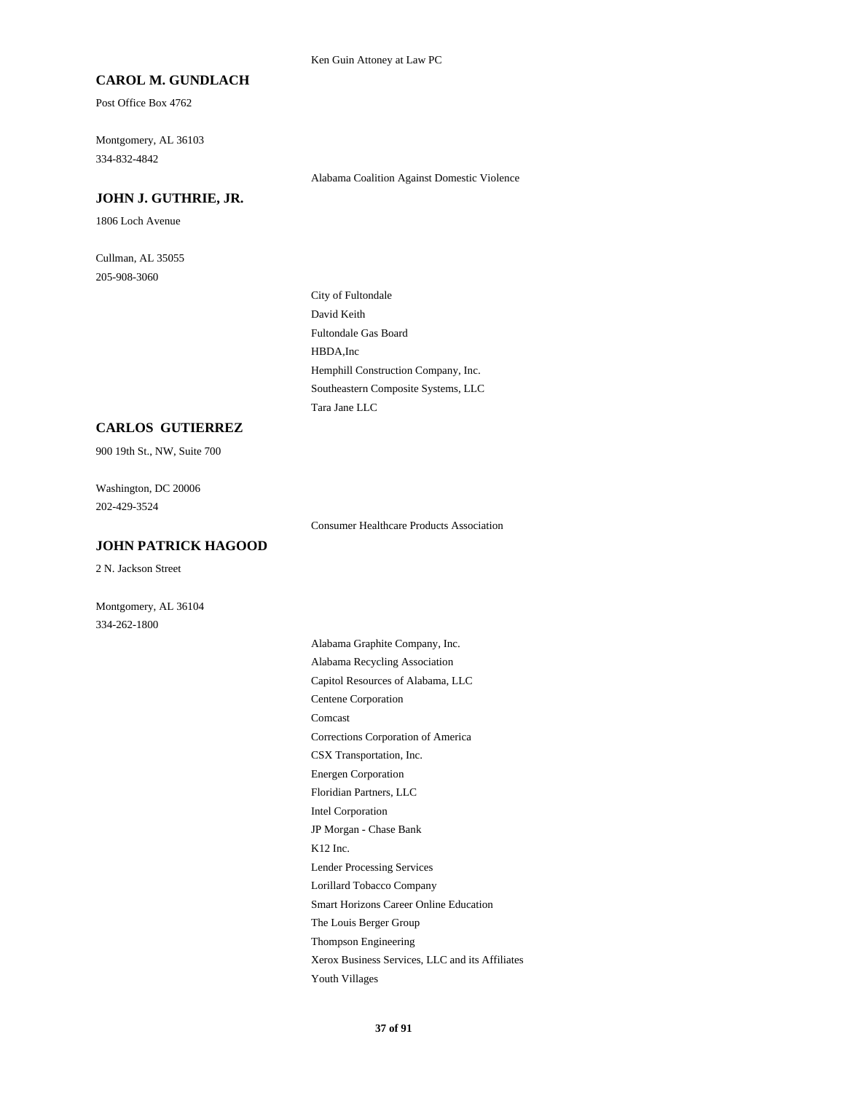#### **CAROL M. GUNDLACH**

Post Office Box 4762

334-832-4842 Montgomery, AL 36103

Alabama Coalition Against Domestic Violence

#### **JOHN J. GUTHRIE, JR.**

1806 Loch Avenue

205-908-3060 Cullman, AL 35055

> Fultondale Gas Board David Keith City of Fultondale HBDA,Inc Tara Jane LLC Southeastern Composite Systems, LLC Hemphill Construction Company, Inc.

## **CARLOS GUTIERREZ**

900 19th St., NW, Suite 700

202-429-3524 Washington, DC 20006

### **JOHN PATRICK HAGOOD**

2 N. Jackson Street

Montgomery, AL 36104 334-262-1800

Consumer Healthcare Products Association

CSX Transportation, Inc. Corrections Corporation of America Floridian Partners, LLC Energen Corporation Comcast Alabama Recycling Association Alabama Graphite Company, Inc. Centene Corporation Capitol Resources of Alabama, LLC Intel Corporation Thompson Engineering The Louis Berger Group Youth Villages Xerox Business Services, LLC and its Affiliates Smart Horizons Career Online Education K12 Inc. JP Morgan - Chase Bank Lorillard Tobacco Company Lender Processing Services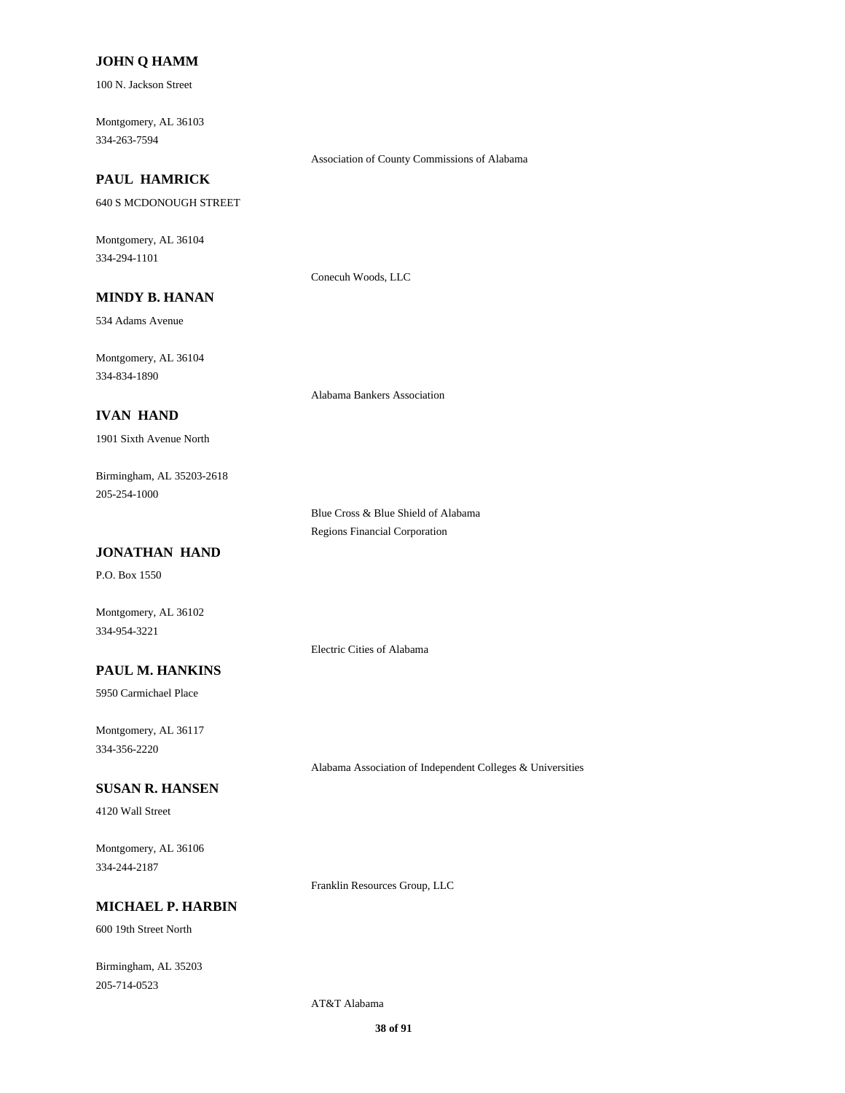### **JOHN Q HAMM**

100 N. Jackson Street

334-263-7594 Montgomery, AL 36103

#### Association of County Commissions of Alabama

## **PAUL HAMRICK**

640 S MCDONOUGH STREET

334-294-1101 Montgomery, AL 36104

Conecuh Woods, LLC

## **MINDY B. HANAN**

534 Adams Avenue

334-834-1890 Montgomery, AL 36104

Alabama Bankers Association

## **IVAN HAND**

1901 Sixth Avenue North

205-254-1000 Birmingham, AL 35203-2618

> Blue Cross & Blue Shield of Alabama Regions Financial Corporation

## **JONATHAN HAND**

P.O. Box 1550

Montgomery, AL 36102 334-954-3221

Electric Cities of Alabama

### **PAUL M. HANKINS**

5950 Carmichael Place

334-356-2220 Montgomery, AL 36117

Alabama Association of Independent Colleges & Universities

## **SUSAN R. HANSEN**

4120 Wall Street

334-244-2187 Montgomery, AL 36106

Franklin Resources Group, LLC

### **MICHAEL P. HARBIN**

600 19th Street North

205-714-0523 Birmingham, AL 35203

AT&T Alabama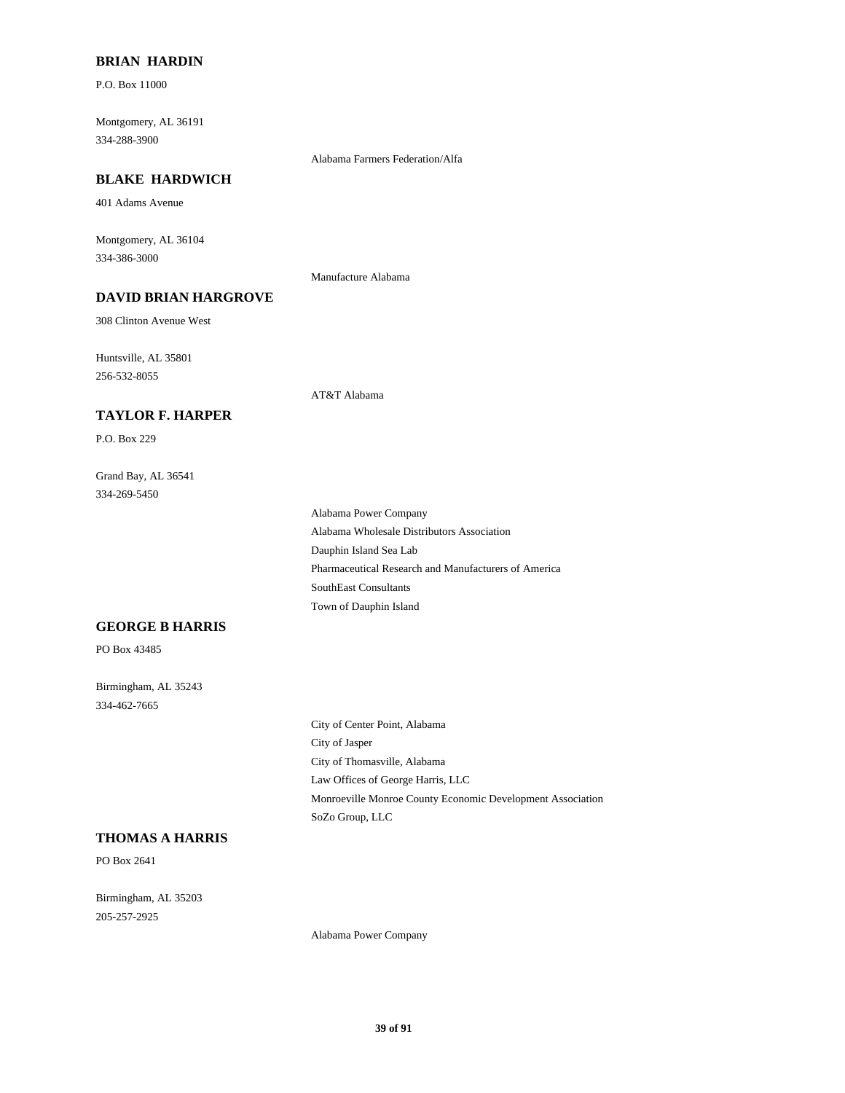### **BRIAN HARDIN**

P.O. Box 11000

334-288-3900 Montgomery, AL 36191

Alabama Farmers Federation/Alfa

### **BLAKE HARDWICH**

401 Adams Avenue

334-386-3000 Montgomery, AL 36104

Manufacture Alabama

## **DAVID BRIAN HARGROVE**

308 Clinton Avenue West

**TAYLOR F. HARPER**

256-532-8055 Huntsville, AL 35801

AT&T Alabama

P.O. Box 229

334-269-5450 Grand Bay, AL 36541

> Pharmaceutical Research and Manufacturers of America SouthEast Consultants Town of Dauphin Island Alabama Power Company Alabama Wholesale Distributors Association Dauphin Island Sea Lab

## **GEORGE B HARRIS**

PO Box 43485

334-462-7665 Birmingham, AL 35243

> City of Thomasville, Alabama City of Jasper City of Center Point, Alabama SoZo Group, LLC Monroeville Monroe County Economic Development Association Law Offices of George Harris, LLC

#### **THOMAS A HARRIS**

PO Box 2641

205-257-2925 Birmingham, AL 35203

Alabama Power Company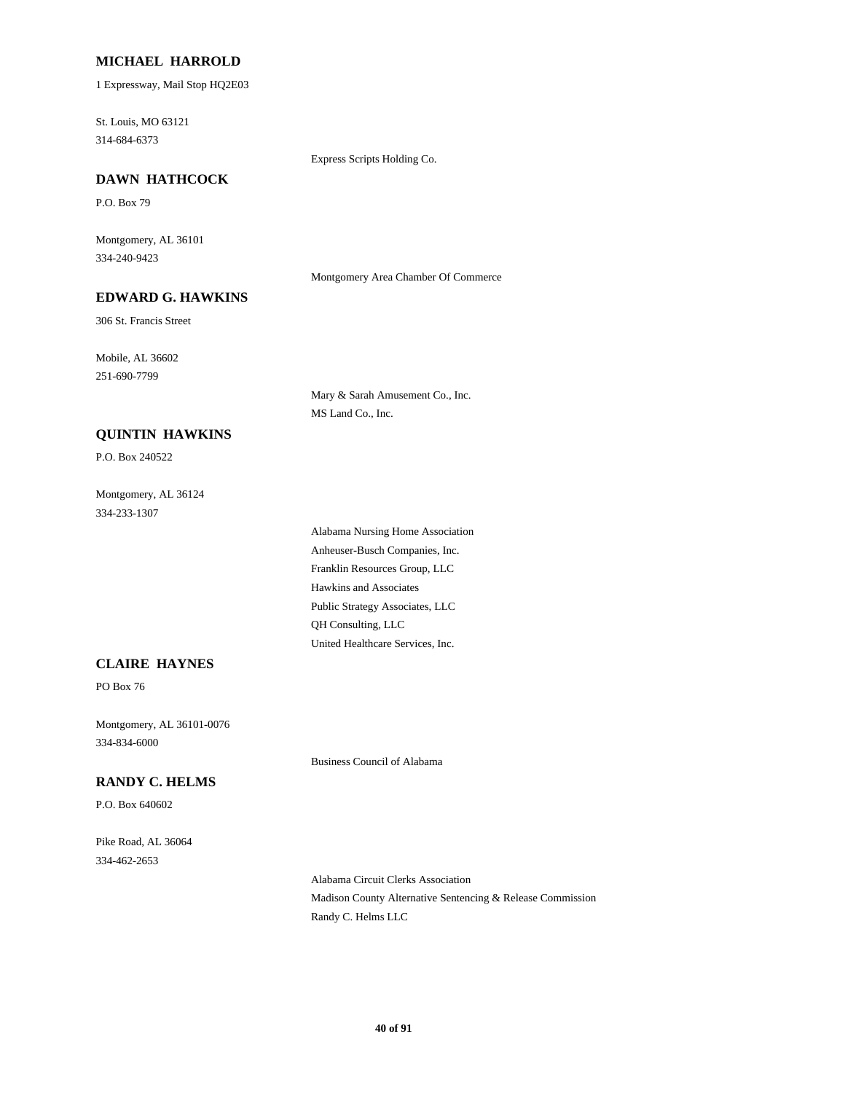#### **MICHAEL HARROLD**

1 Expressway, Mail Stop HQ2E03

314-684-6373 St. Louis, MO 63121

Express Scripts Holding Co.

## **DAWN HATHCOCK**

P.O. Box 79

334-240-9423 Montgomery, AL 36101

Montgomery Area Chamber Of Commerce

## **EDWARD G. HAWKINS**

306 St. Francis Street

251-690-7799 Mobile, AL 36602

> Mary & Sarah Amusement Co., Inc. MS Land Co., Inc.

## **QUINTIN HAWKINS**

P.O. Box 240522

334-233-1307 Montgomery, AL 36124

> Hawkins and Associates Franklin Resources Group, LLC Public Strategy Associates, LLC United Healthcare Services, Inc. QH Consulting, LLC Anheuser-Busch Companies, Inc. Alabama Nursing Home Association

## **CLAIRE HAYNES**

PO Box 76

334-834-6000 Montgomery, AL 36101-0076

Business Council of Alabama

## **RANDY C. HELMS**

P.O. Box 640602

334-462-2653 Pike Road, AL 36064

> Alabama Circuit Clerks Association Madison County Alternative Sentencing & Release Commission Randy C. Helms LLC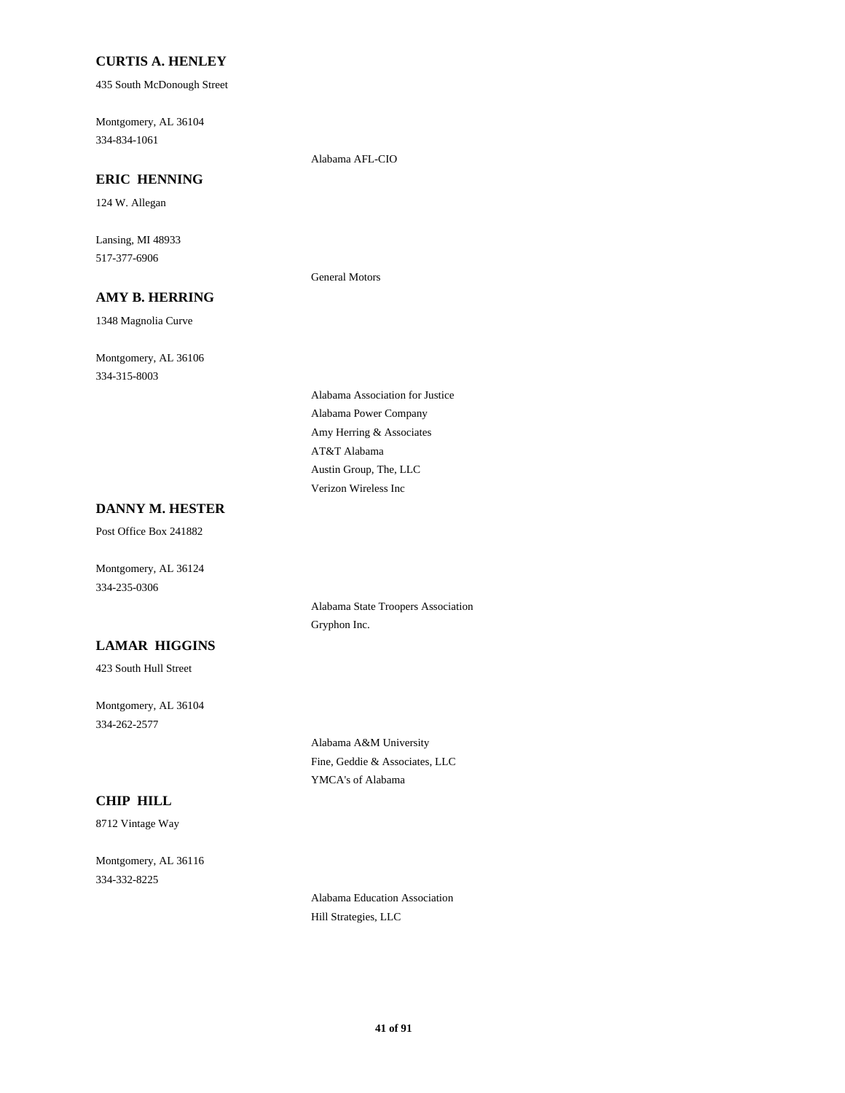### **CURTIS A. HENLEY**

435 South McDonough Street

334-834-1061 Montgomery, AL 36104

Alabama AFL-CIO

General Motors

## **ERIC HENNING**

124 W. Allegan

517-377-6906 Lansing, MI 48933

### **AMY B. HERRING**

1348 Magnolia Curve

334-315-8003 Montgomery, AL 36106

Amy Herring & Associates Alabama Power Company Alabama Association for Justice Verizon Wireless Inc Austin Group, The, LLC AT&T Alabama

## **DANNY M. HESTER**

Post Office Box 241882

Montgomery, AL 36124 334-235-0306

### **LAMAR HIGGINS**

423 South Hull Street

334-262-2577 Montgomery, AL 36104

> Alabama A&M University Fine, Geddie & Associates, LLC YMCA's of Alabama

Alabama State Troopers Association

Gryphon Inc.

### **CHIP HILL**

8712 Vintage Way

334-332-8225 Montgomery, AL 36116

> Alabama Education Association Hill Strategies, LLC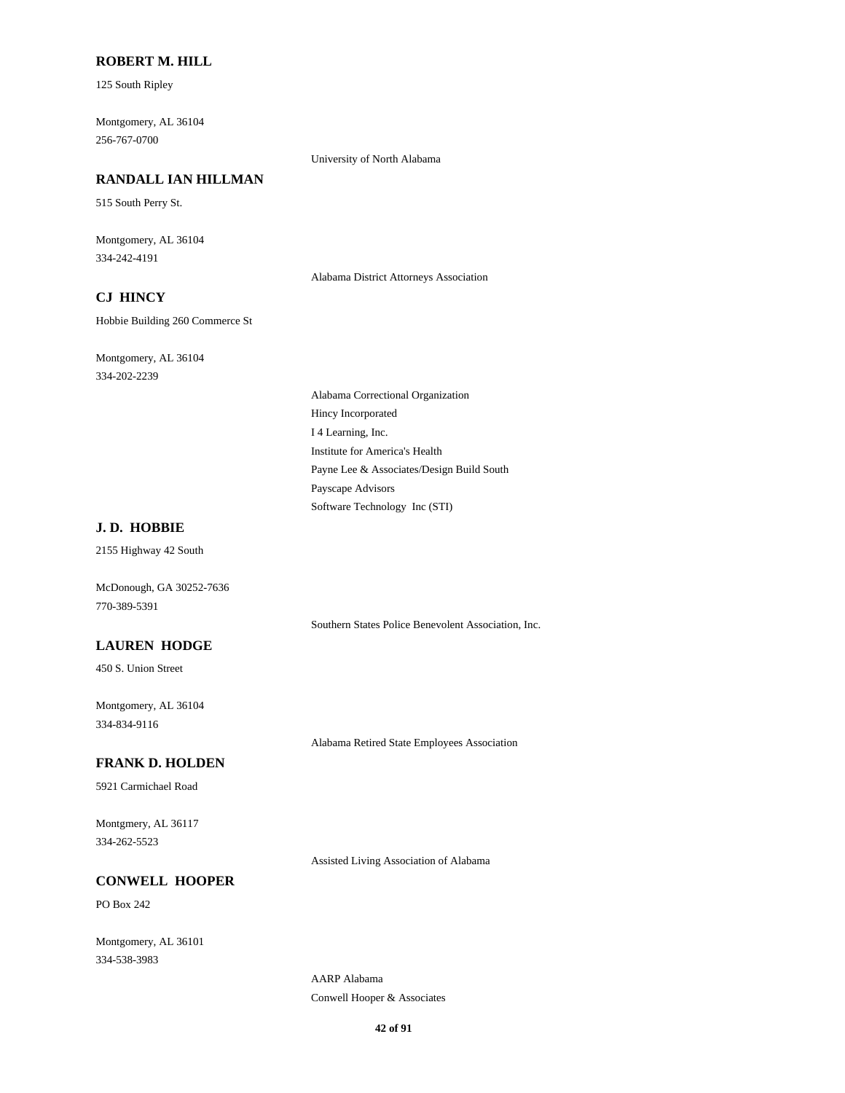### **ROBERT M. HILL**

125 South Ripley

256-767-0700 Montgomery, AL 36104

#### University of North Alabama

## **RANDALL IAN HILLMAN**

515 South Perry St.

334-242-4191 Montgomery, AL 36104

Alabama District Attorneys Association

## **CJ HINCY**

Hobbie Building 260 Commerce St

334-202-2239 Montgomery, AL 36104

> I 4 Learning, Inc. Hincy Incorporated Alabama Correctional Organization Institute for America's Health Software Technology Inc (STI) Payscape Advisors Payne Lee & Associates/Design Build South

## **J. D. HOBBIE**

2155 Highway 42 South

770-389-5391 McDonough, GA 30252-7636

Southern States Police Benevolent Association, Inc.

## **LAUREN HODGE**

450 S. Union Street

334-834-9116 Montgomery, AL 36104

Alabama Retired State Employees Association

## **FRANK D. HOLDEN**

5921 Carmichael Road

334-262-5523 Montgmery, AL 36117

Assisted Living Association of Alabama

#### **CONWELL HOOPER**

PO Box 242

334-538-3983 Montgomery, AL 36101

> AARP Alabama Conwell Hooper & Associates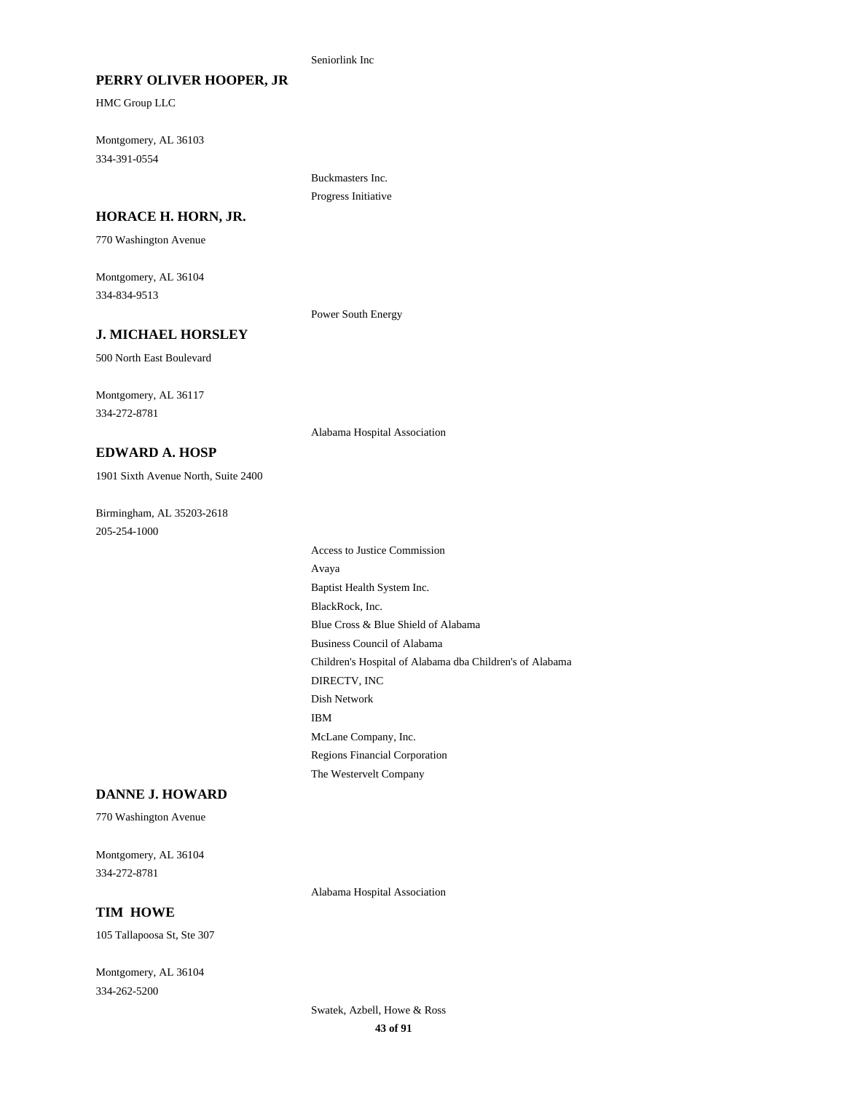#### Seniorlink Inc

#### **PERRY OLIVER HOOPER, JR**

HMC Group LLC

334-391-0554 Montgomery, AL 36103

> Buckmasters Inc. Progress Initiative

#### **HORACE H. HORN, JR.**

770 Washington Avenue

334-834-9513 Montgomery, AL 36104

Power South Energy

Alabama Hospital Association

#### **J. MICHAEL HORSLEY**

500 North East Boulevard

334-272-8781 Montgomery, AL 36117

## **EDWARD A. HOSP**

1901 Sixth Avenue North, Suite 2400

205-254-1000 Birmingham, AL 35203-2618

Children's Hospital of Alabama dba Children's of Alabama DIRECTV, INC Blue Cross & Blue Shield of Alabama Business Council of Alabama Dish Network Regions Financial Corporation The Westervelt Company IBM McLane Company, Inc. BlackRock, Inc. Access to Justice Commission Avaya Baptist Health System Inc.

### **DANNE J. HOWARD**

770 Washington Avenue

334-272-8781 Montgomery, AL 36104

Alabama Hospital Association

## **TIM HOWE**

105 Tallapoosa St, Ste 307

334-262-5200 Montgomery, AL 36104

> **43 of 91** Swatek, Azbell, Howe & Ross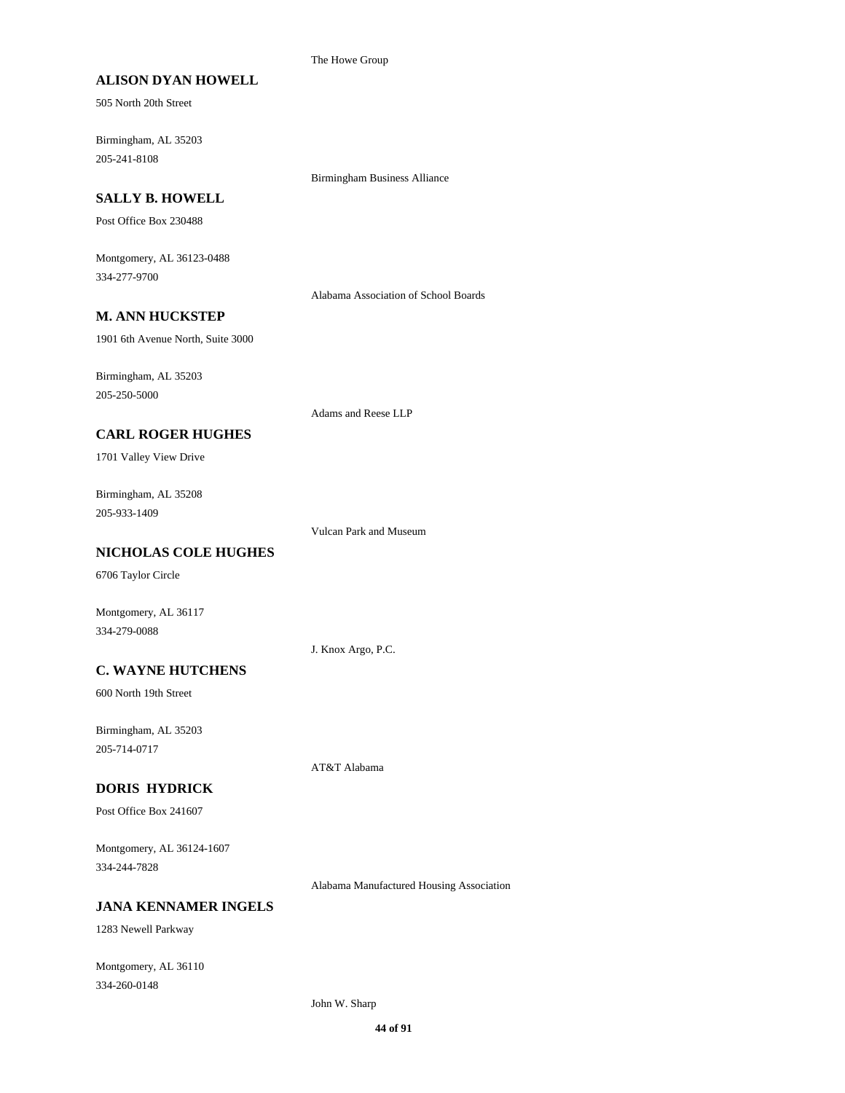#### The Howe Group

#### **ALISON DYAN HOWELL**

505 North 20th Street

205-241-8108 Birmingham, AL 35203

#### **SALLY B. HOWELL**

Post Office Box 230488

334-277-9700 Montgomery, AL 36123-0488

Alabama Association of School Boards

Birmingham Business Alliance

### **M. ANN HUCKSTEP**

1901 6th Avenue North, Suite 3000

205-250-5000 Birmingham, AL 35203

Adams and Reese LLP

## **CARL ROGER HUGHES**

1701 Valley View Drive

205-933-1409 Birmingham, AL 35208

Vulcan Park and Museum

## **NICHOLAS COLE HUGHES**

6706 Taylor Circle

Montgomery, AL 36117 334-279-0088

J. Knox Argo, P.C.

#### **C. WAYNE HUTCHENS**

600 North 19th Street

205-714-0717 Birmingham, AL 35203

AT&T Alabama

## **DORIS HYDRICK**

Post Office Box 241607

334-244-7828 Montgomery, AL 36124-1607

Alabama Manufactured Housing Association

## **JANA KENNAMER INGELS**

1283 Newell Parkway

334-260-0148 Montgomery, AL 36110

John W. Sharp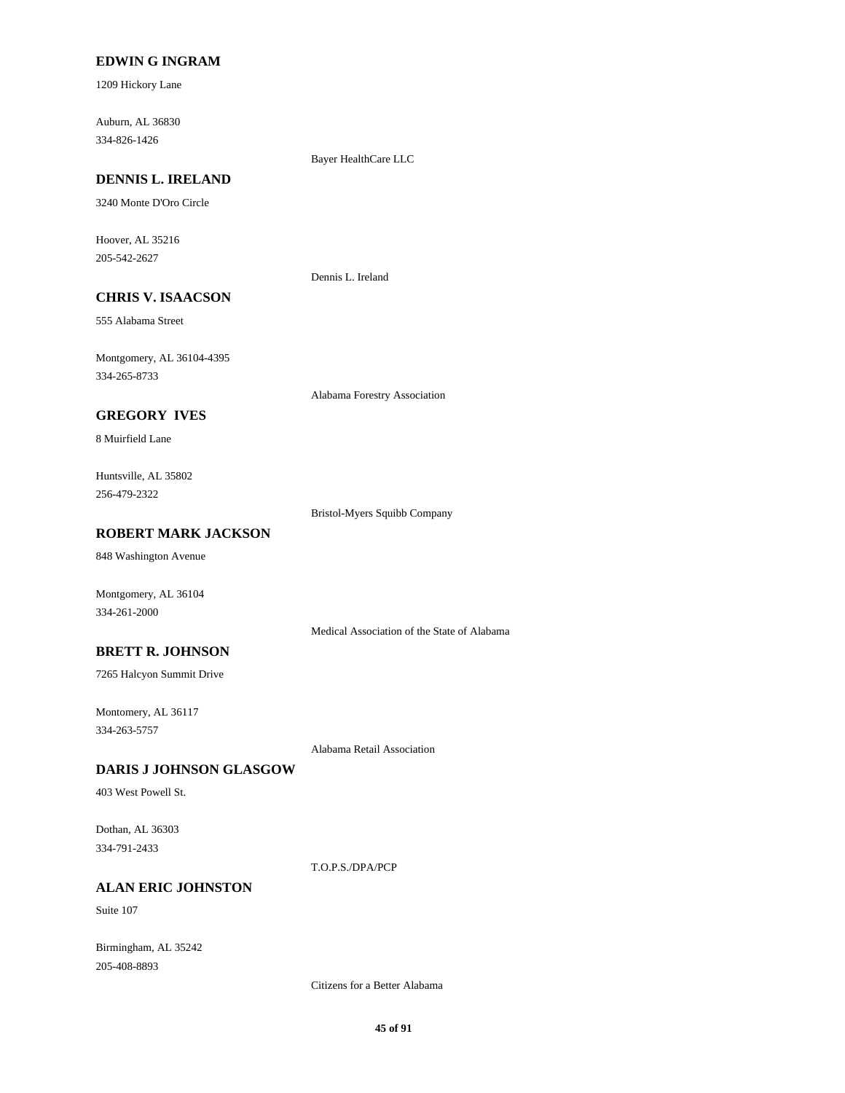### **EDWIN G INGRAM**

1209 Hickory Lane

334-826-1426 Auburn, AL 36830

Bayer HealthCare LLC

## **DENNIS L. IRELAND**

3240 Monte D'Oro Circle

205-542-2627 Hoover, AL 35216

Dennis L. Ireland

## **CHRIS V. ISAACSON**

555 Alabama Street

334-265-8733 Montgomery, AL 36104-4395

Alabama Forestry Association

## **GREGORY IVES**

8 Muirfield Lane

256-479-2322 Huntsville, AL 35802

Bristol-Myers Squibb Company

## **ROBERT MARK JACKSON**

848 Washington Avenue

Montgomery, AL 36104 334-261-2000

Medical Association of the State of Alabama

#### **BRETT R. JOHNSON**

7265 Halcyon Summit Drive

334-263-5757 Montomery, AL 36117

Alabama Retail Association

#### **DARIS J JOHNSON GLASGOW**

403 West Powell St.

334-791-2433 Dothan, AL 36303

T.O.P.S./DPA/PCP

## **ALAN ERIC JOHNSTON**

Suite 107

205-408-8893 Birmingham, AL 35242

Citizens for a Better Alabama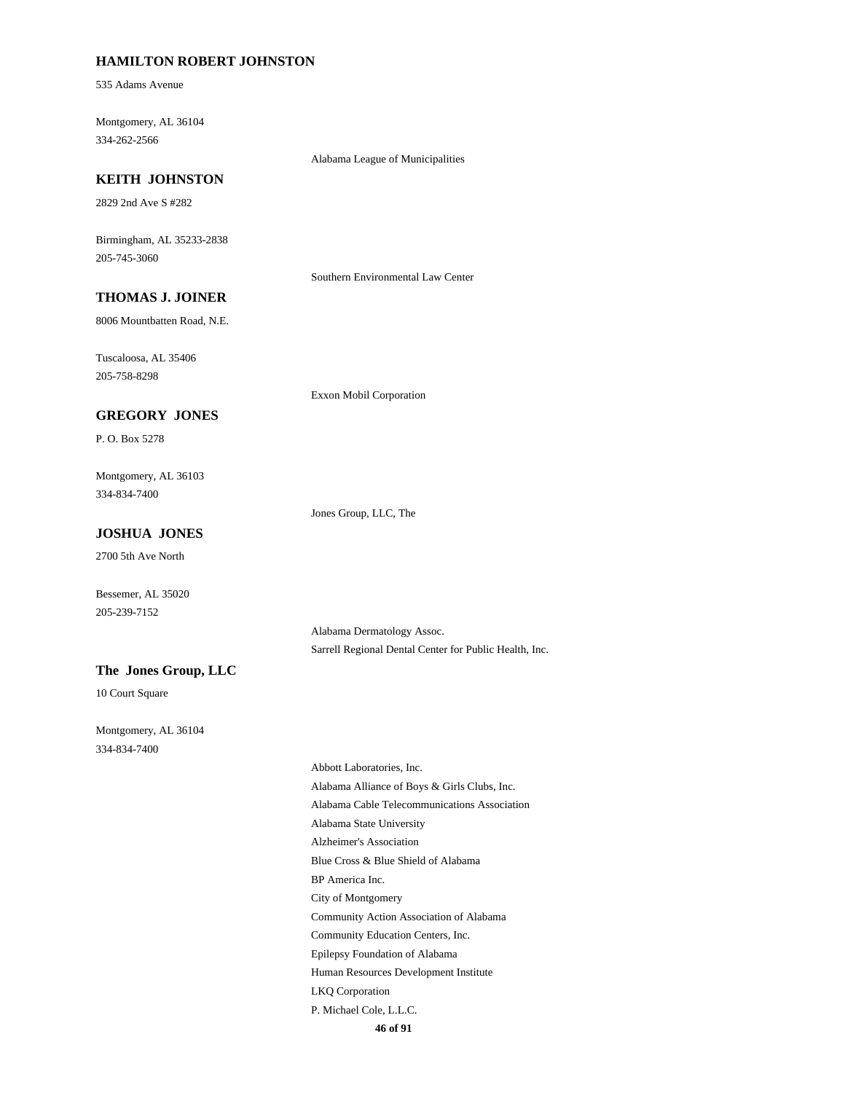#### **HAMILTON ROBERT JOHNSTON**

535 Adams Avenue

334-262-2566 Montgomery, AL 36104

Alabama League of Municipalities

#### **KEITH JOHNSTON**

2829 2nd Ave S #282

205-745-3060 Birmingham, AL 35233-2838

Southern Environmental Law Center

## **THOMAS J. JOINER**

8006 Mountbatten Road, N.E.

205-758-8298 Tuscaloosa, AL 35406

Exxon Mobil Corporation

## **GREGORY JONES**

P. O. Box 5278

334-834-7400 Montgomery, AL 36103

Jones Group, LLC, The

## **JOSHUA JONES**

2700 5th Ave North

Bessemer, AL 35020 205-239-7152

> Alabama Dermatology Assoc. Sarrell Regional Dental Center for Public Health, Inc.

#### **The Jones Group, LLC**

10 Court Square

334-834-7400 Montgomery, AL 36104

> **46 of 91** Blue Cross & Blue Shield of Alabama Alzheimer's Association City of Montgomery BP America Inc. Alabama Alliance of Boys & Girls Clubs, Inc. Abbott Laboratories, Inc. Alabama State University Alabama Cable Telecommunications Association P. Michael Cole, L.L.C. LKQ Corporation Community Education Centers, Inc. Community Action Association of Alabama Human Resources Development Institute Epilepsy Foundation of Alabama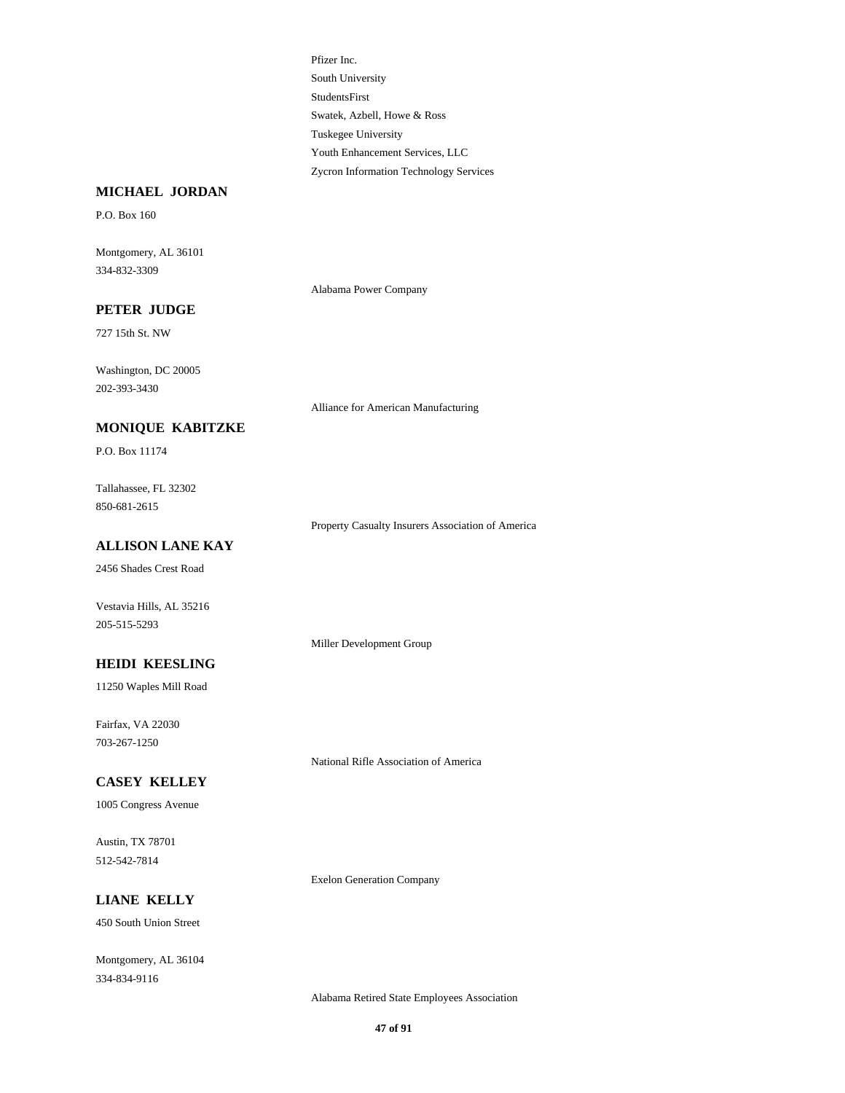StudentsFirst South University Pfizer Inc. Swatek, Azbell, Howe & Ross Zycron Information Technology Services Youth Enhancement Services, LLC Tuskegee University

## **MICHAEL JORDAN**

P.O. Box 160

334-832-3309 Montgomery, AL 36101

Alabama Power Company

## **PETER JUDGE**

727 15th St. NW

202-393-3430 Washington, DC 20005

Alliance for American Manufacturing

### **MONIQUE KABITZKE**

P.O. Box 11174

850-681-2615 Tallahassee, FL 32302

Property Casualty Insurers Association of America

## **ALLISON LANE KAY**

2456 Shades Crest Road

Vestavia Hills, AL 35216 205-515-5293

Miller Development Group

## **HEIDI KEESLING**

11250 Waples Mill Road

703-267-1250 Fairfax, VA 22030

National Rifle Association of America

Exelon Generation Company

## **CASEY KELLEY**

1005 Congress Avenue

512-542-7814 Austin, TX 78701

**LIANE KELLY**

450 South Union Street

334-834-9116 Montgomery, AL 36104

Alabama Retired State Employees Association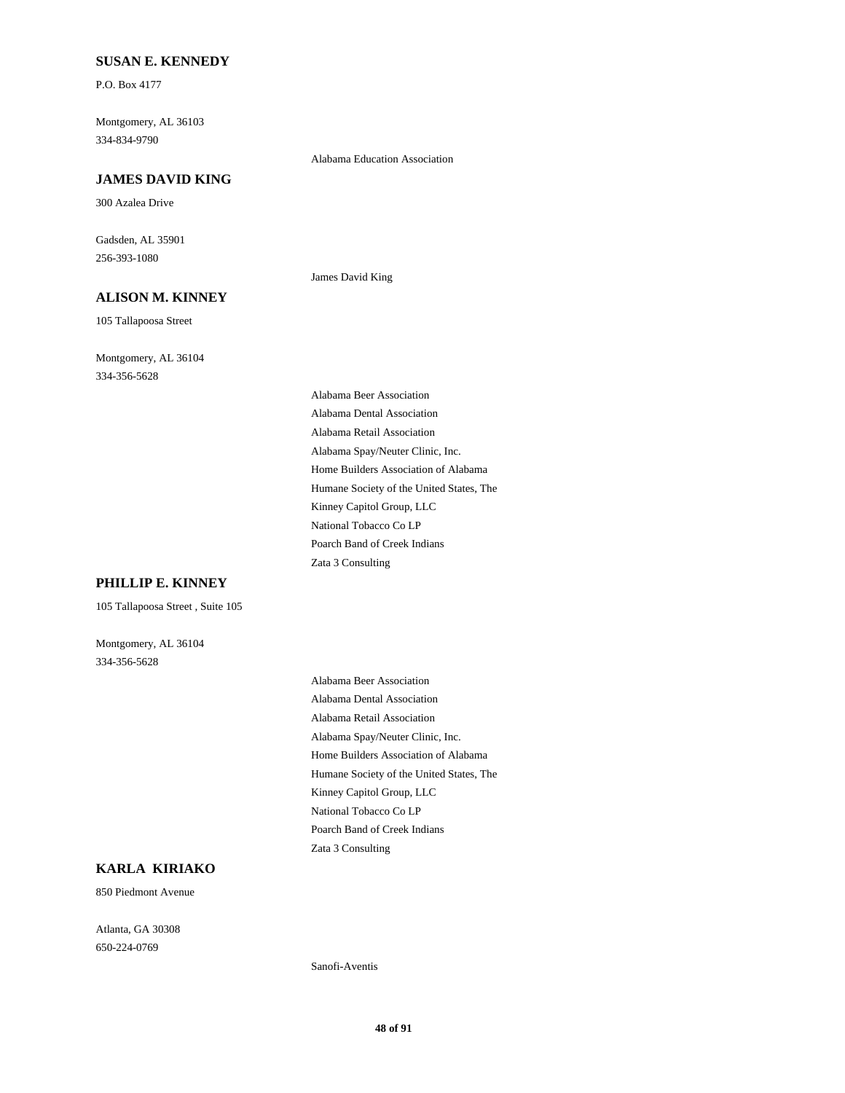### **SUSAN E. KENNEDY**

P.O. Box 4177

334-834-9790 Montgomery, AL 36103

#### **JAMES DAVID KING**

300 Azalea Drive

256-393-1080 Gadsden, AL 35901

## **ALISON M. KINNEY**

105 Tallapoosa Street

334-356-5628 Montgomery, AL 36104 James David King

Alabama Education Association

Alabama Spay/Neuter Clinic, Inc. Home Builders Association of Alabama Alabama Retail Association Alabama Beer Association Alabama Dental Association Poarch Band of Creek Indians Zata 3 Consulting National Tobacco Co LP Humane Society of the United States, The Kinney Capitol Group, LLC

#### **PHILLIP E. KINNEY**

105 Tallapoosa Street , Suite 105

334-356-5628 Montgomery, AL 36104

> Alabama Spay/Neuter Clinic, Inc. Home Builders Association of Alabama Alabama Retail Association Alabama Beer Association Alabama Dental Association Poarch Band of Creek Indians Zata 3 Consulting National Tobacco Co LP Humane Society of the United States, The Kinney Capitol Group, LLC

### **KARLA KIRIAKO**

850 Piedmont Avenue

650-224-0769 Atlanta, GA 30308

Sanofi-Aventis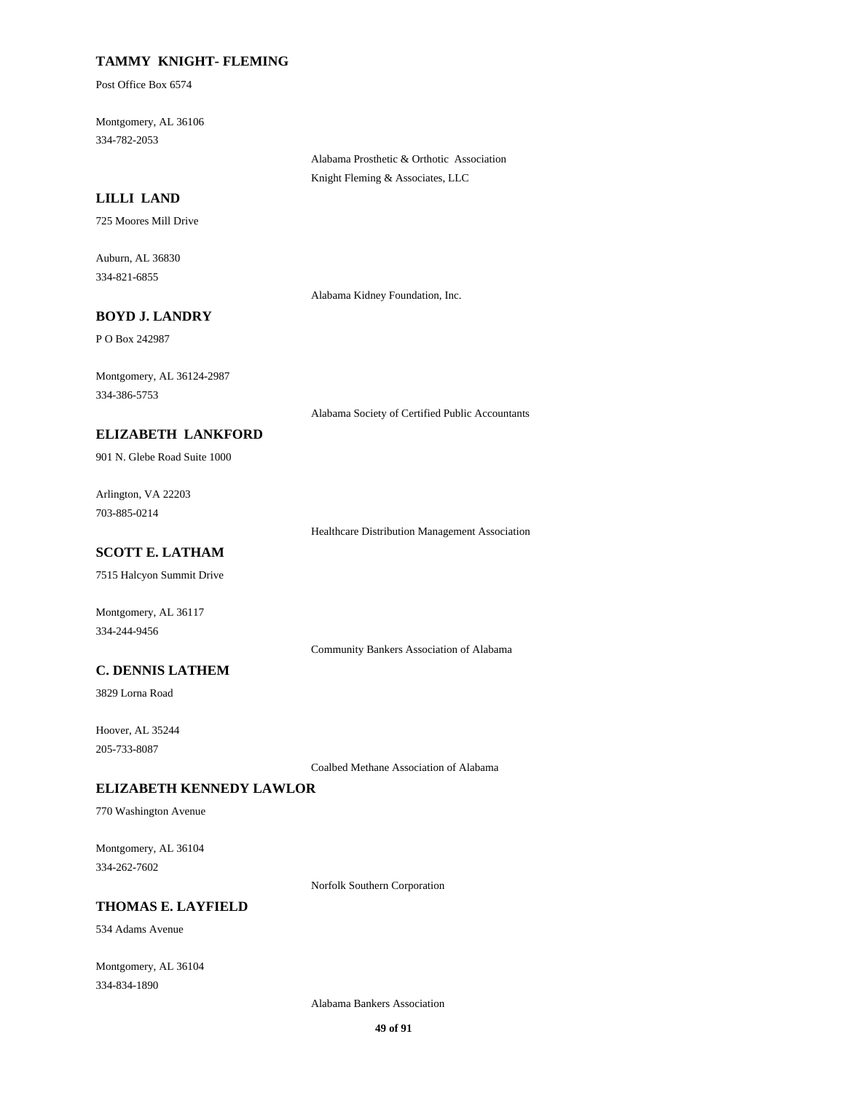## **TAMMY KNIGHT- FLEMING**

Post Office Box 6574

334-782-2053 Montgomery, AL 36106

> Alabama Prosthetic & Orthotic Association Knight Fleming & Associates, LLC

## **LILLI LAND**

725 Moores Mill Drive

334-821-6855 Auburn, AL 36830

Alabama Kidney Foundation, Inc.

#### **BOYD J. LANDRY**

P O Box 242987

334-386-5753 Montgomery, AL 36124-2987

Alabama Society of Certified Public Accountants

## **ELIZABETH LANKFORD**

901 N. Glebe Road Suite 1000

703-885-0214 Arlington, VA 22203

Healthcare Distribution Management Association

## **SCOTT E. LATHAM**

7515 Halcyon Summit Drive

Montgomery, AL 36117 334-244-9456

Community Bankers Association of Alabama

### **C. DENNIS LATHEM**

3829 Lorna Road

205-733-8087 Hoover, AL 35244

Coalbed Methane Association of Alabama

## **ELIZABETH KENNEDY LAWLOR**

770 Washington Avenue

334-262-7602 Montgomery, AL 36104

Norfolk Southern Corporation

## **THOMAS E. LAYFIELD**

534 Adams Avenue

334-834-1890 Montgomery, AL 36104

Alabama Bankers Association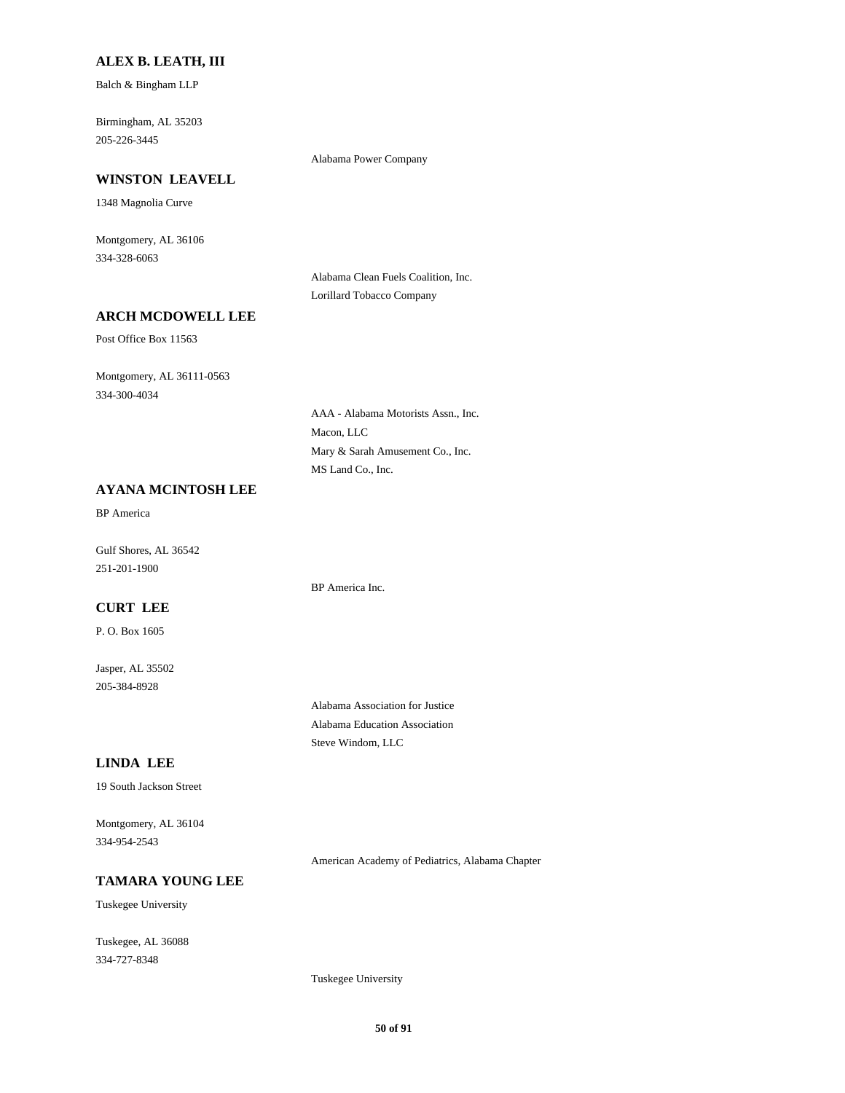#### **ALEX B. LEATH, III**

Balch & Bingham LLP

205-226-3445 Birmingham, AL 35203

## Alabama Power Company

**WINSTON LEAVELL**

1348 Magnolia Curve

334-328-6063 Montgomery, AL 36106

> Alabama Clean Fuels Coalition, Inc. Lorillard Tobacco Company

## **ARCH MCDOWELL LEE**

Post Office Box 11563

334-300-4034 Montgomery, AL 36111-0563

> Macon, LLC AAA - Alabama Motorists Assn., Inc. MS Land Co., Inc. Mary & Sarah Amusement Co., Inc.

### **AYANA MCINTOSH LEE**

BP America

251-201-1900 Gulf Shores, AL 36542

BP America Inc.

### **CURT LEE**

P. O. Box 1605

205-384-8928 Jasper, AL 35502

> Alabama Association for Justice Alabama Education Association Steve Windom, LLC

## **LINDA LEE**

19 South Jackson Street

334-954-2543 Montgomery, AL 36104

American Academy of Pediatrics, Alabama Chapter

#### **TAMARA YOUNG LEE**

Tuskegee University

334-727-8348 Tuskegee, AL 36088

Tuskegee University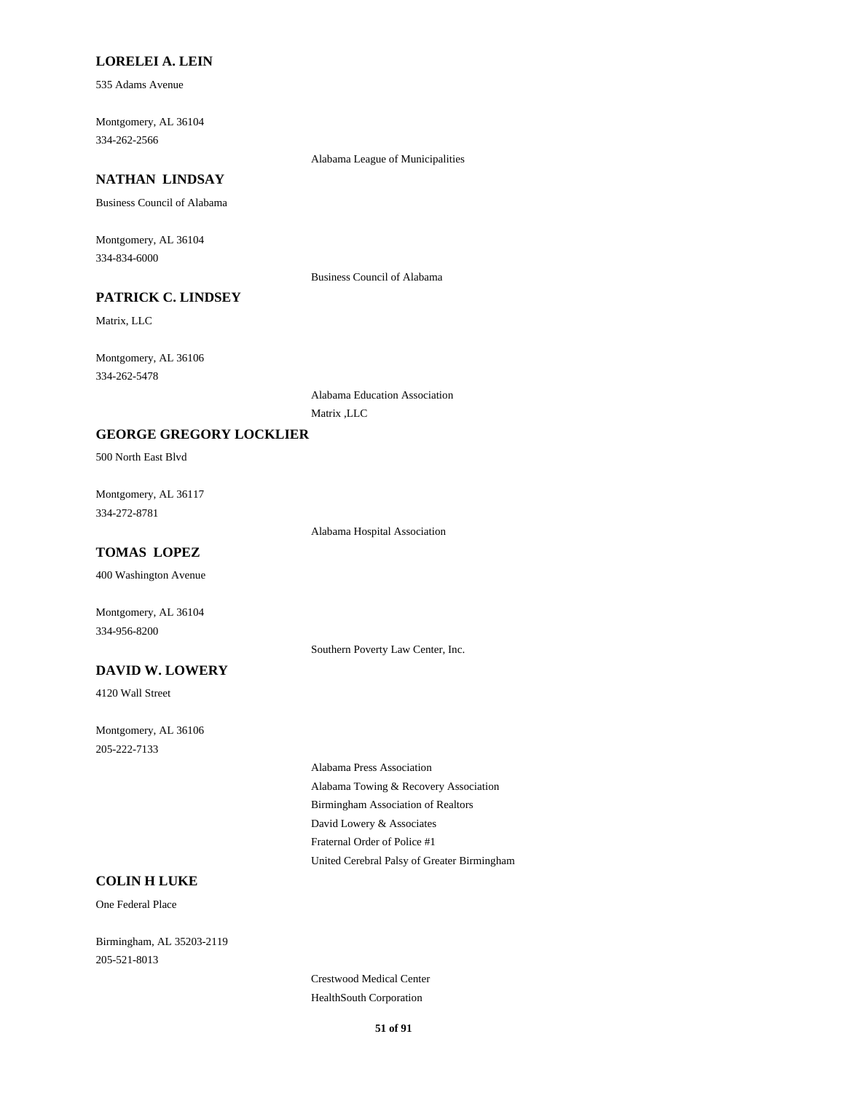#### **LORELEI A. LEIN**

535 Adams Avenue

334-262-2566 Montgomery, AL 36104

#### Alabama League of Municipalities

## **NATHAN LINDSAY**

Business Council of Alabama

334-834-6000 Montgomery, AL 36104

Business Council of Alabama

## **PATRICK C. LINDSEY**

Matrix, LLC

334-262-5478 Montgomery, AL 36106

> Alabama Education Association Matrix ,LLC

### **GEORGE GREGORY LOCKLIER**

500 North East Blvd

334-272-8781 Montgomery, AL 36117

Alabama Hospital Association

## **TOMAS LOPEZ**

400 Washington Avenue

Montgomery, AL 36104 334-956-8200

Southern Poverty Law Center, Inc.

### **DAVID W. LOWERY**

4120 Wall Street

205-222-7133 Montgomery, AL 36106

> Birmingham Association of Realtors Alabama Towing & Recovery Association Alabama Press Association United Cerebral Palsy of Greater Birmingham Fraternal Order of Police #1 David Lowery & Associates

#### **COLIN H LUKE**

One Federal Place

205-521-8013 Birmingham, AL 35203-2119

> Crestwood Medical Center HealthSouth Corporation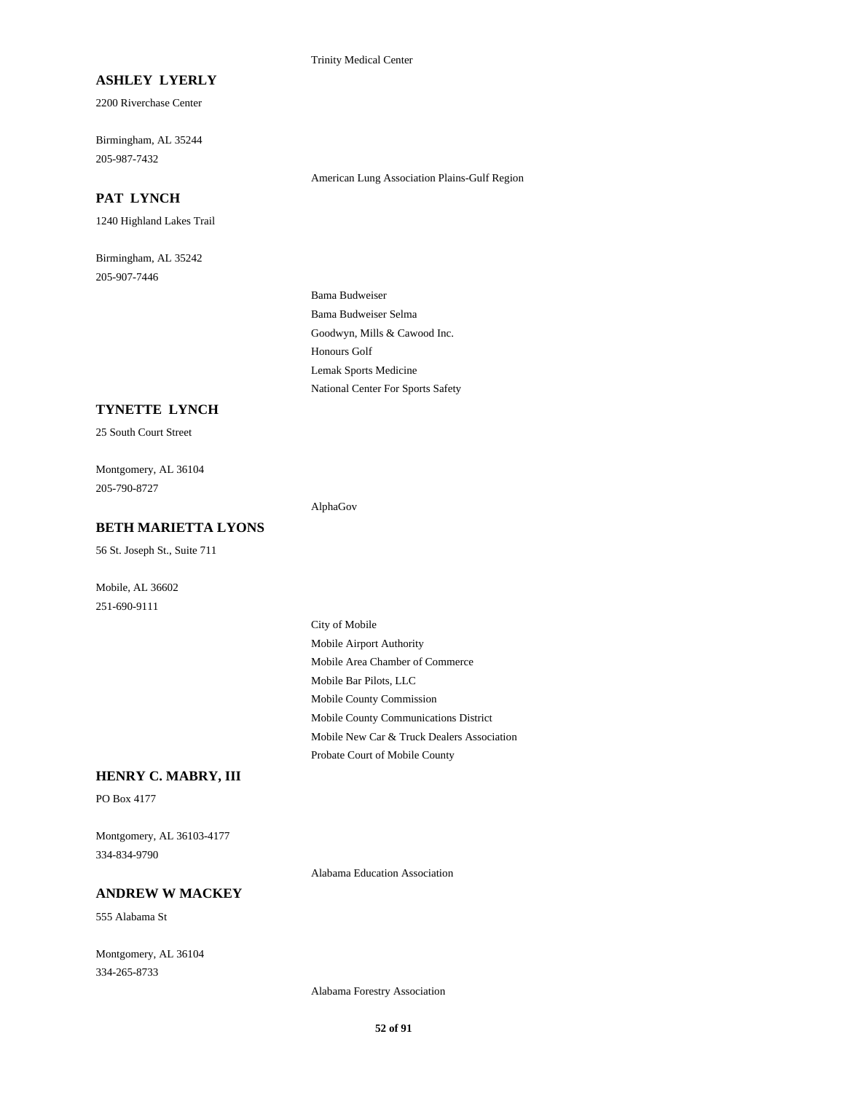Trinity Medical Center

### **ASHLEY LYERLY**

2200 Riverchase Center

205-987-7432 Birmingham, AL 35244

## **PAT LYNCH**

1240 Highland Lakes Trail

205-907-7446 Birmingham, AL 35242 American Lung Association Plains-Gulf Region

Goodwyn, Mills & Cawood Inc. Bama Budweiser Selma Bama Budweiser National Center For Sports Safety Lemak Sports Medicine Honours Golf

#### **TYNETTE LYNCH**

25 South Court Street

205-790-8727 Montgomery, AL 36104

AlphaGov

## **BETH MARIETTA LYONS**

56 St. Joseph St., Suite 711

251-690-9111 Mobile, AL 36602

> Mobile Area Chamber of Commerce Mobile Bar Pilots, LLC City of Mobile Mobile Airport Authority Mobile New Car & Truck Dealers Association Probate Court of Mobile County Mobile County Commission Mobile County Communications District

## **HENRY C. MABRY, III**

PO Box 4177

334-834-9790 Montgomery, AL 36103-4177

Alabama Education Association

## **ANDREW W MACKEY**

555 Alabama St

334-265-8733 Montgomery, AL 36104

Alabama Forestry Association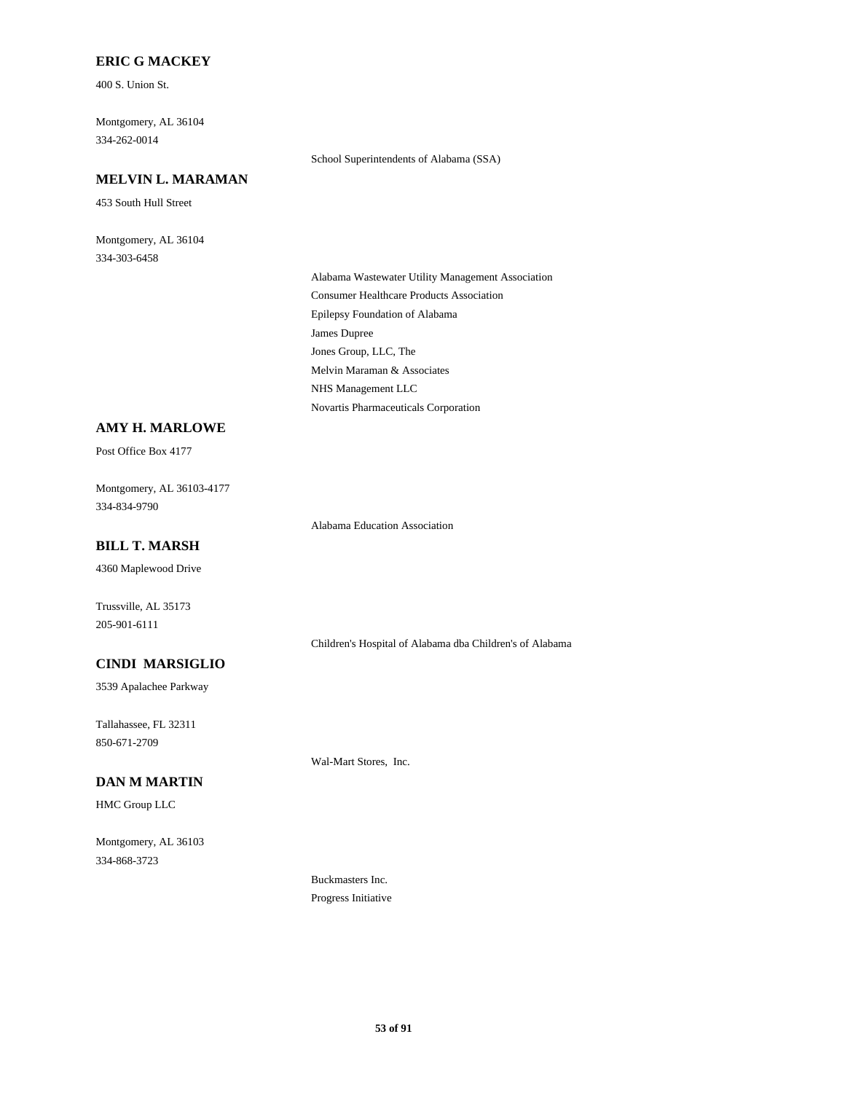## **ERIC G MACKEY**

400 S. Union St.

334-262-0014 Montgomery, AL 36104

## **MELVIN L. MARAMAN**

453 South Hull Street

334-303-6458 Montgomery, AL 36104 School Superintendents of Alabama (SSA)

Epilepsy Foundation of Alabama James Dupree Alabama Wastewater Utility Management Association Consumer Healthcare Products Association NHS Management LLC Novartis Pharmaceuticals Corporation Jones Group, LLC, The Melvin Maraman & Associates

## **AMY H. MARLOWE**

Post Office Box 4177

334-834-9790 Montgomery, AL 36103-4177

Alabama Education Association

## **BILL T. MARSH**

4360 Maplewood Drive

205-901-6111 Trussville, AL 35173

Children's Hospital of Alabama dba Children's of Alabama

## **CINDI MARSIGLIO**

3539 Apalachee Parkway

850-671-2709 Tallahassee, FL 32311

## **DAN M MARTIN**

HMC Group LLC

334-868-3723 Montgomery, AL 36103 Wal-Mart Stores, Inc.

Buckmasters Inc. Progress Initiative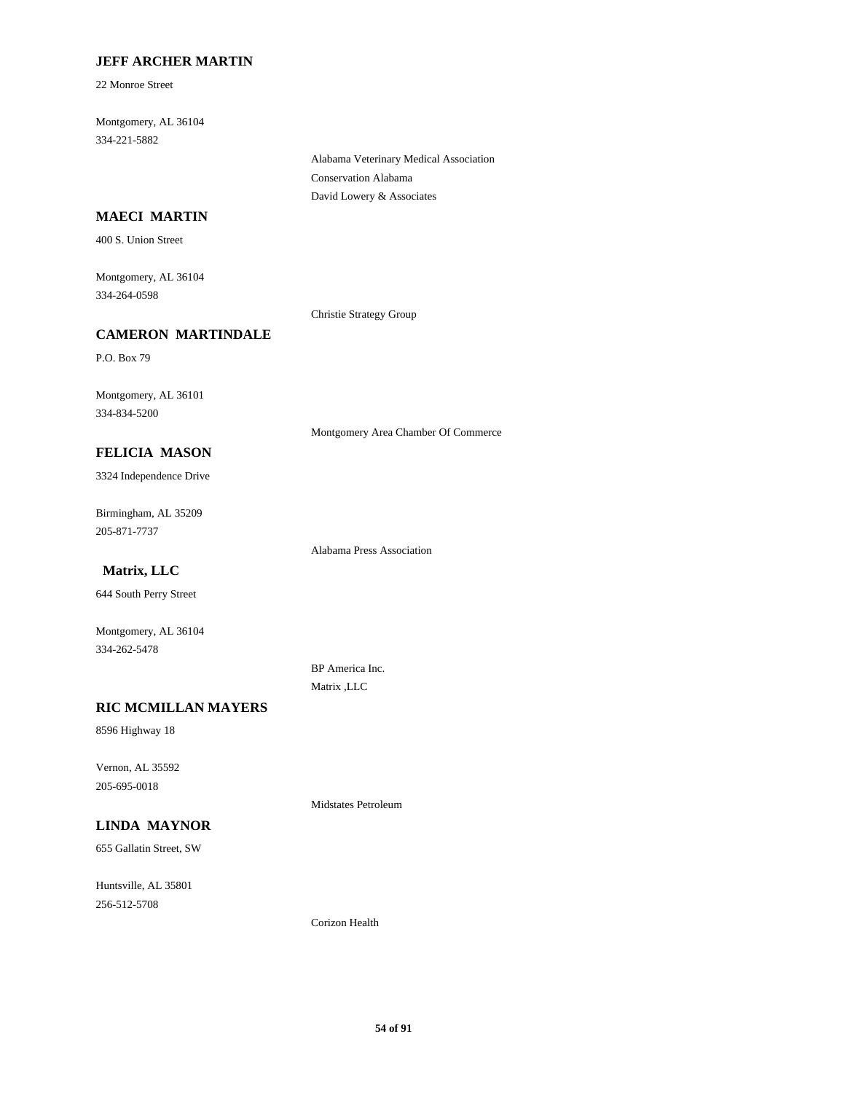## **JEFF ARCHER MARTIN**

22 Monroe Street

334-221-5882 Montgomery, AL 36104

> Alabama Veterinary Medical Association Conservation Alabama David Lowery & Associates

## **MAECI MARTIN**

400 S. Union Street

334-264-0598 Montgomery, AL 36104

Christie Strategy Group

### **CAMERON MARTINDALE**

P.O. Box 79

334-834-5200 Montgomery, AL 36101

Montgomery Area Chamber Of Commerce

## **FELICIA MASON**

3324 Independence Drive

205-871-7737 Birmingham, AL 35209

Alabama Press Association

## **Matrix, LLC**

644 South Perry Street

334-262-5478 Montgomery, AL 36104

### **RIC MCMILLAN MAYERS**

8596 Highway 18

205-695-0018 Vernon, AL 35592

## **LINDA MAYNOR**

655 Gallatin Street, SW

256-512-5708 Huntsville, AL 35801 BP America Inc. Matrix ,LLC

Midstates Petroleum

Corizon Health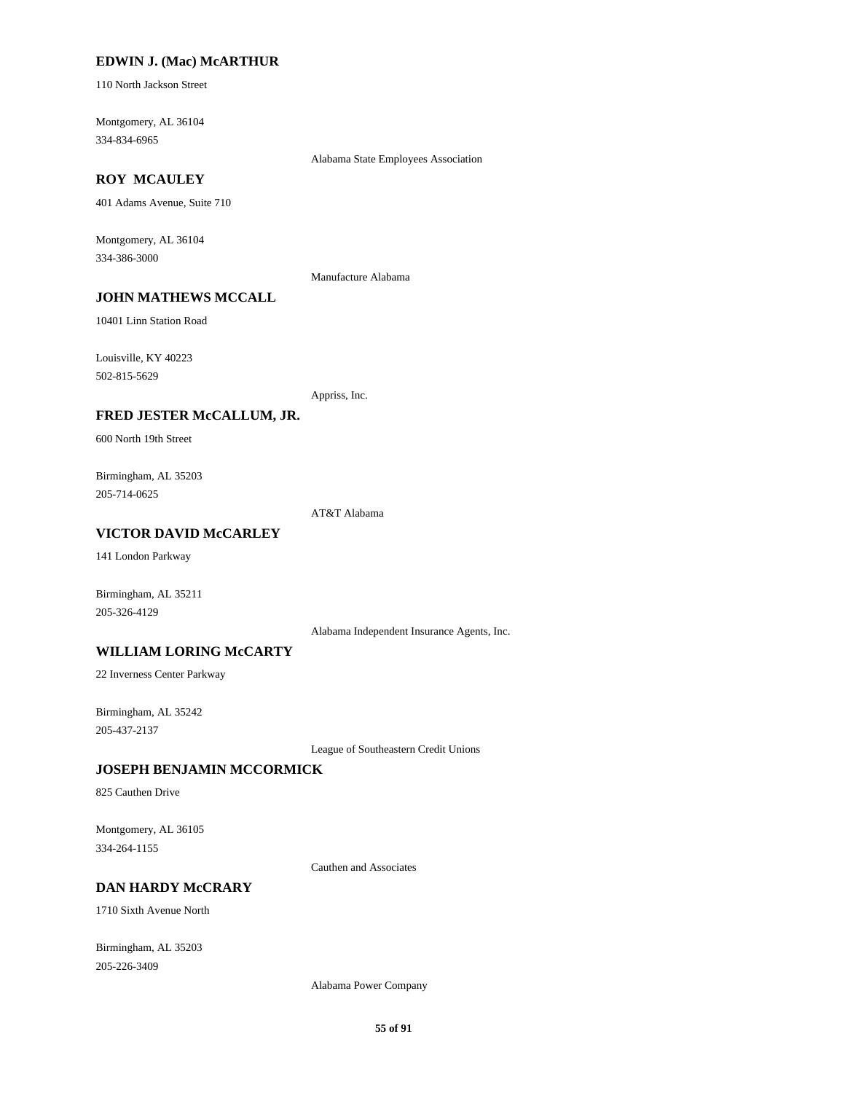#### **EDWIN J. (Mac) McARTHUR**

110 North Jackson Street

334-834-6965 Montgomery, AL 36104

Alabama State Employees Association

## **ROY MCAULEY**

401 Adams Avenue, Suite 710

334-386-3000 Montgomery, AL 36104

Manufacture Alabama

## **JOHN MATHEWS MCCALL**

10401 Linn Station Road

502-815-5629 Louisville, KY 40223

Appriss, Inc.

#### **FRED JESTER McCALLUM, JR.**

600 North 19th Street

205-714-0625 Birmingham, AL 35203

AT&T Alabama

### **VICTOR DAVID McCARLEY**

141 London Parkway

Birmingham, AL 35211 205-326-4129

Alabama Independent Insurance Agents, Inc.

#### **WILLIAM LORING McCARTY**

22 Inverness Center Parkway

205-437-2137 Birmingham, AL 35242

League of Southeastern Credit Unions

## **JOSEPH BENJAMIN MCCORMICK**

825 Cauthen Drive

334-264-1155 Montgomery, AL 36105

Cauthen and Associates

## **DAN HARDY McCRARY**

1710 Sixth Avenue North

205-226-3409 Birmingham, AL 35203

Alabama Power Company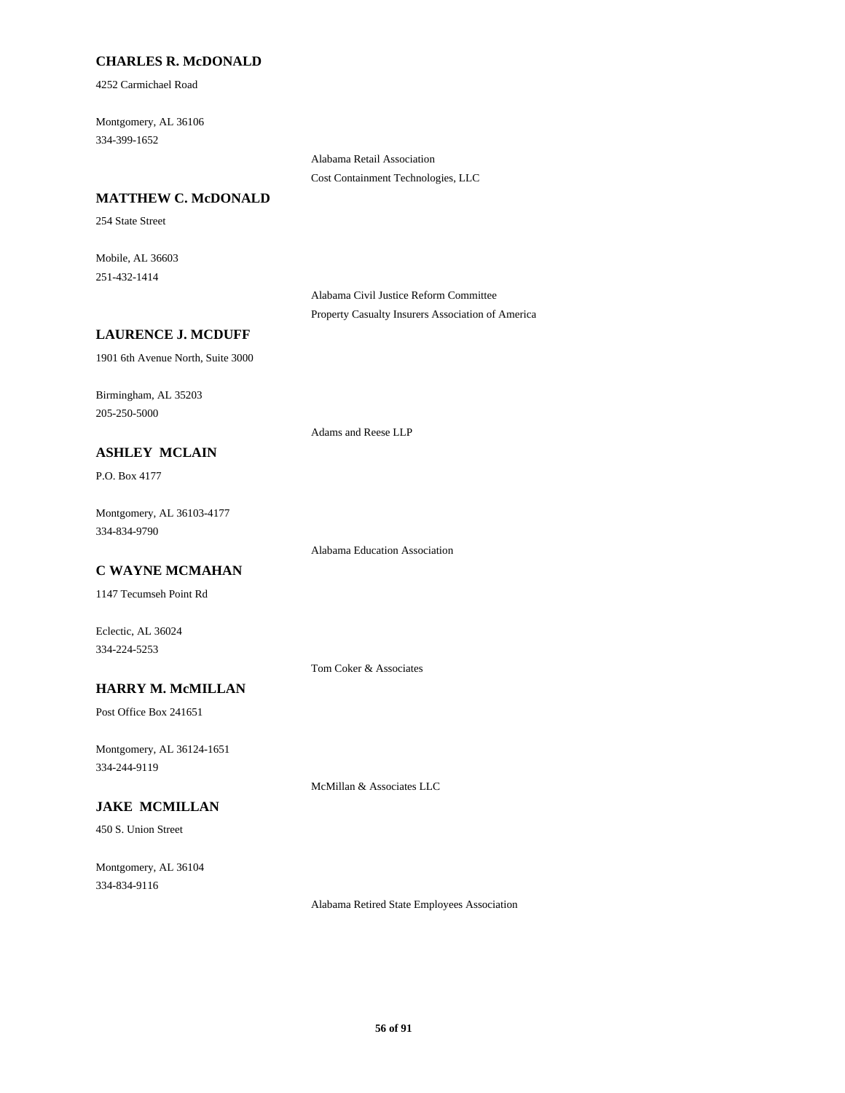## **CHARLES R. McDONALD**

4252 Carmichael Road

334-399-1652 Montgomery, AL 36106

> Alabama Retail Association Cost Containment Technologies, LLC

### **MATTHEW C. McDONALD**

254 State Street

251-432-1414 Mobile, AL 36603

> Alabama Civil Justice Reform Committee Property Casualty Insurers Association of America

#### **LAURENCE J. MCDUFF**

1901 6th Avenue North, Suite 3000

205-250-5000 Birmingham, AL 35203

Adams and Reese LLP

## **ASHLEY MCLAIN**

P.O. Box 4177

334-834-9790 Montgomery, AL 36103-4177

Alabama Education Association

## **C WAYNE MCMAHAN**

1147 Tecumseh Point Rd

334-224-5253 Eclectic, AL 36024

Tom Coker & Associates

## **HARRY M. McMILLAN**

Post Office Box 241651

334-244-9119 Montgomery, AL 36124-1651

McMillan & Associates LLC

## **JAKE MCMILLAN**

450 S. Union Street

334-834-9116 Montgomery, AL 36104

Alabama Retired State Employees Association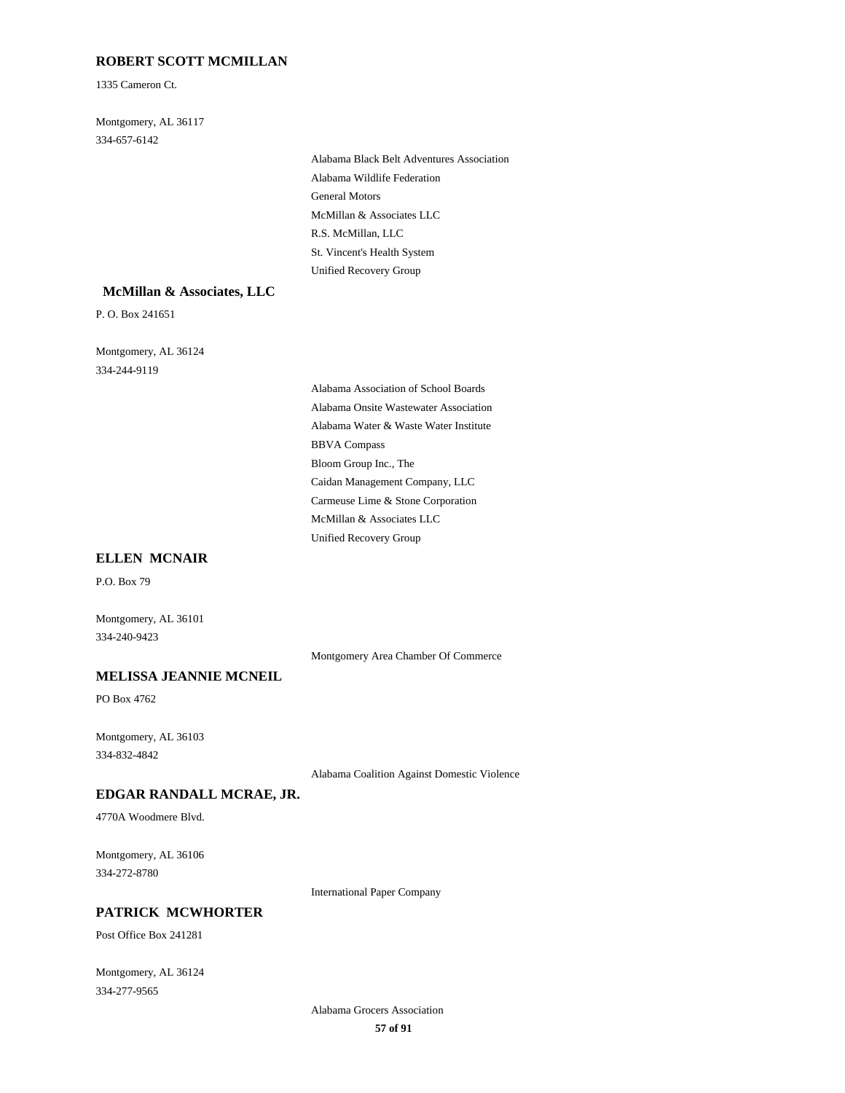## **ROBERT SCOTT MCMILLAN**

1335 Cameron Ct.

334-657-6142 Montgomery, AL 36117

> General Motors Alabama Wildlife Federation Alabama Black Belt Adventures Association McMillan & Associates LLC Unified Recovery Group St. Vincent's Health System R.S. McMillan, LLC

#### **McMillan & Associates, LLC**

P. O. Box 241651

334-244-9119 Montgomery, AL 36124

> Alabama Water & Waste Water Institute BBVA Compass Alabama Association of School Boards Alabama Onsite Wastewater Association Bloom Group Inc., The McMillan & Associates LLC Unified Recovery Group Caidan Management Company, LLC Carmeuse Lime & Stone Corporation

### **ELLEN MCNAIR**

P.O. Box 79

334-240-9423 Montgomery, AL 36101

Montgomery Area Chamber Of Commerce

## **MELISSA JEANNIE MCNEIL**

PO Box 4762

334-832-4842 Montgomery, AL 36103

Alabama Coalition Against Domestic Violence

## **EDGAR RANDALL MCRAE, JR.**

4770A Woodmere Blvd.

334-272-8780 Montgomery, AL 36106

International Paper Company

## **PATRICK MCWHORTER**

Post Office Box 241281

334-277-9565 Montgomery, AL 36124

> **57 of 91** Alabama Grocers Association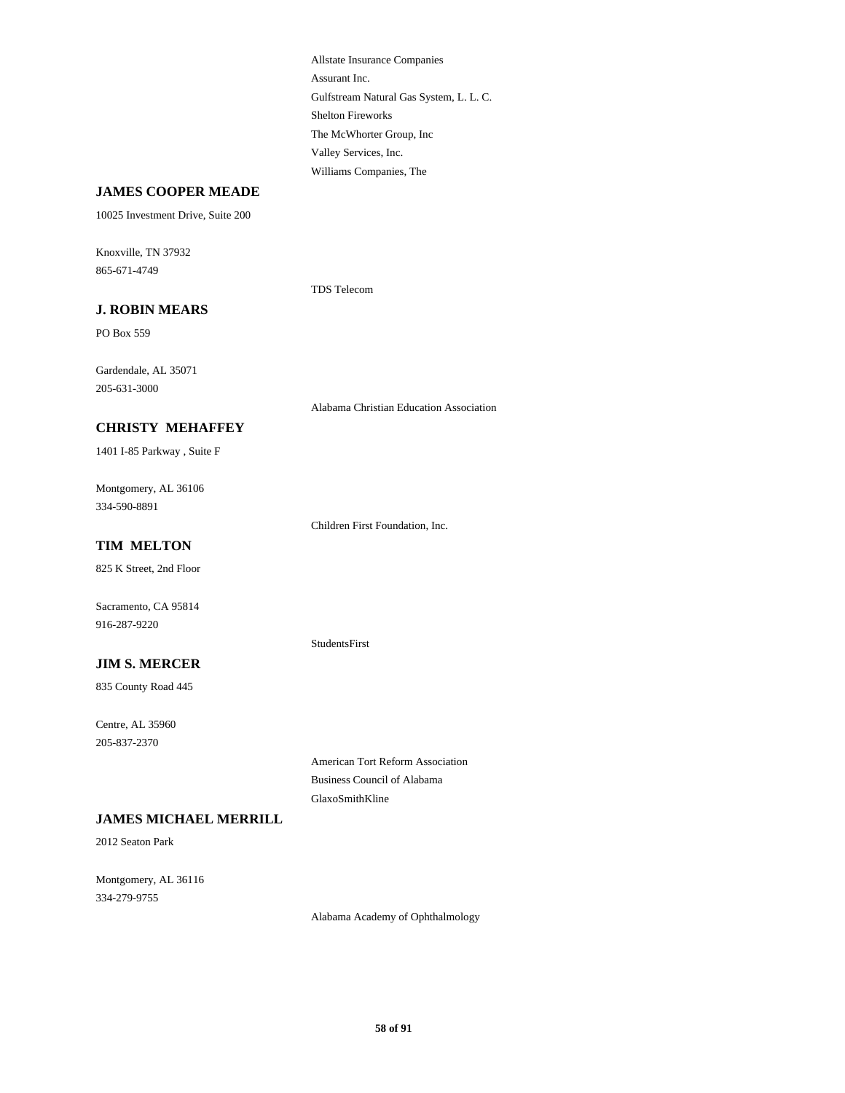Gulfstream Natural Gas System, L. L. C. Assurant Inc. Allstate Insurance Companies Shelton Fireworks Williams Companies, The Valley Services, Inc. The McWhorter Group, Inc

### **JAMES COOPER MEADE**

10025 Investment Drive, Suite 200

865-671-4749 Knoxville, TN 37932

TDS Telecom

## **J. ROBIN MEARS**

PO Box 559

205-631-3000 Gardendale, AL 35071

Alabama Christian Education Association

## **CHRISTY MEHAFFEY**

1401 I-85 Parkway , Suite F

334-590-8891 Montgomery, AL 36106

Children First Foundation, Inc.

## **TIM MELTON**

825 K Street, 2nd Floor

916-287-9220 Sacramento, CA 95814

#### StudentsFirst

GlaxoSmithKline

**JIM S. MERCER**

835 County Road 445

205-837-2370 Centre, AL 35960

### **JAMES MICHAEL MERRILL**

2012 Seaton Park

334-279-9755 Montgomery, AL 36116

Alabama Academy of Ophthalmology

American Tort Reform Association Business Council of Alabama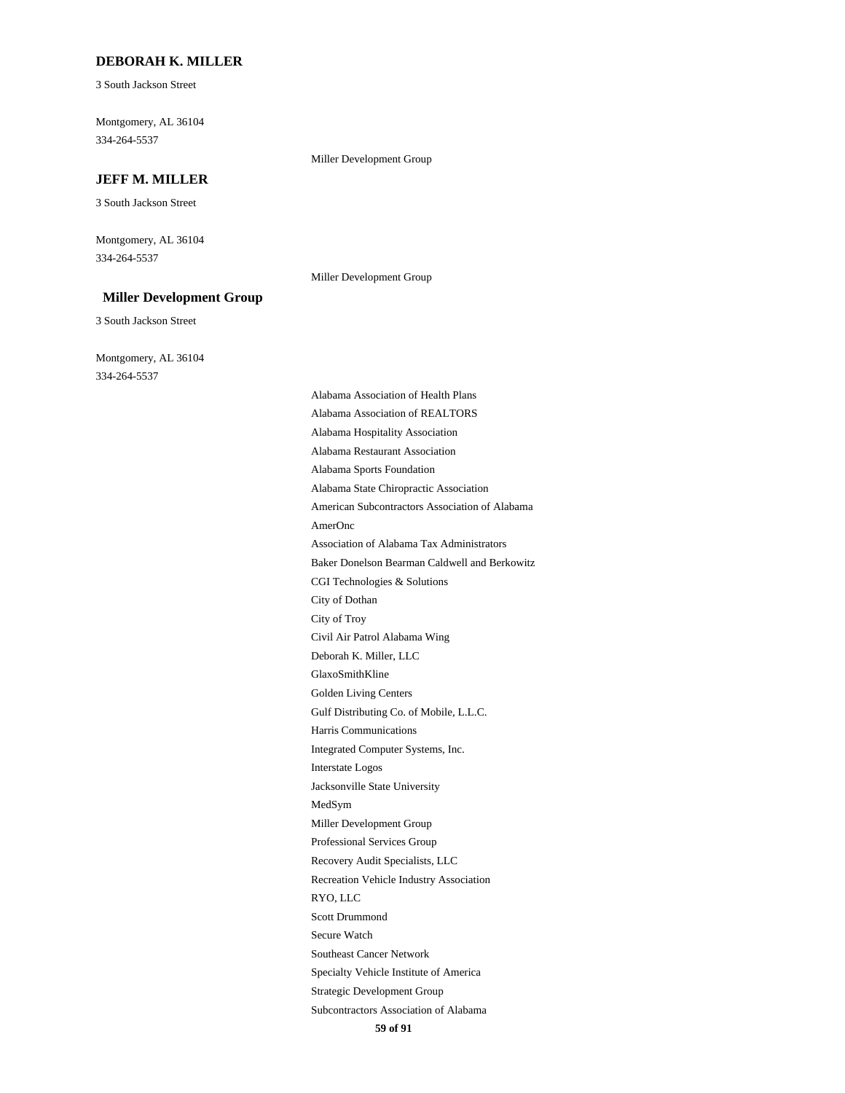#### **DEBORAH K. MILLER**

3 South Jackson Street

334-264-5537 Montgomery, AL 36104

### **JEFF M. MILLER**

3 South Jackson Street

334-264-5537 Montgomery, AL 36104

#### **Miller Development Group**

3 South Jackson Street

334-264-5537 Montgomery, AL 36104 Miller Development Group

Miller Development Group

Harris Communications Gulf Distributing Co. of Mobile, L.L.C. Golden Living Centers Jacksonville State University Interstate Logos Integrated Computer Systems, Inc. GlaxoSmithKline City of Dothan CGI Technologies & Solutions Deborah K. Miller, LLC Civil Air Patrol Alabama Wing City of Troy Specialty Vehicle Institute of America Southeast Cancer Network Secure Watch Subcontractors Association of Alabama Strategic Development Group Scott Drummond Professional Services Group Miller Development Group MedSym RYO, LLC Recreation Vehicle Industry Association Recovery Audit Specialists, LLC Alabama Hospitality Association Alabama Restaurant Association Alabama Association of REALTORS Baker Donelson Bearman Caldwell and Berkowitz Alabama Association of Health Plans AmerOnc Association of Alabama Tax Administrators American Subcontractors Association of Alabama Alabama Sports Foundation Alabama State Chiropractic Association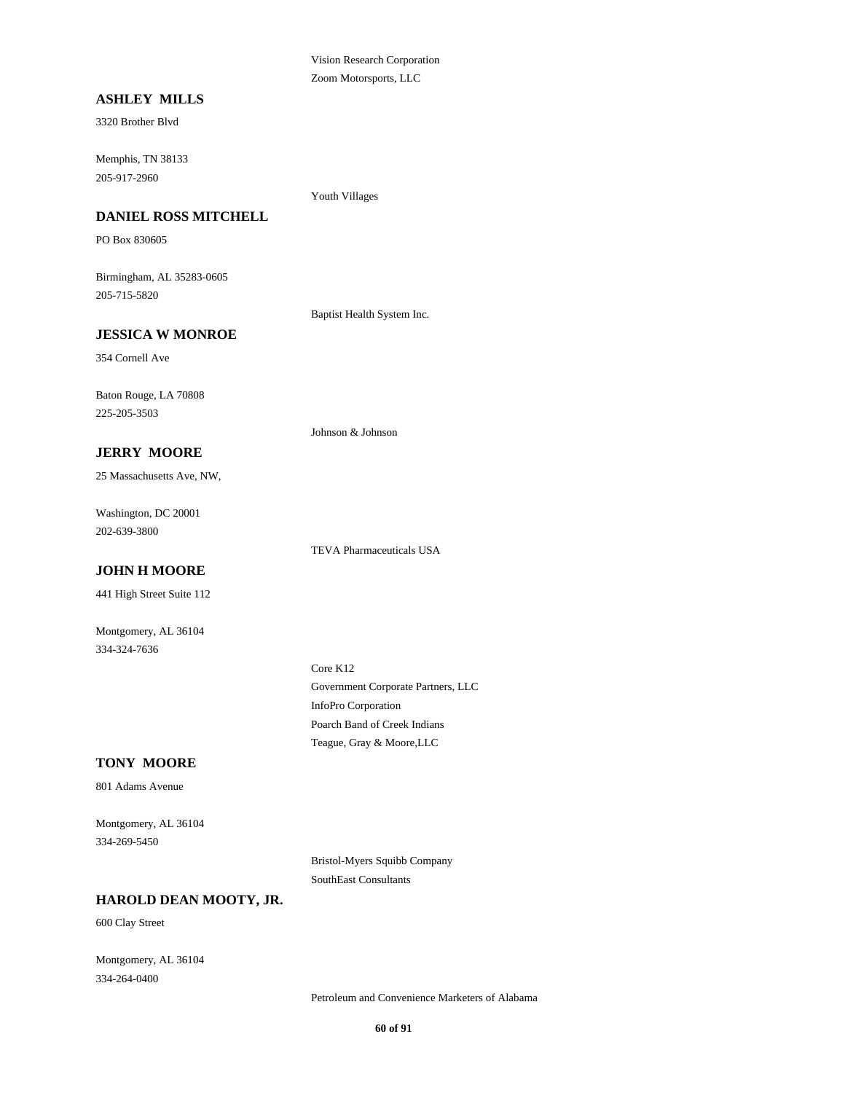Vision Research Corporation Zoom Motorsports, LLC

### **ASHLEY MILLS**

3320 Brother Blvd

205-917-2960 Memphis, TN 38133

Youth Villages

## **DANIEL ROSS MITCHELL**

PO Box 830605

205-715-5820 Birmingham, AL 35283-0605

Baptist Health System Inc.

Johnson & Johnson

#### **JESSICA W MONROE**

354 Cornell Ave

225-205-3503 Baton Rouge, LA 70808

#### **JERRY MOORE**

25 Massachusetts Ave, NW,

202-639-3800 Washington, DC 20001

#### **JOHN H MOORE**

441 High Street Suite 112

Montgomery, AL 36104 334-324-7636

Government Corporate Partners, LLC Core K12 InfoPro Corporation

### **TONY MOORE**

801 Adams Avenue

334-269-5450 Montgomery, AL 36104

> Bristol-Myers Squibb Company SouthEast Consultants

Teague, Gray & Moore,LLC Poarch Band of Creek Indians

TEVA Pharmaceuticals USA

## **HAROLD DEAN MOOTY, JR.**

600 Clay Street

334-264-0400 Montgomery, AL 36104

Petroleum and Convenience Marketers of Alabama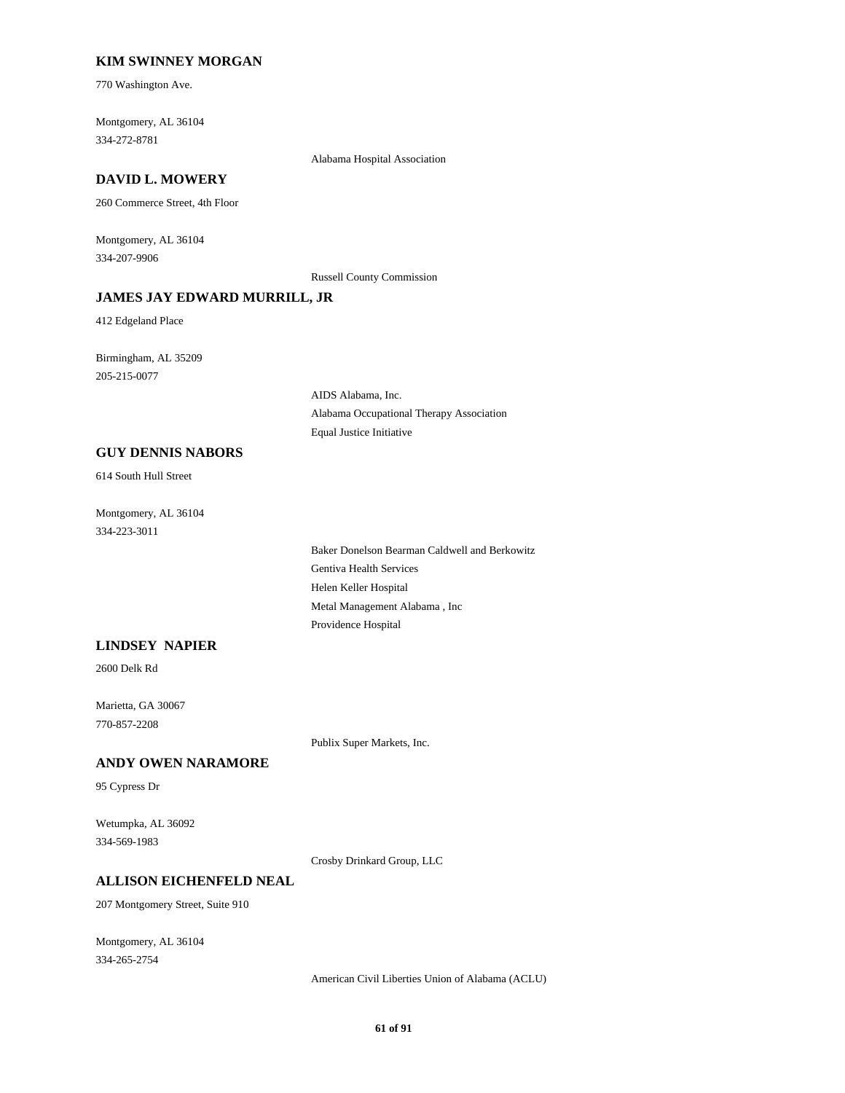### **KIM SWINNEY MORGAN**

770 Washington Ave.

334-272-8781 Montgomery, AL 36104

Alabama Hospital Association

## **DAVID L. MOWERY**

260 Commerce Street, 4th Floor

334-207-9906 Montgomery, AL 36104

Russell County Commission

## **JAMES JAY EDWARD MURRILL, JR**

412 Edgeland Place

205-215-0077 Birmingham, AL 35209

> AIDS Alabama, Inc. Alabama Occupational Therapy Association Equal Justice Initiative

#### **GUY DENNIS NABORS**

614 South Hull Street

334-223-3011 Montgomery, AL 36104

> Helen Keller Hospital Metal Management Alabama , Inc Providence Hospital Baker Donelson Bearman Caldwell and Berkowitz Gentiva Health Services

### **LINDSEY NAPIER**

2600 Delk Rd

770-857-2208 Marietta, GA 30067

Publix Super Markets, Inc.

## **ANDY OWEN NARAMORE**

95 Cypress Dr

334-569-1983 Wetumpka, AL 36092

Crosby Drinkard Group, LLC

#### **ALLISON EICHENFELD NEAL**

207 Montgomery Street, Suite 910

334-265-2754 Montgomery, AL 36104

American Civil Liberties Union of Alabama (ACLU)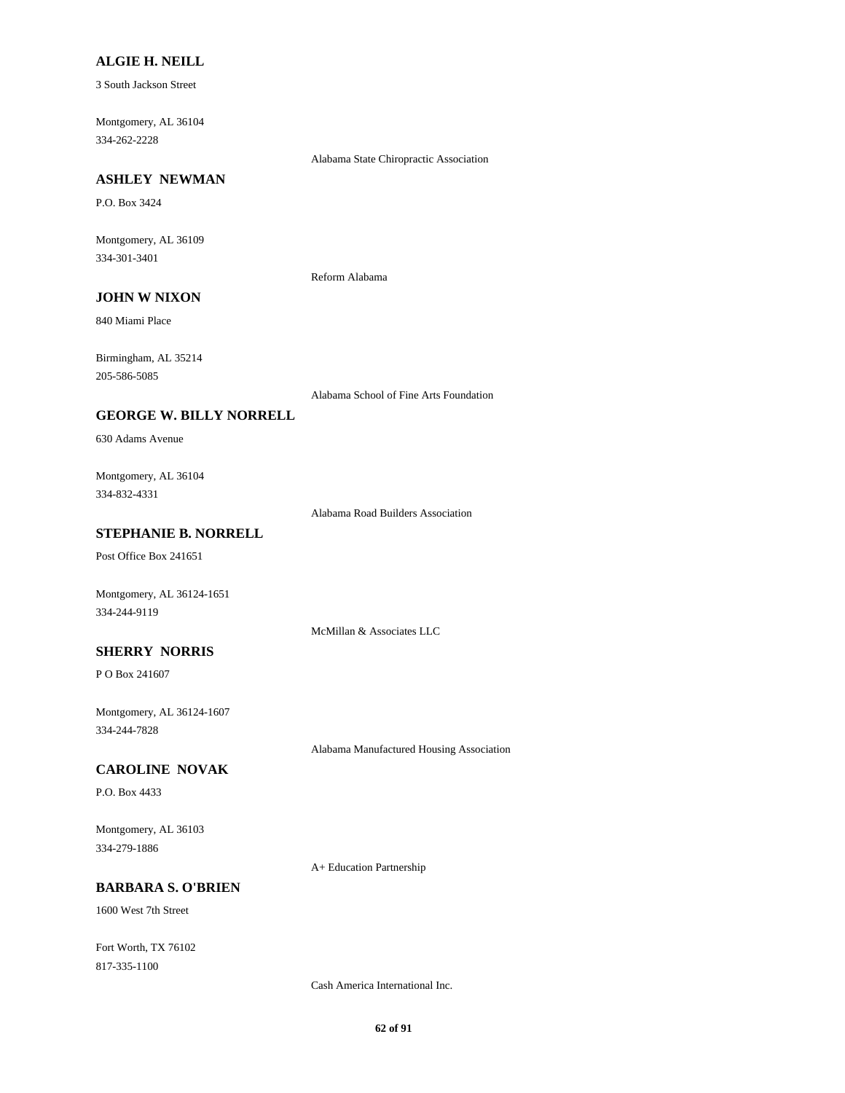#### **ALGIE H. NEILL**

3 South Jackson Street

334-262-2228 Montgomery, AL 36104

Alabama State Chiropractic Association

## **ASHLEY NEWMAN**

P.O. Box 3424

334-301-3401 Montgomery, AL 36109

Reform Alabama

## **JOHN W NIXON**

840 Miami Place

205-586-5085 Birmingham, AL 35214

Alabama School of Fine Arts Foundation

#### **GEORGE W. BILLY NORRELL**

630 Adams Avenue

334-832-4331 Montgomery, AL 36104

Alabama Road Builders Association

## **STEPHANIE B. NORRELL**

Post Office Box 241651

Montgomery, AL 36124-1651 334-244-9119

McMillan & Associates LLC

## **SHERRY NORRIS**

P O Box 241607

334-244-7828 Montgomery, AL 36124-1607

Alabama Manufactured Housing Association

#### **CAROLINE NOVAK**

P.O. Box 4433

334-279-1886 Montgomery, AL 36103

A+ Education Partnership

## **BARBARA S. O'BRIEN**

1600 West 7th Street

817-335-1100 Fort Worth, TX 76102

Cash America International Inc.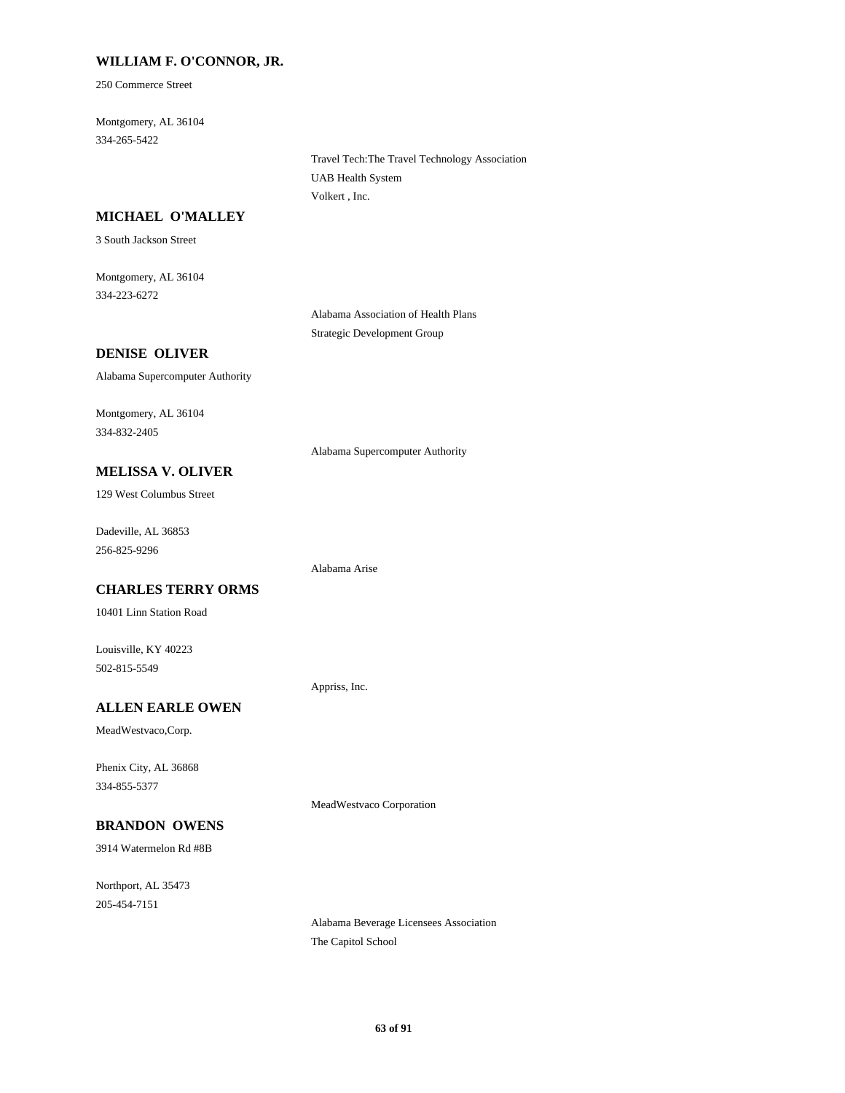### **WILLIAM F. O'CONNOR, JR.**

250 Commerce Street

334-265-5422 Montgomery, AL 36104

> Travel Tech:The Travel Technology Association UAB Health System Volkert , Inc.

### **MICHAEL O'MALLEY**

3 South Jackson Street

334-223-6272 Montgomery, AL 36104

> Alabama Association of Health Plans Strategic Development Group

#### **DENISE OLIVER**

Alabama Supercomputer Authority

334-832-2405 Montgomery, AL 36104

Alabama Supercomputer Authority

**MELISSA V. OLIVER**

129 West Columbus Street

256-825-9296 Dadeville, AL 36853

#### **CHARLES TERRY ORMS**

10401 Linn Station Road

502-815-5549 Louisville, KY 40223

**ALLEN EARLE OWEN**

MeadWestvaco,Corp.

334-855-5377 Phenix City, AL 36868

## **BRANDON OWENS**

3914 Watermelon Rd #8B

205-454-7151 Northport, AL 35473

Alabama Beverage Licensees Association The Capitol School

MeadWestvaco Corporation

Appriss, Inc.

Alabama Arise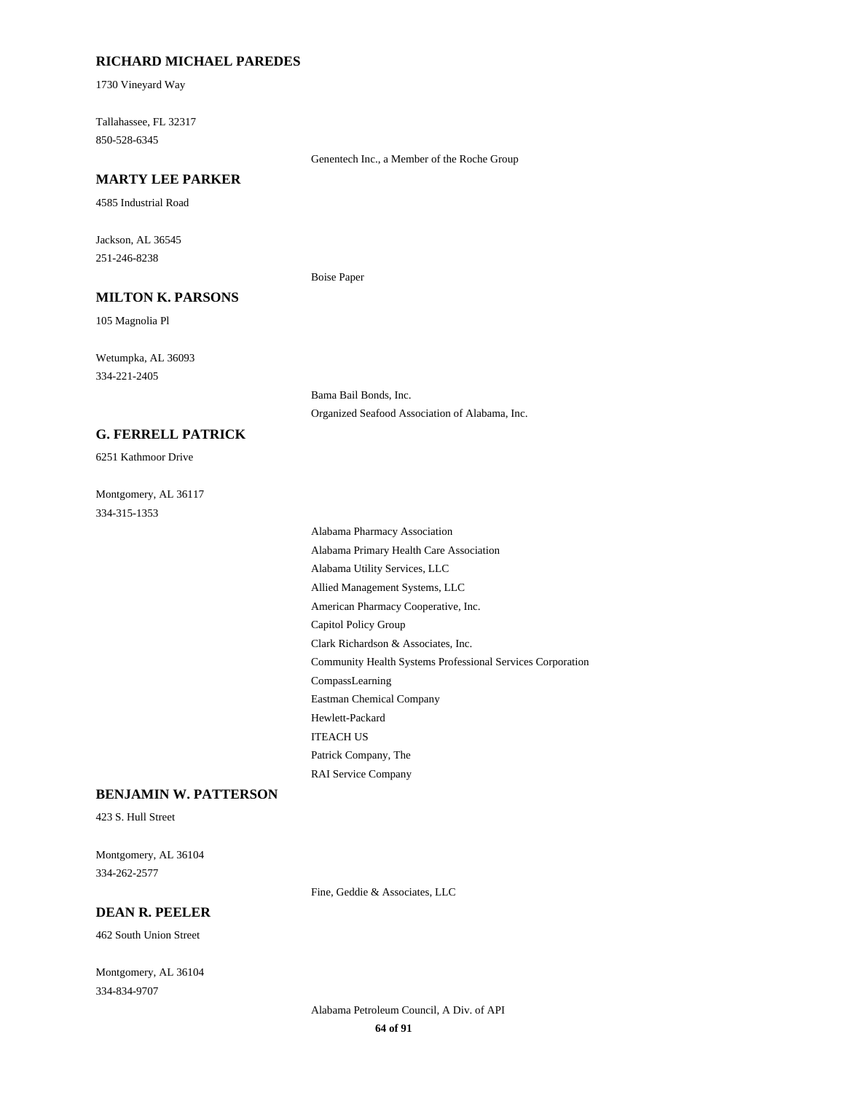#### **RICHARD MICHAEL PAREDES**

1730 Vineyard Way

850-528-6345 Tallahassee, FL 32317

#### Genentech Inc., a Member of the Roche Group

Organized Seafood Association of Alabama, Inc.

Bama Bail Bonds, Inc.

Boise Paper

## **MARTY LEE PARKER**

4585 Industrial Road

251-246-8238 Jackson, AL 36545

## **MILTON K. PARSONS**

105 Magnolia Pl

334-221-2405 Wetumpka, AL 36093

### **G. FERRELL PATRICK**

6251 Kathmoor Drive

334-315-1353 Montgomery, AL 36117

Community Health Systems Professional Services Corporation CompassLearning Clark Richardson & Associates, Inc. American Pharmacy Cooperative, Inc. Capitol Policy Group Patrick Company, The RAI Service Company ITEACH US Eastman Chemical Company Hewlett-Packard Alabama Primary Health Care Association Alabama Pharmacy Association Allied Management Systems, LLC Alabama Utility Services, LLC

### **BENJAMIN W. PATTERSON**

423 S. Hull Street

334-262-2577 Montgomery, AL 36104

Fine, Geddie & Associates, LLC

## **DEAN R. PEELER**

462 South Union Street

334-834-9707 Montgomery, AL 36104

> **64 of 91** Alabama Petroleum Council, A Div. of API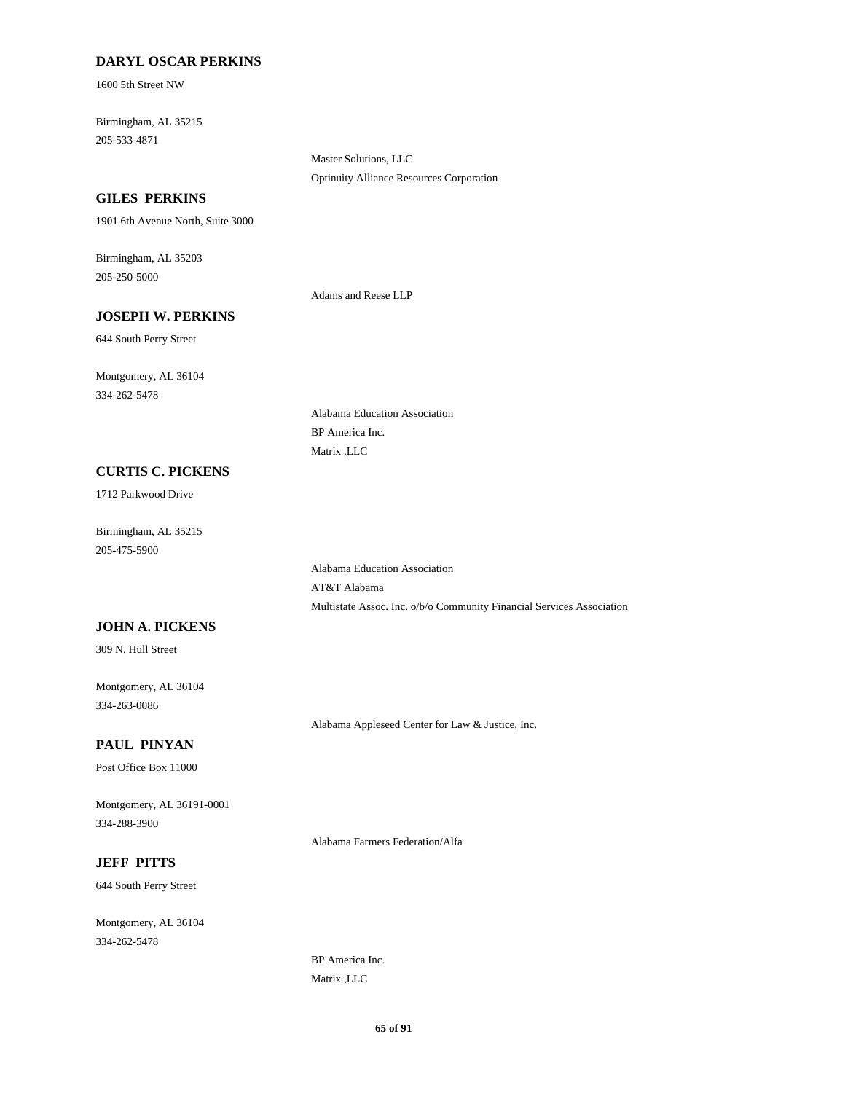### **DARYL OSCAR PERKINS**

1600 5th Street NW

205-533-4871 Birmingham, AL 35215

> Master Solutions, LLC Optinuity Alliance Resources Corporation

### **GILES PERKINS**

1901 6th Avenue North, Suite 3000

205-250-5000 Birmingham, AL 35203

Adams and Reese LLP

AT&T Alabama

BP America Inc. Matrix ,LLC

Alabama Education Association

Alabama Education Association

# 644 South Perry Street

**JOSEPH W. PERKINS**

334-262-5478 Montgomery, AL 36104

#### **CURTIS C. PICKENS**

1712 Parkwood Drive

205-475-5900 Birmingham, AL 35215

### **JOHN A. PICKENS**

309 N. Hull Street

334-263-0086 Montgomery, AL 36104

**PAUL PINYAN**

Post Office Box 11000

334-288-3900 Montgomery, AL 36191-0001

Alabama Farmers Federation/Alfa

Alabama Appleseed Center for Law & Justice, Inc.

Multistate Assoc. Inc. o/b/o Community Financial Services Association

### **JEFF PITTS**

644 South Perry Street

334-262-5478 Montgomery, AL 36104

> BP America Inc. Matrix ,LLC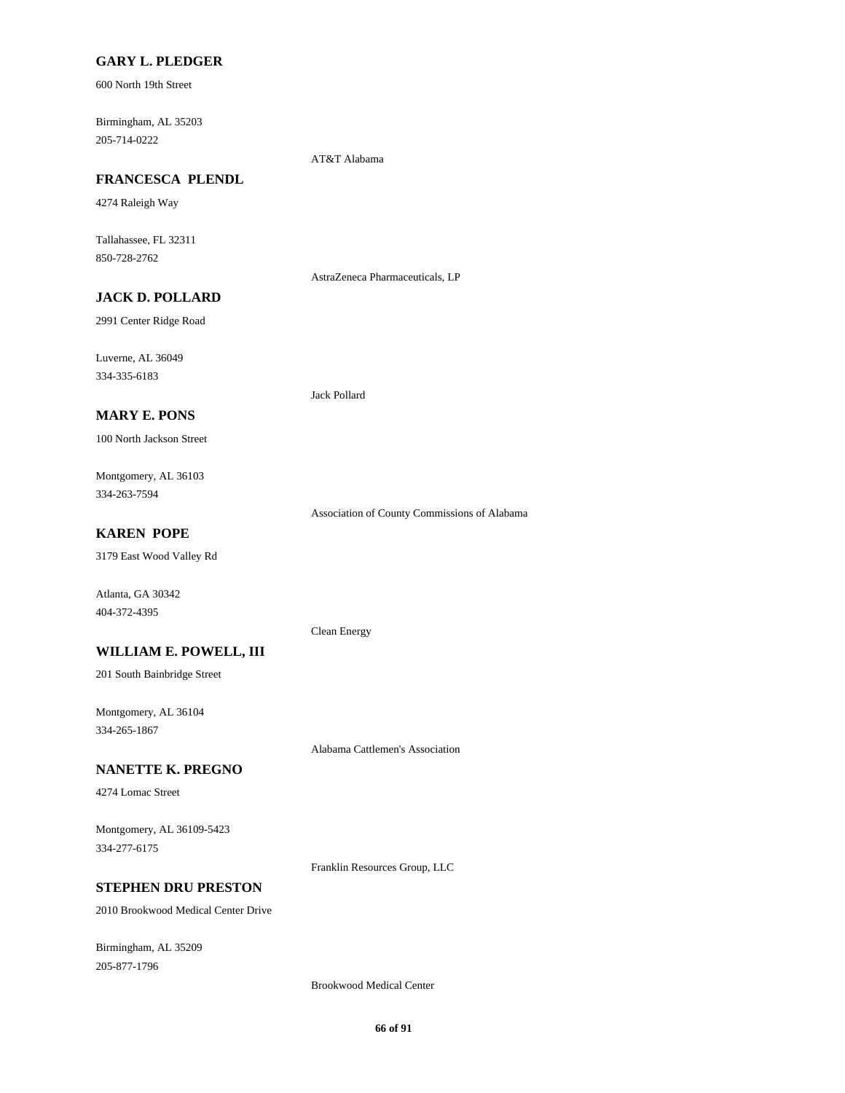#### **GARY L. PLEDGER**

600 North 19th Street

205-714-0222 Birmingham, AL 35203

AT&T Alabama

## **FRANCESCA PLENDL**

4274 Raleigh Way

850-728-2762 Tallahassee, FL 32311

AstraZeneca Pharmaceuticals, LP

## **JACK D. POLLARD**

2991 Center Ridge Road

334-335-6183 Luverne, AL 36049

### **MARY E. PONS**

100 North Jackson Street

334-263-7594 Montgomery, AL 36103

Association of County Commissions of Alabama

## **KAREN POPE**

3179 East Wood Valley Rd

Atlanta, GA 30342 404-372-4395

#### Clean Energy

Jack Pollard

**WILLIAM E. POWELL, III**

201 South Bainbridge Street

334-265-1867 Montgomery, AL 36104

Alabama Cattlemen's Association

#### **NANETTE K. PREGNO**

4274 Lomac Street

334-277-6175 Montgomery, AL 36109-5423

Franklin Resources Group, LLC

## **STEPHEN DRU PRESTON**

2010 Brookwood Medical Center Drive

205-877-1796 Birmingham, AL 35209

Brookwood Medical Center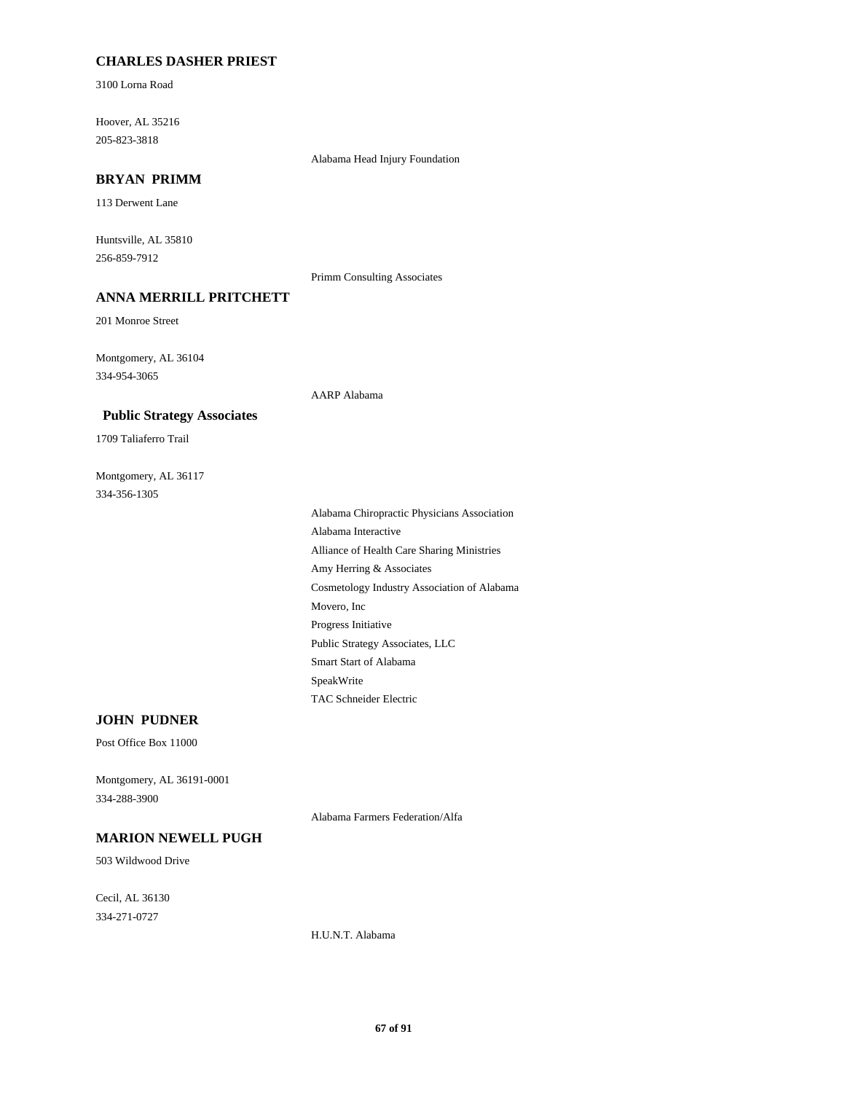### **CHARLES DASHER PRIEST**

3100 Lorna Road

205-823-3818 Hoover, AL 35216

Alabama Head Injury Foundation

## **BRYAN PRIMM**

113 Derwent Lane

256-859-7912 Huntsville, AL 35810

Primm Consulting Associates

AARP Alabama

## **ANNA MERRILL PRITCHETT**

201 Monroe Street

334-954-3065 Montgomery, AL 36104

#### **Public Strategy Associates**

1709 Taliaferro Trail

334-356-1305 Montgomery, AL 36117

> Movero, Inc Progress Initiative Amy Herring & Associates Cosmetology Industry Association of Alabama SpeakWrite TAC Schneider Electric Public Strategy Associates, LLC Smart Start of Alabama Alabama Chiropractic Physicians Association Alabama Interactive Alliance of Health Care Sharing Ministries

## **JOHN PUDNER**

Post Office Box 11000

334-288-3900 Montgomery, AL 36191-0001

Alabama Farmers Federation/Alfa

#### **MARION NEWELL PUGH**

503 Wildwood Drive

334-271-0727 Cecil, AL 36130

H.U.N.T. Alabama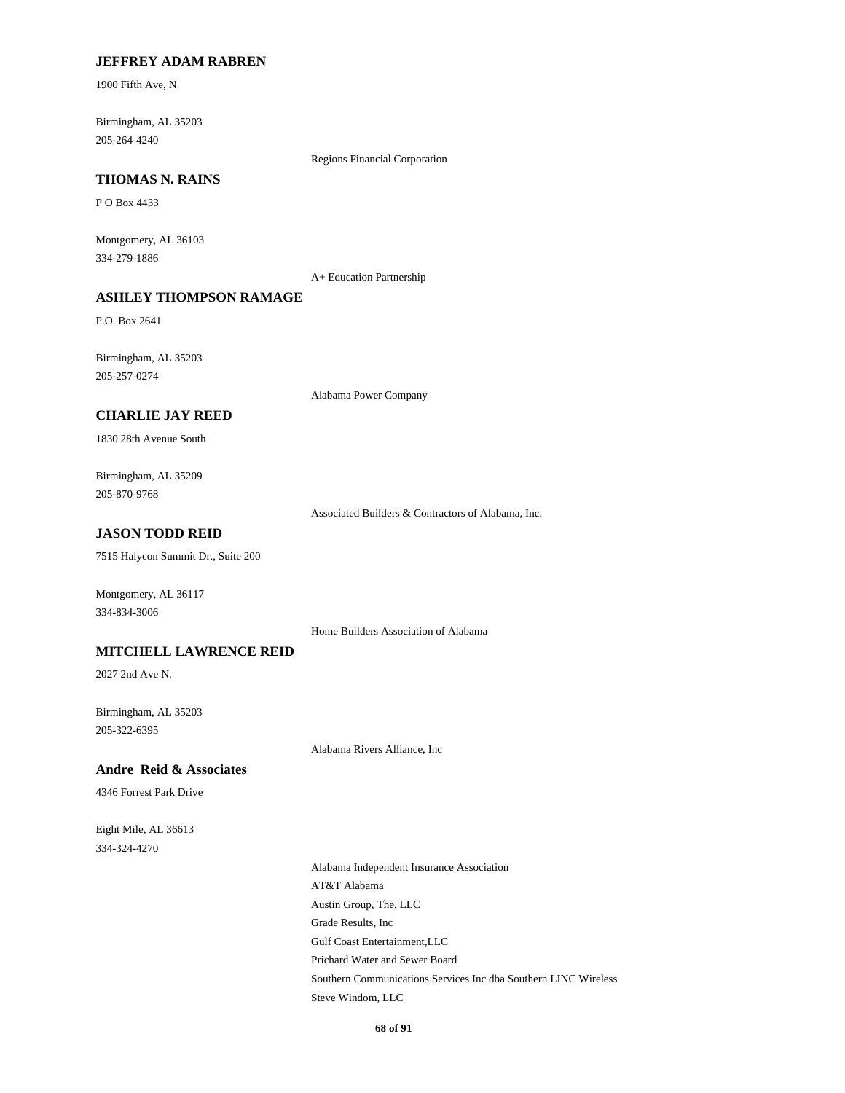#### **JEFFREY ADAM RABREN**

1900 Fifth Ave, N

205-264-4240 Birmingham, AL 35203

Regions Financial Corporation

## **THOMAS N. RAINS**

P O Box 4433

334-279-1886 Montgomery, AL 36103

A+ Education Partnership

## **ASHLEY THOMPSON RAMAGE**

P.O. Box 2641

205-257-0274 Birmingham, AL 35203

Alabama Power Company

### **CHARLIE JAY REED**

1830 28th Avenue South

205-870-9768 Birmingham, AL 35209

Associated Builders & Contractors of Alabama, Inc.

## **JASON TODD REID**

7515 Halycon Summit Dr., Suite 200

334-834-3006 Montgomery, AL 36117

Home Builders Association of Alabama

#### **MITCHELL LAWRENCE REID**

2027 2nd Ave N.

205-322-6395 Birmingham, AL 35203

Alabama Rivers Alliance, Inc

#### **Andre Reid & Associates**

4346 Forrest Park Drive

334-324-4270 Eight Mile, AL 36613

> Austin Group, The, LLC Grade Results, Inc Alabama Independent Insurance Association AT&T Alabama Gulf Coast Entertainment,LLC Steve Windom, LLC Prichard Water and Sewer Board Southern Communications Services Inc dba Southern LINC Wireless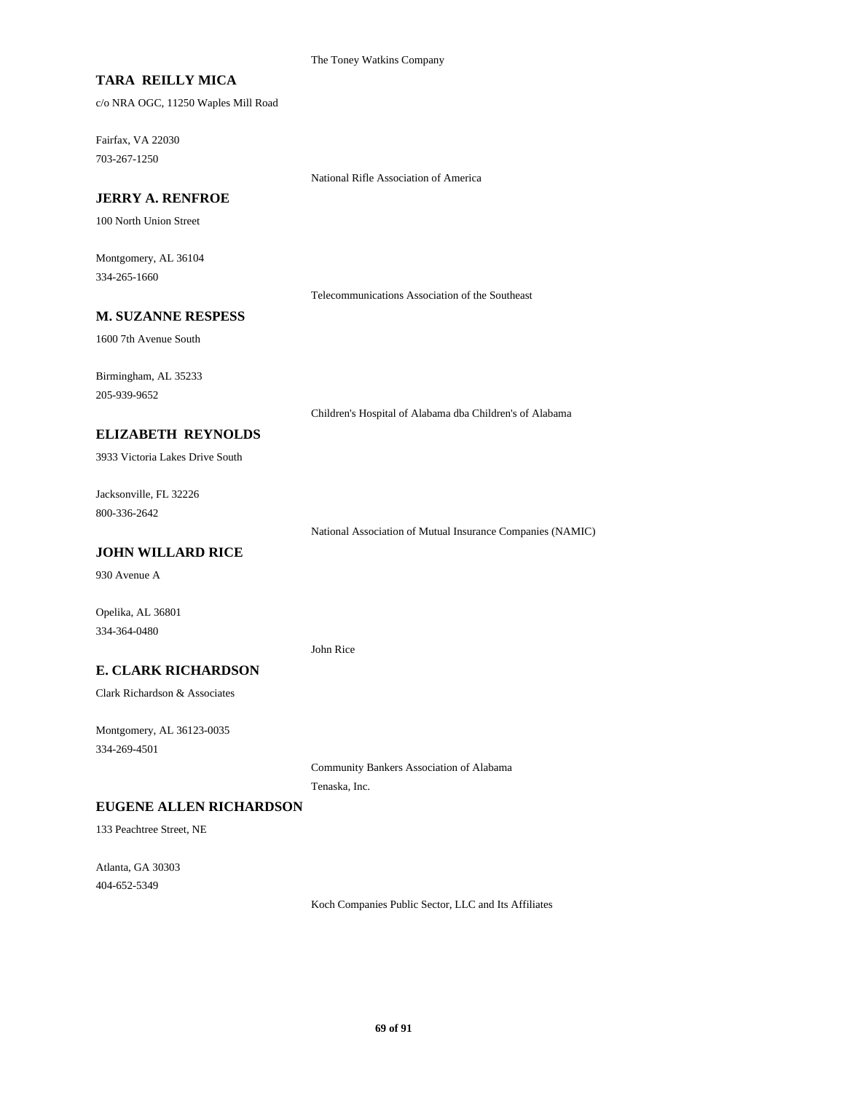The Toney Watkins Company

## **TARA REILLY MICA**

c/o NRA OGC, 11250 Waples Mill Road

703-267-1250 Fairfax, VA 22030

National Rifle Association of America

### **JERRY A. RENFROE**

100 North Union Street

334-265-1660 Montgomery, AL 36104

Telecommunications Association of the Southeast

#### **M. SUZANNE RESPESS**

1600 7th Avenue South

205-939-9652 Birmingham, AL 35233

Children's Hospital of Alabama dba Children's of Alabama

### **ELIZABETH REYNOLDS**

3933 Victoria Lakes Drive South

800-336-2642 Jacksonville, FL 32226

National Association of Mutual Insurance Companies (NAMIC)

### **JOHN WILLARD RICE**

930 Avenue A

Opelika, AL 36801 334-364-0480

John Rice

### **E. CLARK RICHARDSON**

Clark Richardson & Associates

334-269-4501 Montgomery, AL 36123-0035

> Community Bankers Association of Alabama Tenaska, Inc.

#### **EUGENE ALLEN RICHARDSON**

133 Peachtree Street, NE

404-652-5349 Atlanta, GA 30303

Koch Companies Public Sector, LLC and Its Affiliates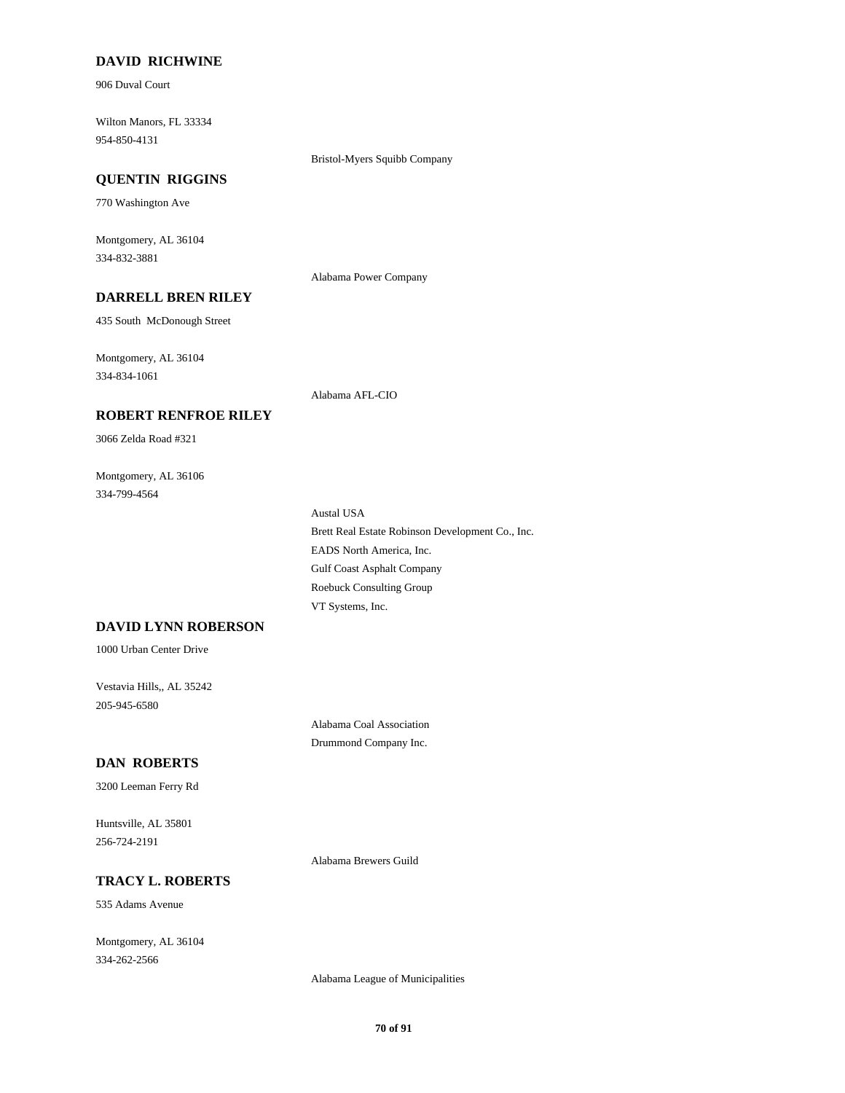### **DAVID RICHWINE**

906 Duval Court

954-850-4131 Wilton Manors, FL 33334

Bristol-Myers Squibb Company

#### **QUENTIN RIGGINS**

770 Washington Ave

334-832-3881 Montgomery, AL 36104

Alabama Power Company

## **DARRELL BREN RILEY**

**ROBERT RENFROE RILEY**

435 South McDonough Street

334-834-1061 Montgomery, AL 36104

Alabama AFL-CIO

# 3066 Zelda Road #321

334-799-4564 Montgomery, AL 36106

> Roebuck Consulting Group VT Systems, Inc. Brett Real Estate Robinson Development Co., Inc. Austal USA Gulf Coast Asphalt Company EADS North America, Inc.

### **DAVID LYNN ROBERSON**

1000 Urban Center Drive

205-945-6580 Vestavia Hills,, AL 35242

> Alabama Coal Association Drummond Company Inc.

## **DAN ROBERTS**

3200 Leeman Ferry Rd

256-724-2191 Huntsville, AL 35801

Alabama Brewers Guild

#### **TRACY L. ROBERTS**

535 Adams Avenue

334-262-2566 Montgomery, AL 36104

Alabama League of Municipalities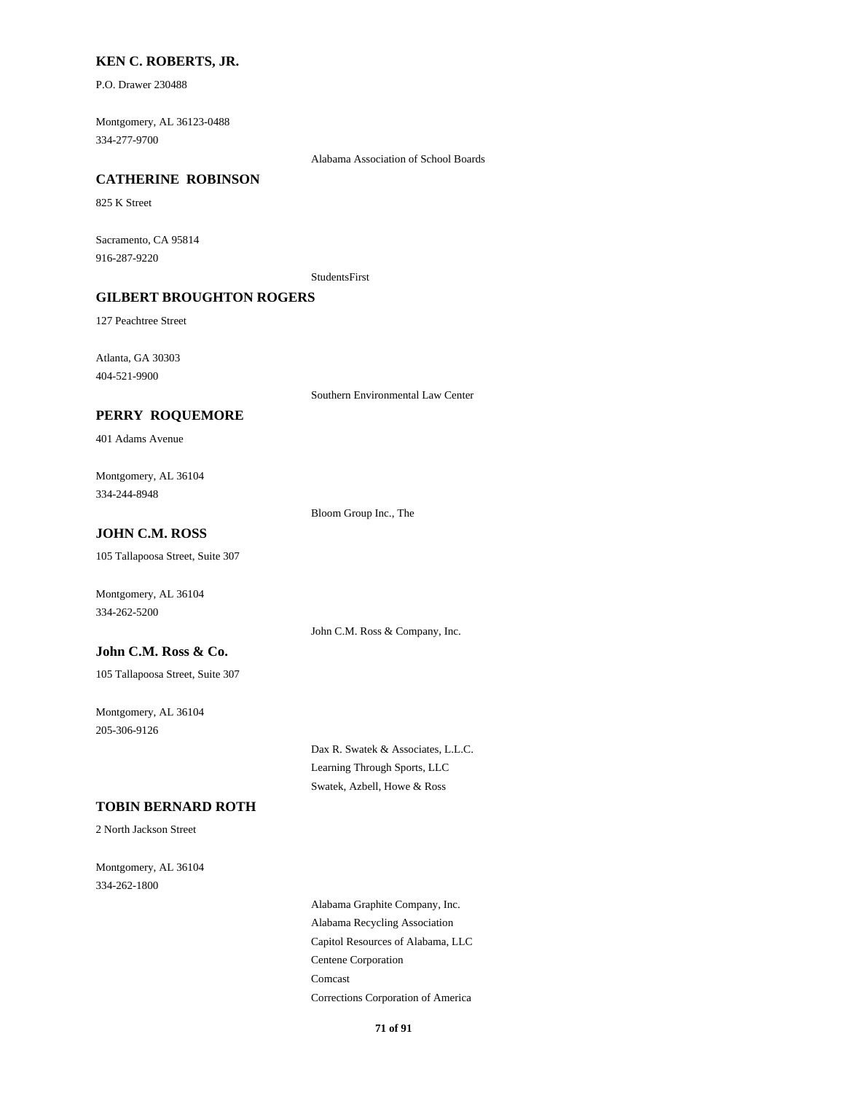#### **KEN C. ROBERTS, JR.**

P.O. Drawer 230488

334-277-9700 Montgomery, AL 36123-0488

Alabama Association of School Boards

#### **CATHERINE ROBINSON**

825 K Street

916-287-9220 Sacramento, CA 95814

StudentsFirst

### **GILBERT BROUGHTON ROGERS**

127 Peachtree Street

404-521-9900 Atlanta, GA 30303

Southern Environmental Law Center

#### **PERRY ROQUEMORE**

401 Adams Avenue

334-244-8948 Montgomery, AL 36104

Bloom Group Inc., The

## **JOHN C.M. ROSS**

105 Tallapoosa Street, Suite 307

Montgomery, AL 36104 334-262-5200

John C.M. Ross & Company, Inc.

### **John C.M. Ross & Co.**

105 Tallapoosa Street, Suite 307

205-306-9126 Montgomery, AL 36104

> Dax R. Swatek & Associates, L.L.C. Learning Through Sports, LLC Swatek, Azbell, Howe & Ross

## **TOBIN BERNARD ROTH**

2 North Jackson Street

334-262-1800 Montgomery, AL 36104

> Capitol Resources of Alabama, LLC Centene Corporation Alabama Graphite Company, Inc. Alabama Recycling Association Comcast Corrections Corporation of America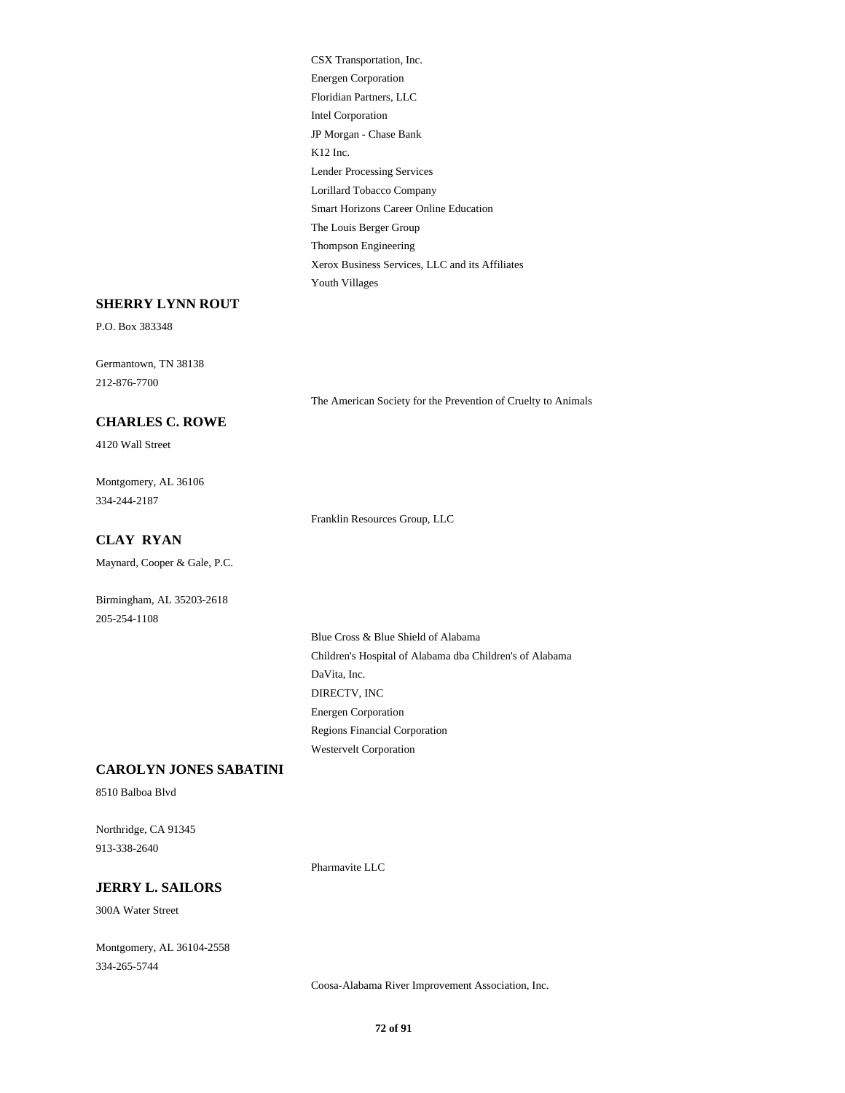Intel Corporation JP Morgan - Chase Bank K12 Inc. CSX Transportation, Inc. Energen Corporation Floridian Partners, LLC Lender Processing Services Thompson Engineering Xerox Business Services, LLC and its Affiliates Youth Villages Lorillard Tobacco Company Smart Horizons Career Online Education The Louis Berger Group

#### **SHERRY LYNN ROUT**

P.O. Box 383348

212-876-7700 Germantown, TN 38138

The American Society for the Prevention of Cruelty to Animals

# **CHARLES C. ROWE**

4120 Wall Street

334-244-2187 Montgomery, AL 36106

Franklin Resources Group, LLC

## **CLAY RYAN**

Maynard, Cooper & Gale, P.C.

Birmingham, AL 35203-2618 205-254-1108

> DaVita, Inc. Children's Hospital of Alabama dba Children's of Alabama Blue Cross & Blue Shield of Alabama DIRECTV, INC Westervelt Corporation Regions Financial Corporation Energen Corporation

#### **CAROLYN JONES SABATINI**

8510 Balboa Blvd

913-338-2640 Northridge, CA 91345

Pharmavite LLC

## **JERRY L. SAILORS**

300A Water Street

334-265-5744 Montgomery, AL 36104-2558

Coosa-Alabama River Improvement Association, Inc.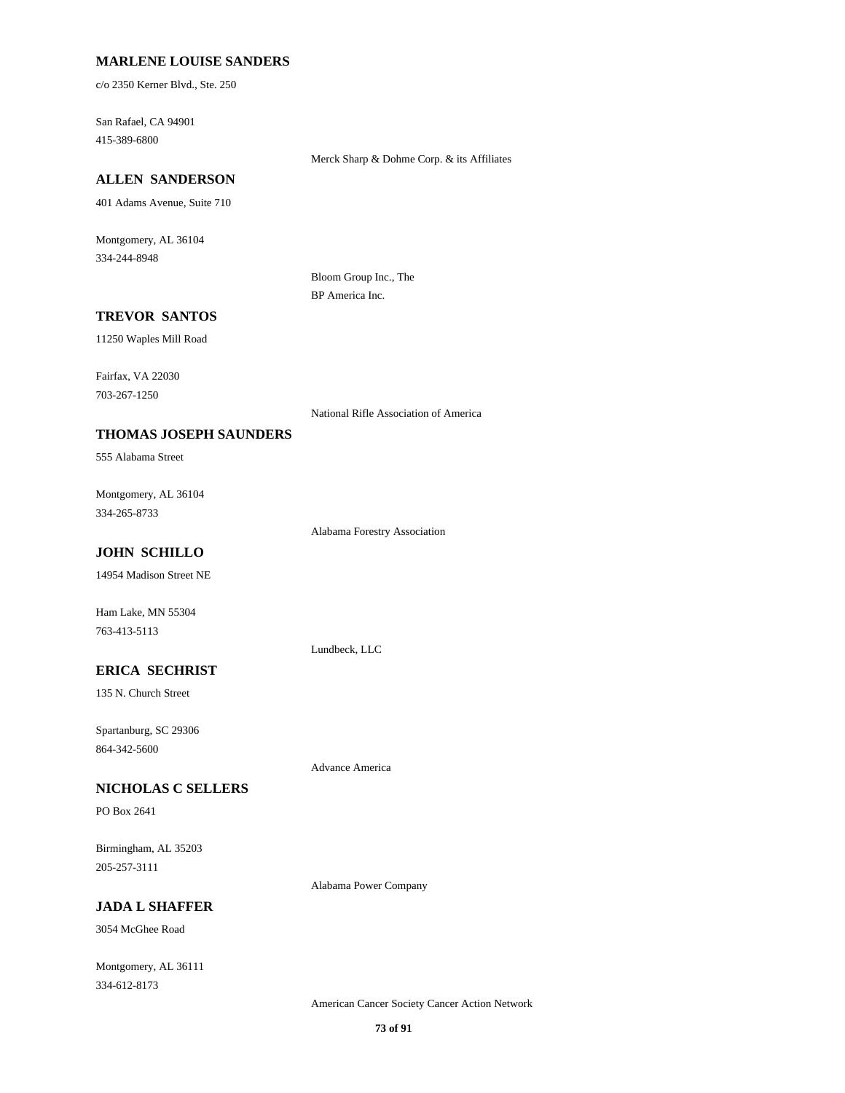#### **MARLENE LOUISE SANDERS**

c/o 2350 Kerner Blvd., Ste. 250

415-389-6800 San Rafael, CA 94901

#### Merck Sharp & Dohme Corp. & its Affiliates

## **ALLEN SANDERSON**

401 Adams Avenue, Suite 710

334-244-8948 Montgomery, AL 36104

> Bloom Group Inc., The BP America Inc.

### **TREVOR SANTOS**

11250 Waples Mill Road

703-267-1250 Fairfax, VA 22030

National Rifle Association of America

### **THOMAS JOSEPH SAUNDERS**

555 Alabama Street

334-265-8733 Montgomery, AL 36104

Alabama Forestry Association

## **JOHN SCHILLO**

14954 Madison Street NE

Ham Lake, MN 55304 763-413-5113

Lundbeck, LLC

## **ERICA SECHRIST**

135 N. Church Street

864-342-5600 Spartanburg, SC 29306

Advance America

### **NICHOLAS C SELLERS**

PO Box 2641

205-257-3111 Birmingham, AL 35203

Alabama Power Company

#### **JADA L SHAFFER**

3054 McGhee Road

334-612-8173 Montgomery, AL 36111

American Cancer Society Cancer Action Network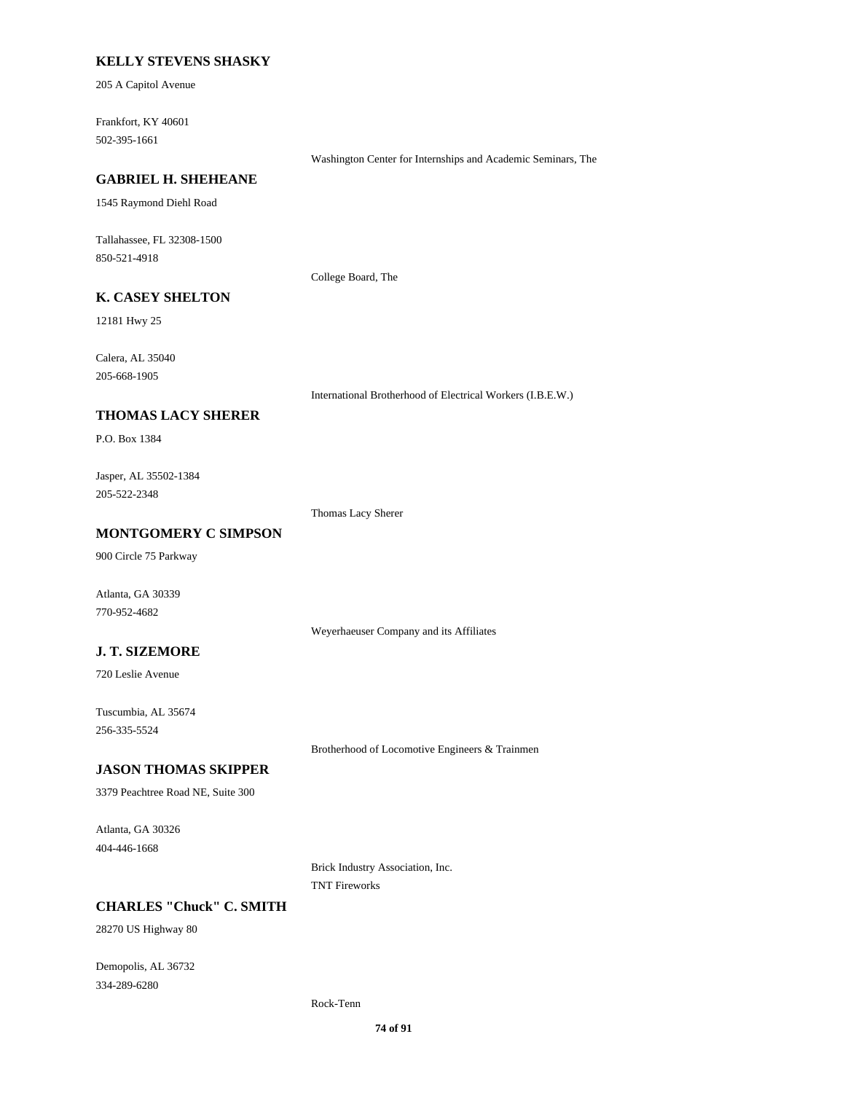### **KELLY STEVENS SHASKY**

205 A Capitol Avenue

502-395-1661 Frankfort, KY 40601

Washington Center for Internships and Academic Seminars, The

#### **GABRIEL H. SHEHEANE**

1545 Raymond Diehl Road

850-521-4918 Tallahassee, FL 32308-1500

College Board, The

## **K. CASEY SHELTON**

12181 Hwy 25

205-668-1905 Calera, AL 35040

International Brotherhood of Electrical Workers (I.B.E.W.)

#### **THOMAS LACY SHERER**

P.O. Box 1384

205-522-2348 Jasper, AL 35502-1384

Thomas Lacy Sherer

### **MONTGOMERY C SIMPSON**

900 Circle 75 Parkway

770-952-4682 Atlanta, GA 30339

Weyerhaeuser Company and its Affiliates

### **J. T. SIZEMORE**

720 Leslie Avenue

256-335-5524 Tuscumbia, AL 35674

Brotherhood of Locomotive Engineers & Trainmen

#### **JASON THOMAS SKIPPER**

3379 Peachtree Road NE, Suite 300

404-446-1668 Atlanta, GA 30326

> Brick Industry Association, Inc. TNT Fireworks

### **CHARLES "Chuck" C. SMITH**

28270 US Highway 80

334-289-6280 Demopolis, AL 36732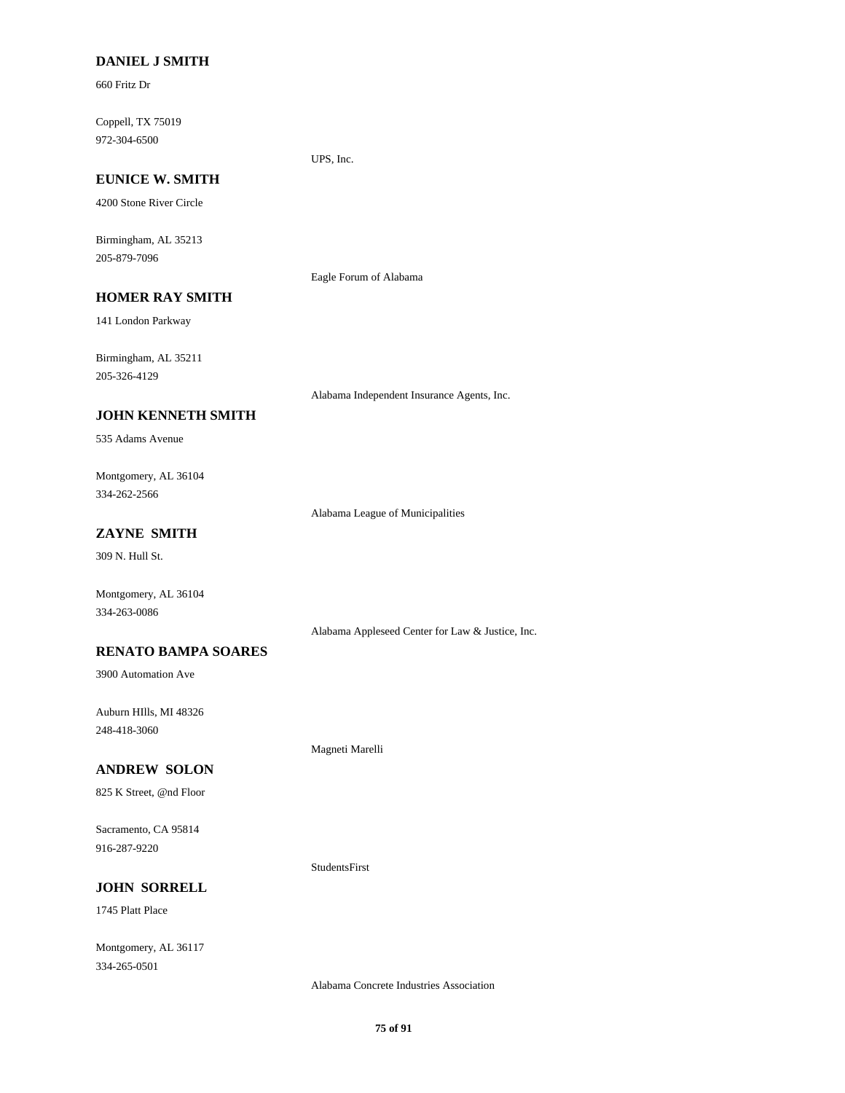#### **DANIEL J SMITH**

660 Fritz Dr

972-304-6500 Coppell, TX 75019

#### **EUNICE W. SMITH**

4200 Stone River Circle

205-879-7096 Birmingham, AL 35213

Eagle Forum of Alabama

UPS, Inc.

## **HOMER RAY SMITH**

141 London Parkway

205-326-4129 Birmingham, AL 35211

Alabama Independent Insurance Agents, Inc.

### **JOHN KENNETH SMITH**

535 Adams Avenue

334-262-2566 Montgomery, AL 36104

Alabama League of Municipalities

### **ZAYNE SMITH**

309 N. Hull St.

Montgomery, AL 36104 334-263-0086

Alabama Appleseed Center for Law & Justice, Inc.

#### **RENATO BAMPA SOARES**

3900 Automation Ave

248-418-3060 Auburn HIlls, MI 48326

Magneti Marelli

StudentsFirst

### **ANDREW SOLON**

825 K Street, @nd Floor

916-287-9220 Sacramento, CA 95814

**JOHN SORRELL**

1745 Platt Place

334-265-0501 Montgomery, AL 36117

Alabama Concrete Industries Association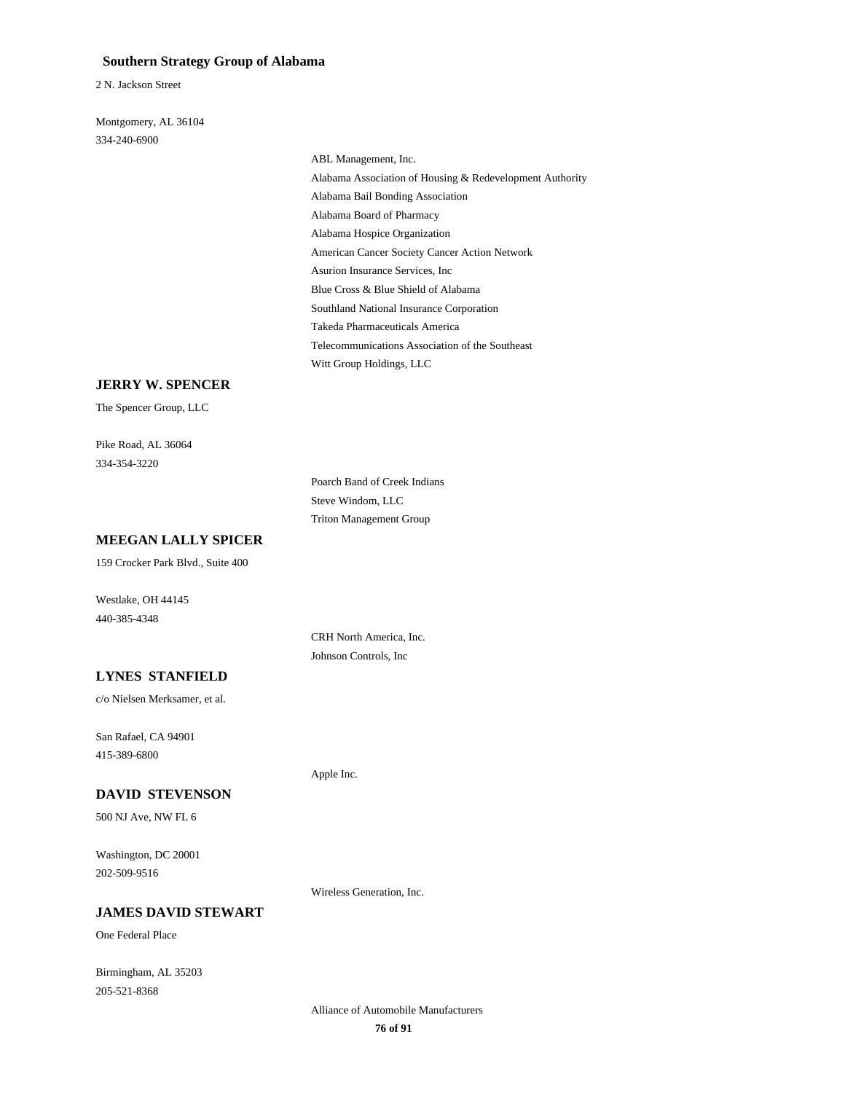#### **Southern Strategy Group of Alabama**

2 N. Jackson Street

334-240-6900 Montgomery, AL 36104

> Alabama Board of Pharmacy Alabama Hospice Organization American Cancer Society Cancer Action Network ABL Management, Inc. Alabama Association of Housing & Redevelopment Authority Alabama Bail Bonding Association Takeda Pharmaceuticals America Telecommunications Association of the Southeast Witt Group Holdings, LLC Asurion Insurance Services, Inc Blue Cross & Blue Shield of Alabama Southland National Insurance Corporation

### **JERRY W. SPENCER**

The Spencer Group, LLC

334-354-3220 Pike Road, AL 36064

> Poarch Band of Creek Indians Steve Windom, LLC Triton Management Group

#### **MEEGAN LALLY SPICER**

159 Crocker Park Blvd., Suite 400

440-385-4348 Westlake, OH 44145

> CRH North America, Inc. Johnson Controls, Inc

#### **LYNES STANFIELD**

c/o Nielsen Merksamer, et al.

415-389-6800 San Rafael, CA 94901

#### **DAVID STEVENSON**

500 NJ Ave, NW FL 6

202-509-9516 Washington, DC 20001

#### **JAMES DAVID STEWART**

One Federal Place

205-521-8368 Birmingham, AL 35203 Apple Inc.

Wireless Generation, Inc.

**76 of 91** Alliance of Automobile Manufacturers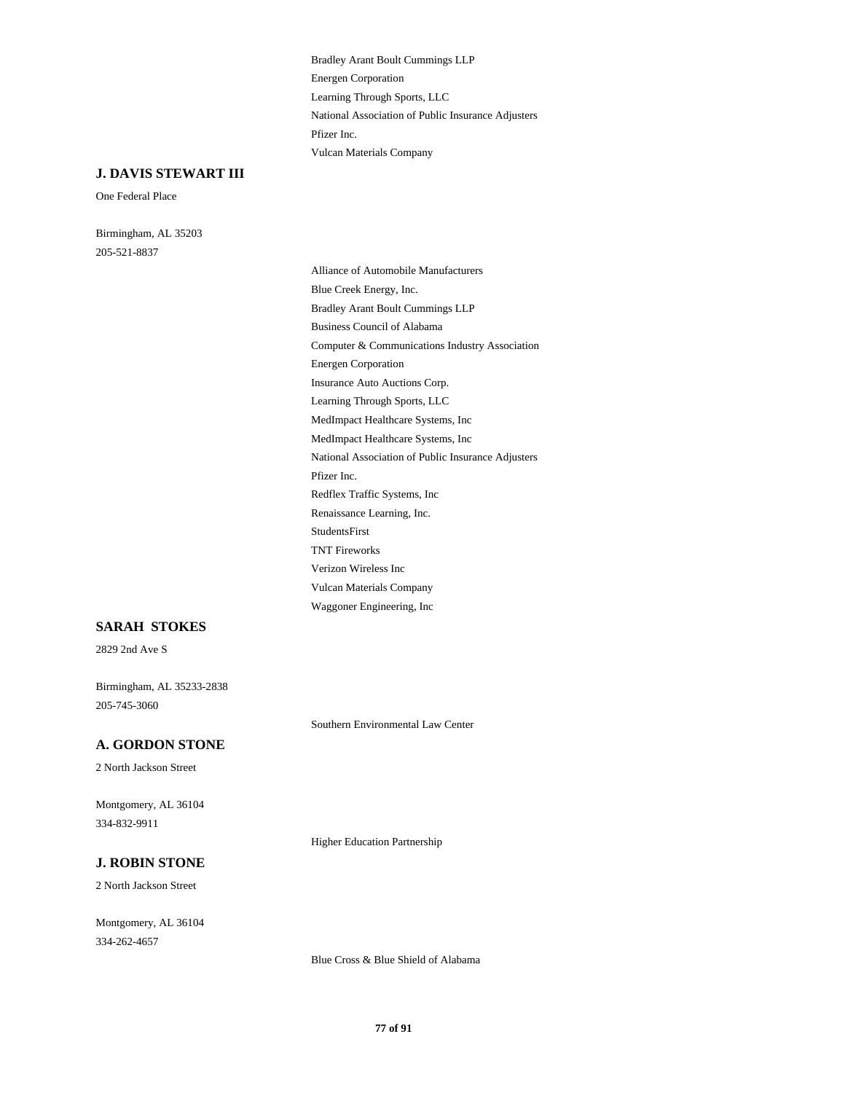Learning Through Sports, LLC Energen Corporation Bradley Arant Boult Cummings LLP Vulcan Materials Company Pfizer Inc. National Association of Public Insurance Adjusters

## **J. DAVIS STEWART III**

One Federal Place

205-521-8837 Birmingham, AL 35203

Verizon Wireless Inc Vulcan Materials Company Waggoner Engineering, Inc Energen Corporation Computer & Communications Industry Association Learning Through Sports, LLC Insurance Auto Auctions Corp. Blue Creek Energy, Inc. Alliance of Automobile Manufacturers Business Council of Alabama Bradley Arant Boult Cummings LLP Renaissance Learning, Inc. Redflex Traffic Systems, Inc TNT Fireworks StudentsFirst MedImpact Healthcare Systems, Inc MedImpact Healthcare Systems, Inc Pfizer Inc. National Association of Public Insurance Adjusters

### **SARAH STOKES**

2829 2nd Ave S

205-745-3060 Birmingham, AL 35233-2838

### **A. GORDON STONE**

2 North Jackson Street

334-832-9911 Montgomery, AL 36104

Higher Education Partnership

Southern Environmental Law Center

## **J. ROBIN STONE**

2 North Jackson Street

334-262-4657 Montgomery, AL 36104

Blue Cross & Blue Shield of Alabama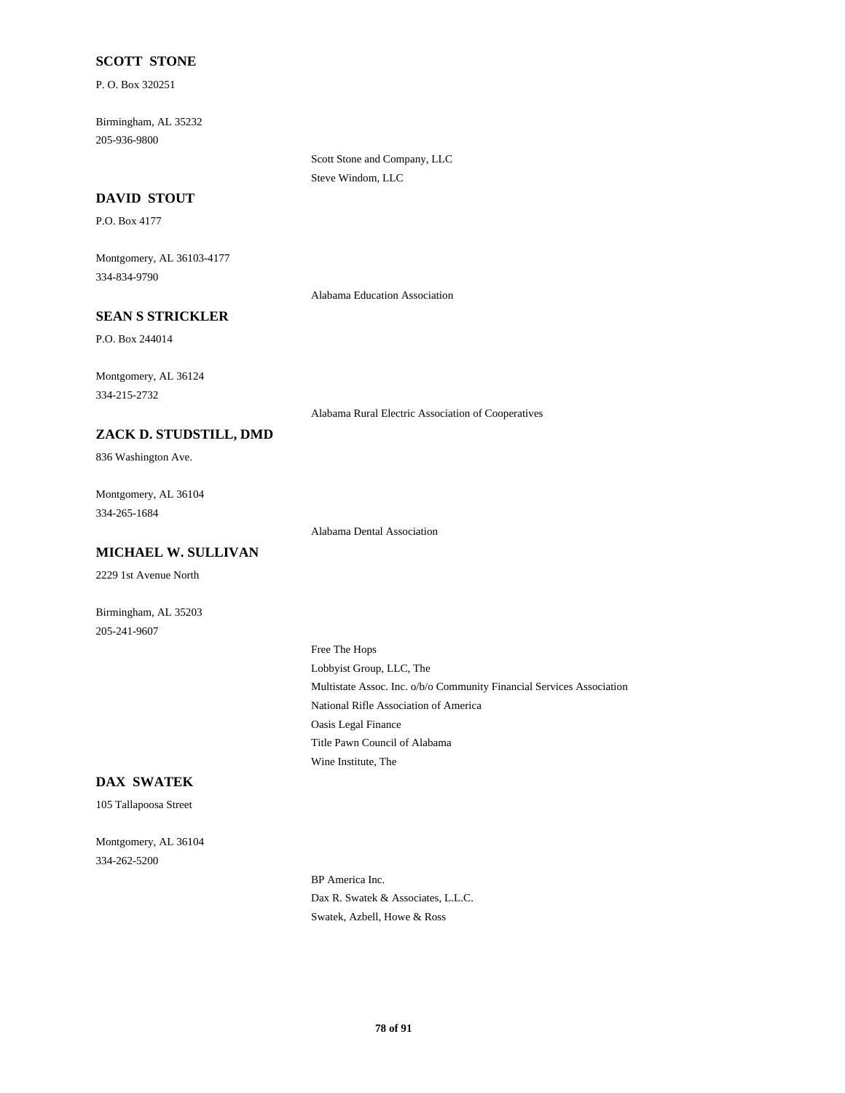### **SCOTT STONE**

P. O. Box 320251

205-936-9800 Birmingham, AL 35232

> Scott Stone and Company, LLC Steve Windom, LLC

#### **DAVID STOUT**

P.O. Box 4177

334-834-9790 Montgomery, AL 36103-4177

Alabama Education Association

#### **SEAN S STRICKLER**

P.O. Box 244014

334-215-2732 Montgomery, AL 36124

Alabama Rural Electric Association of Cooperatives

# **ZACK D. STUDSTILL, DMD**

836 Washington Ave.

334-265-1684 Montgomery, AL 36104

Alabama Dental Association

**MICHAEL W. SULLIVAN**

2229 1st Avenue North

205-241-9607 Birmingham, AL 35203

> Multistate Assoc. Inc. o/b/o Community Financial Services Association Lobbyist Group, LLC, The Free The Hops National Rifle Association of America Wine Institute, The Title Pawn Council of Alabama Oasis Legal Finance

### **DAX SWATEK**

105 Tallapoosa Street

334-262-5200 Montgomery, AL 36104

> BP America Inc. Dax R. Swatek & Associates, L.L.C. Swatek, Azbell, Howe & Ross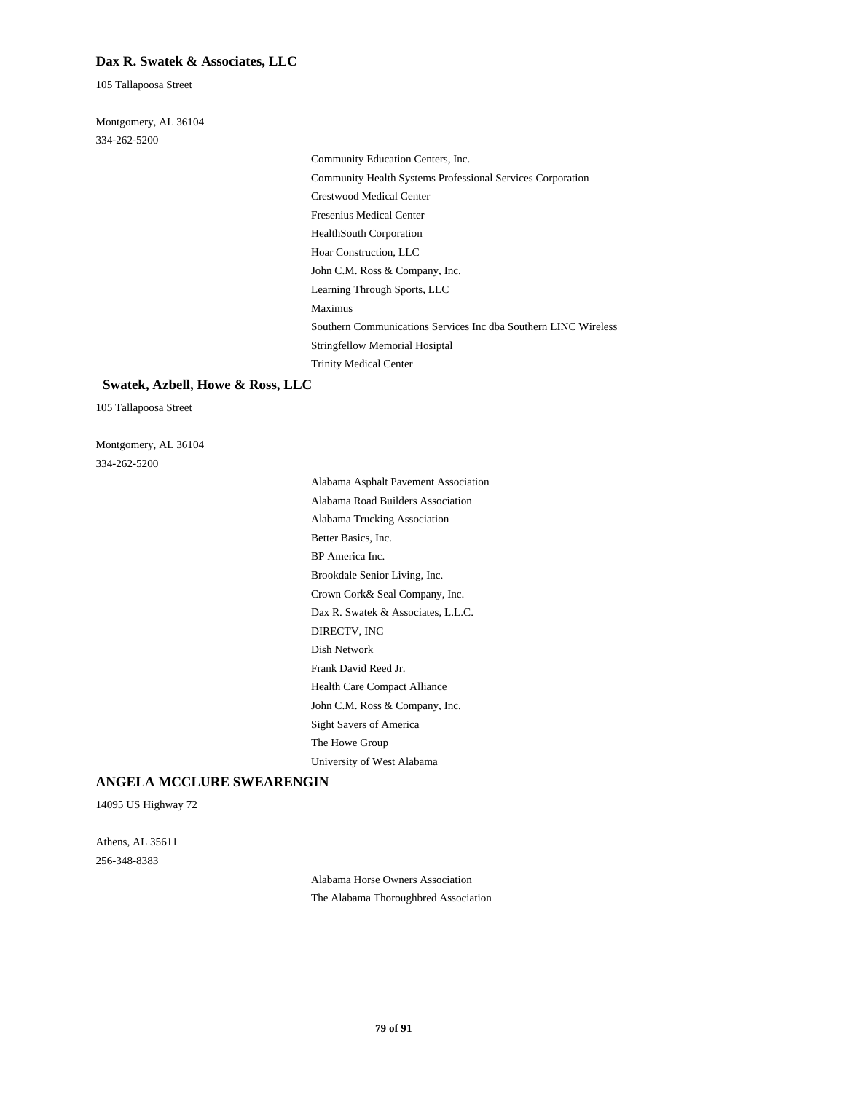#### **Dax R. Swatek & Associates, LLC**

105 Tallapoosa Street

334-262-5200 Montgomery, AL 36104

Fresenius Medical Center HealthSouth Corporation Hoar Construction, LLC Community Education Centers, Inc. Community Health Systems Professional Services Corporation Crestwood Medical Center Southern Communications Services Inc dba Southern LINC Wireless Stringfellow Memorial Hosiptal Trinity Medical Center John C.M. Ross & Company, Inc. Learning Through Sports, LLC Maximus

#### **Swatek, Azbell, Howe & Ross, LLC**

105 Tallapoosa Street

334-262-5200 Montgomery, AL 36104

> Dax R. Swatek & Associates, L.L.C. DIRECTV, INC Dish Network BP America Inc. Brookdale Senior Living, Inc. Crown Cork& Seal Company, Inc. Sight Savers of America The Howe Group University of West Alabama Frank David Reed Jr. Health Care Compact Alliance John C.M. Ross & Company, Inc. Alabama Road Builders Association Alabama Asphalt Pavement Association Better Basics, Inc. Alabama Trucking Association

#### **ANGELA MCCLURE SWEARENGIN**

14095 US Highway 72

256-348-8383 Athens, AL 35611

> Alabama Horse Owners Association The Alabama Thoroughbred Association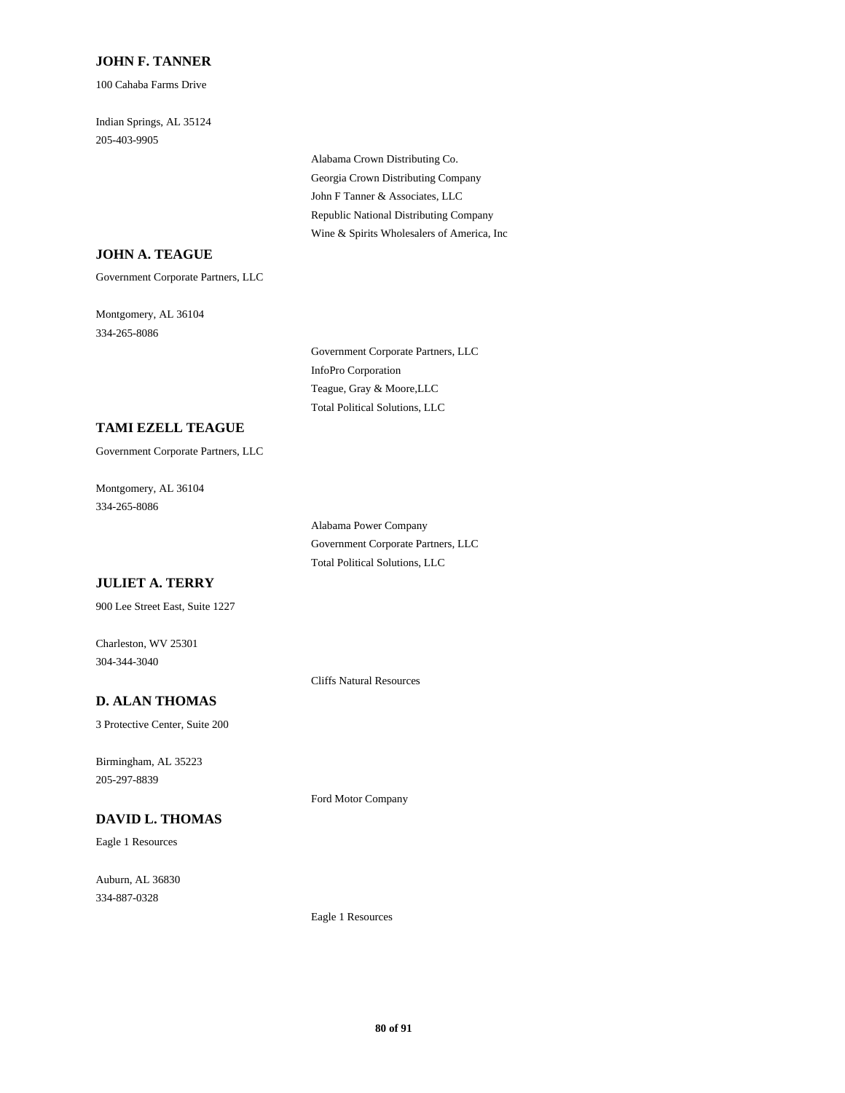#### **JOHN F. TANNER**

100 Cahaba Farms Drive

205-403-9905 Indian Springs, AL 35124

> Georgia Crown Distributing Company Alabama Crown Distributing Co. John F Tanner & Associates, LLC Wine & Spirits Wholesalers of America, Inc Republic National Distributing Company

## **JOHN A. TEAGUE**

Government Corporate Partners, LLC

334-265-8086 Montgomery, AL 36104

> InfoPro Corporation Government Corporate Partners, LLC Total Political Solutions, LLC Teague, Gray & Moore,LLC

### **TAMI EZELL TEAGUE**

Government Corporate Partners, LLC

334-265-8086 Montgomery, AL 36104

> Total Political Solutions, LLC Government Corporate Partners, LLC Alabama Power Company

### **JULIET A. TERRY**

900 Lee Street East, Suite 1227

304-344-3040 Charleston, WV 25301

Cliffs Natural Resources

## **D. ALAN THOMAS**

3 Protective Center, Suite 200

205-297-8839 Birmingham, AL 35223

### **DAVID L. THOMAS**

Eagle 1 Resources

334-887-0328 Auburn, AL 36830 Ford Motor Company

Eagle 1 Resources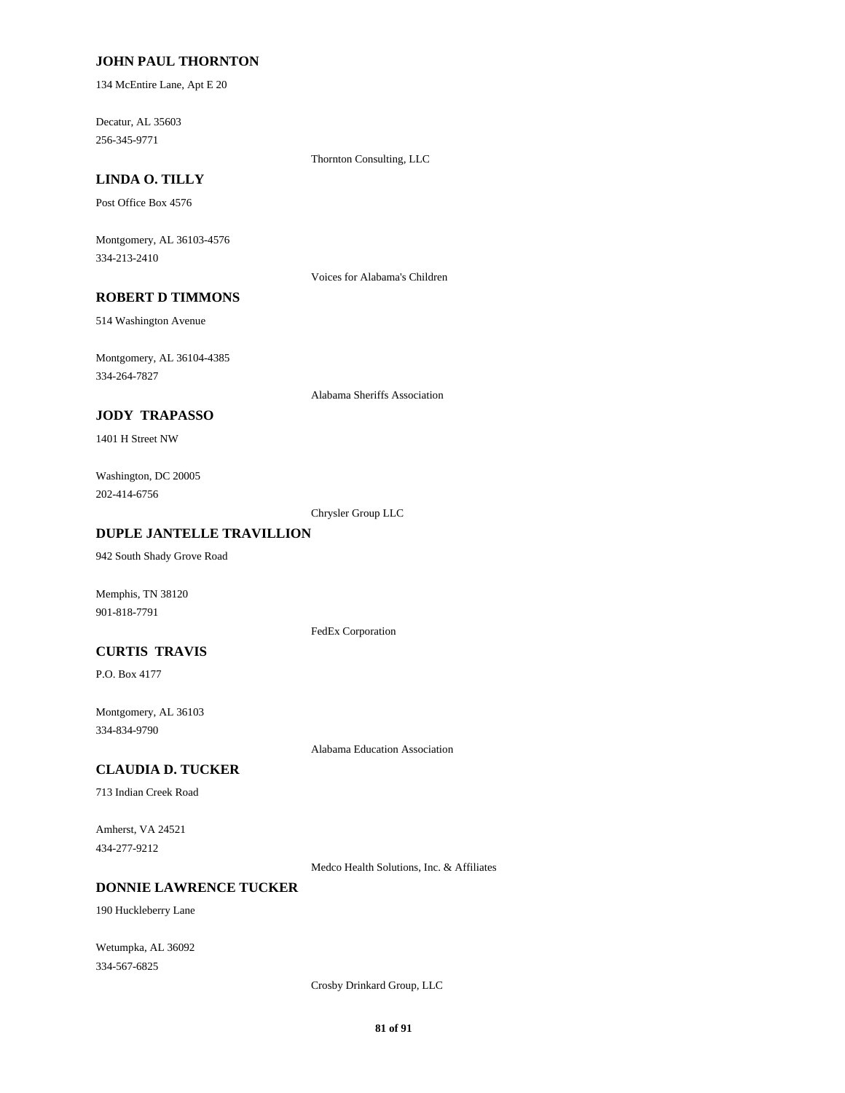#### **JOHN PAUL THORNTON**

134 McEntire Lane, Apt E 20

256-345-9771 Decatur, AL 35603

Thornton Consulting, LLC

## **LINDA O. TILLY**

Post Office Box 4576

334-213-2410 Montgomery, AL 36103-4576

Voices for Alabama's Children

## **ROBERT D TIMMONS**

514 Washington Avenue

334-264-7827 Montgomery, AL 36104-4385

Alabama Sheriffs Association

### **JODY TRAPASSO**

1401 H Street NW

202-414-6756 Washington, DC 20005

Chrysler Group LLC

#### **DUPLE JANTELLE TRAVILLION**

942 South Shady Grove Road

Memphis, TN 38120 901-818-7791

FedEx Corporation

### **CURTIS TRAVIS**

P.O. Box 4177

334-834-9790 Montgomery, AL 36103

Alabama Education Association

#### **CLAUDIA D. TUCKER**

713 Indian Creek Road

434-277-9212 Amherst, VA 24521

Medco Health Solutions, Inc. & Affiliates

## **DONNIE LAWRENCE TUCKER**

190 Huckleberry Lane

334-567-6825 Wetumpka, AL 36092

Crosby Drinkard Group, LLC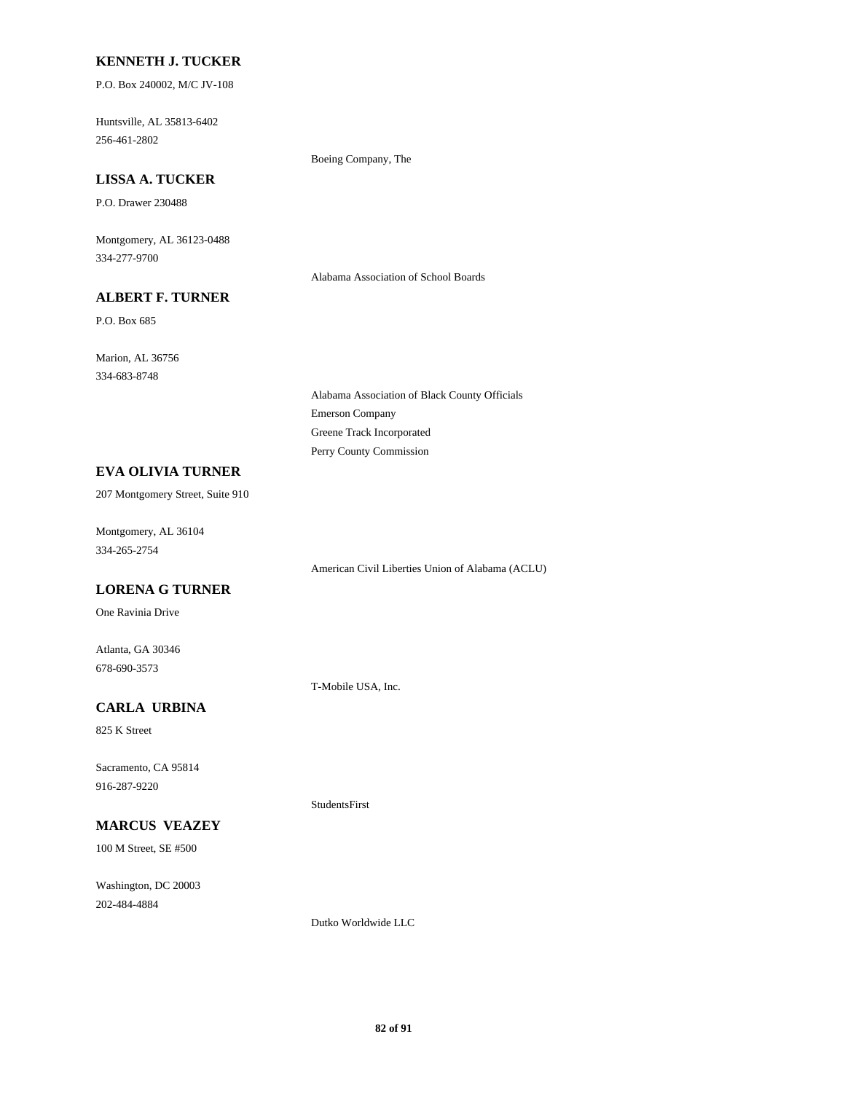#### **KENNETH J. TUCKER**

P.O. Box 240002, M/C JV-108

256-461-2802 Huntsville, AL 35813-6402

Boeing Company, The

## **LISSA A. TUCKER**

P.O. Drawer 230488

334-277-9700 Montgomery, AL 36123-0488

Alabama Association of School Boards

## **ALBERT F. TURNER**

P.O. Box 685

334-683-8748 Marion, AL 36756

> Emerson Company Alabama Association of Black County Officials Perry County Commission Greene Track Incorporated

### **EVA OLIVIA TURNER**

207 Montgomery Street, Suite 910

334-265-2754 Montgomery, AL 36104

American Civil Liberties Union of Alabama (ACLU)

## **LORENA G TURNER**

One Ravinia Drive

678-690-3573 Atlanta, GA 30346

T-Mobile USA, Inc.

StudentsFirst

## **CARLA URBINA**

825 K Street

916-287-9220 Sacramento, CA 95814

## **MARCUS VEAZEY**

100 M Street, SE #500

202-484-4884 Washington, DC 20003

Dutko Worldwide LLC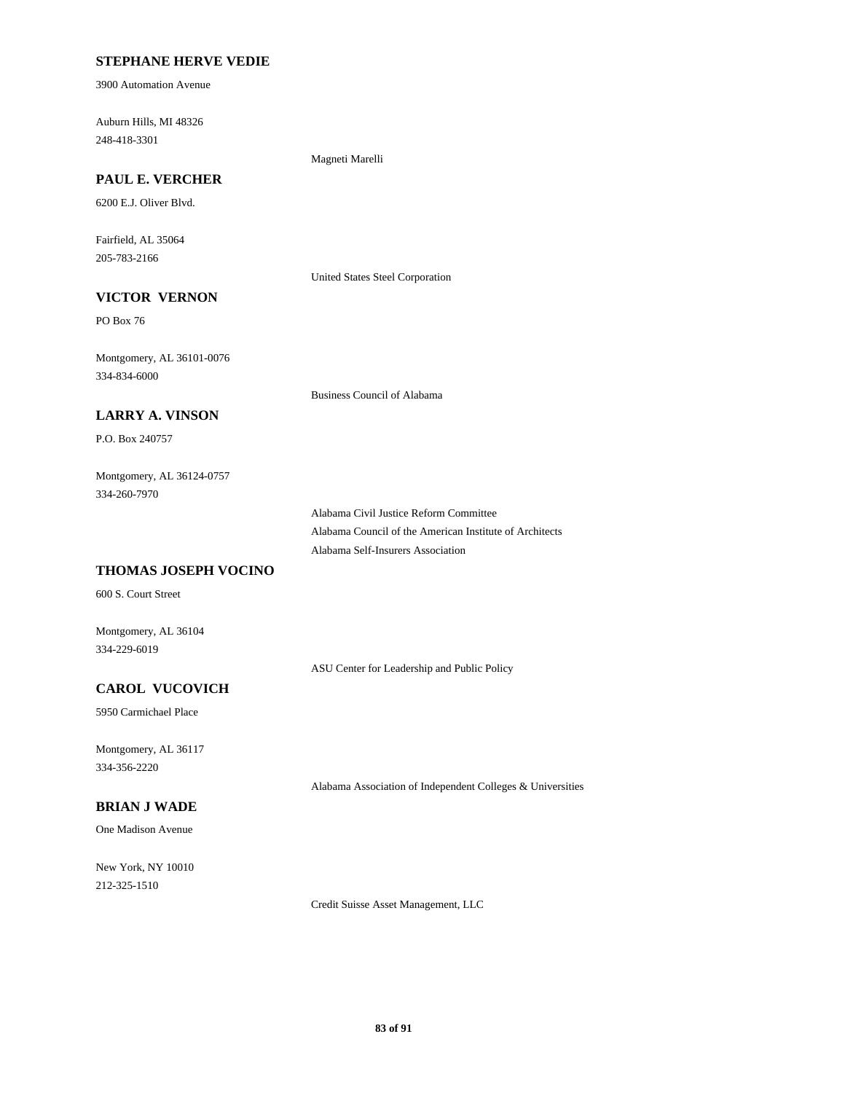### **STEPHANE HERVE VEDIE**

3900 Automation Avenue

248-418-3301 Auburn Hills, MI 48326

#### Magneti Marelli

## **PAUL E. VERCHER**

6200 E.J. Oliver Blvd.

205-783-2166 Fairfield, AL 35064

United States Steel Corporation

## **VICTOR VERNON**

PO Box 76

334-834-6000 Montgomery, AL 36101-0076

Business Council of Alabama

### **LARRY A. VINSON**

P.O. Box 240757

#### 334-260-7970 Montgomery, AL 36124-0757

Alabama Civil Justice Reform Committee Alabama Council of the American Institute of Architects Alabama Self-Insurers Association

### **THOMAS JOSEPH VOCINO**

600 S. Court Street

Montgomery, AL 36104 334-229-6019

ASU Center for Leadership and Public Policy

## **CAROL VUCOVICH**

5950 Carmichael Place

334-356-2220 Montgomery, AL 36117

Alabama Association of Independent Colleges & Universities

## **BRIAN J WADE**

One Madison Avenue

212-325-1510 New York, NY 10010

Credit Suisse Asset Management, LLC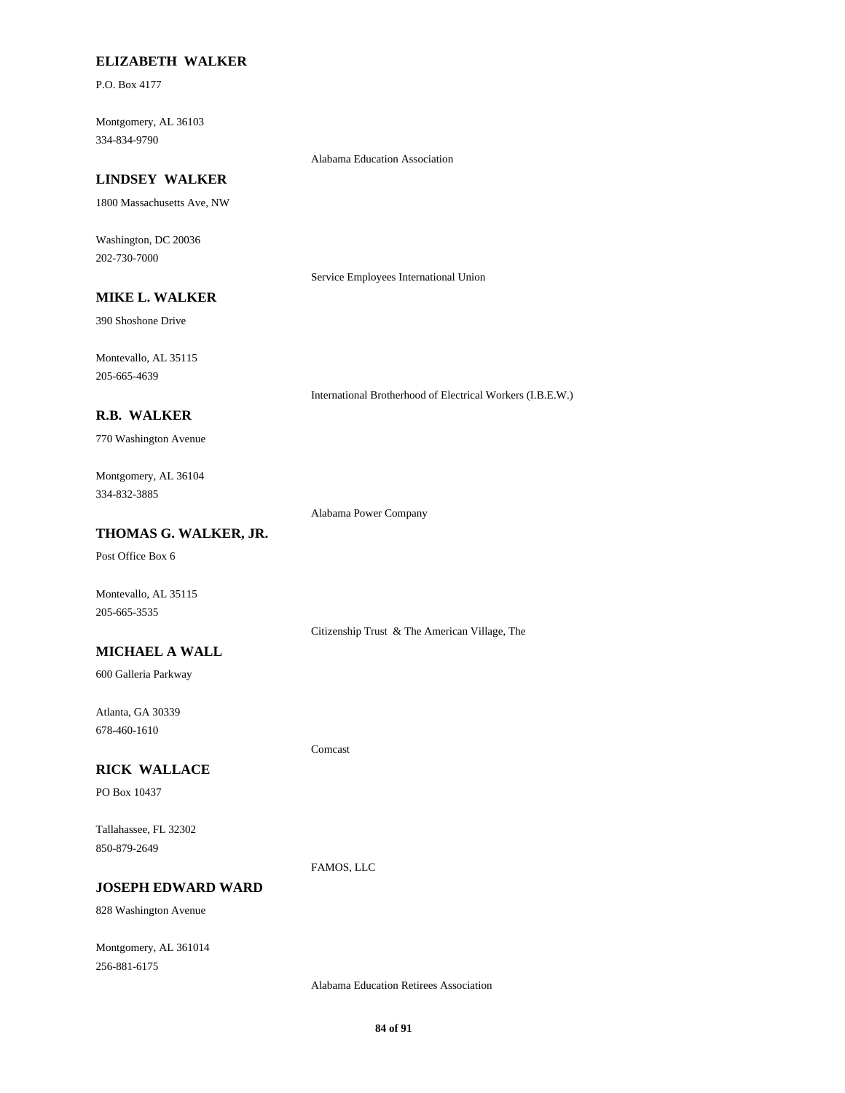### **ELIZABETH WALKER**

P.O. Box 4177

334-834-9790 Montgomery, AL 36103

#### Alabama Education Association

### **LINDSEY WALKER**

1800 Massachusetts Ave, NW

202-730-7000 Washington, DC 20036

Service Employees International Union

## **MIKE L. WALKER**

390 Shoshone Drive

205-665-4639 Montevallo, AL 35115

International Brotherhood of Electrical Workers (I.B.E.W.)

#### **R.B. WALKER**

770 Washington Avenue

### 334-832-3885 Montgomery, AL 36104

Alabama Power Company

#### **THOMAS G. WALKER, JR.**

Post Office Box 6

Montevallo, AL 35115 205-665-3535

Citizenship Trust & The American Village, The

#### **MICHAEL A WALL**

600 Galleria Parkway

678-460-1610 Atlanta, GA 30339

#### **RICK WALLACE**

PO Box 10437

850-879-2649 Tallahassee, FL 32302

FAMOS, LLC

Comcast

## **JOSEPH EDWARD WARD**

828 Washington Avenue

256-881-6175 Montgomery, AL 361014

Alabama Education Retirees Association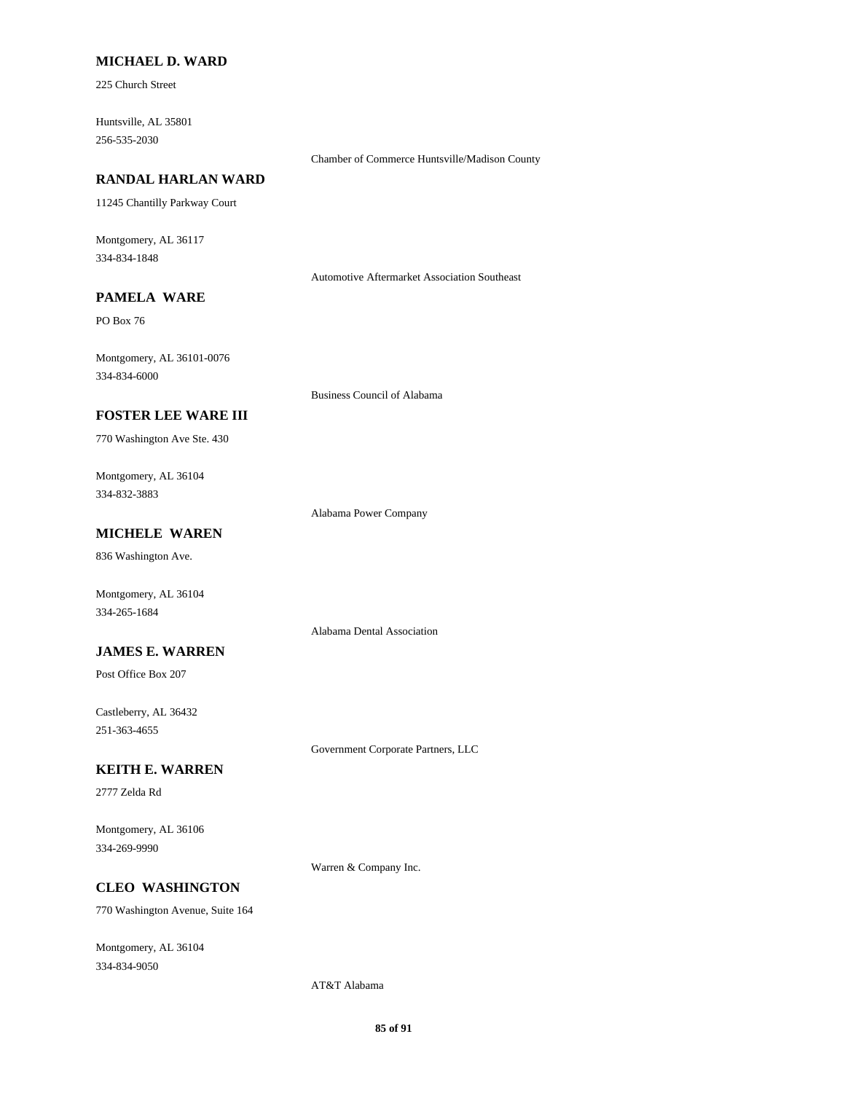#### **MICHAEL D. WARD**

225 Church Street

256-535-2030 Huntsville, AL 35801

### **RANDAL HARLAN WARD**

11245 Chantilly Parkway Court

334-834-1848 Montgomery, AL 36117

Automotive Aftermarket Association Southeast

Chamber of Commerce Huntsville/Madison County

## **PAMELA WARE**

PO Box 76

334-834-6000 Montgomery, AL 36101-0076

Business Council of Alabama

### **FOSTER LEE WARE III**

770 Washington Ave Ste. 430

334-832-3883 Montgomery, AL 36104

Alabama Power Company

Alabama Dental Association

## **MICHELE WAREN**

836 Washington Ave.

Montgomery, AL 36104 334-265-1684

### **JAMES E. WARREN**

Post Office Box 207

251-363-4655 Castleberry, AL 36432

Government Corporate Partners, LLC

#### **KEITH E. WARREN**

2777 Zelda Rd

334-269-9990 Montgomery, AL 36106

Warren & Company Inc.

## **CLEO WASHINGTON**

770 Washington Avenue, Suite 164

334-834-9050 Montgomery, AL 36104

AT&T Alabama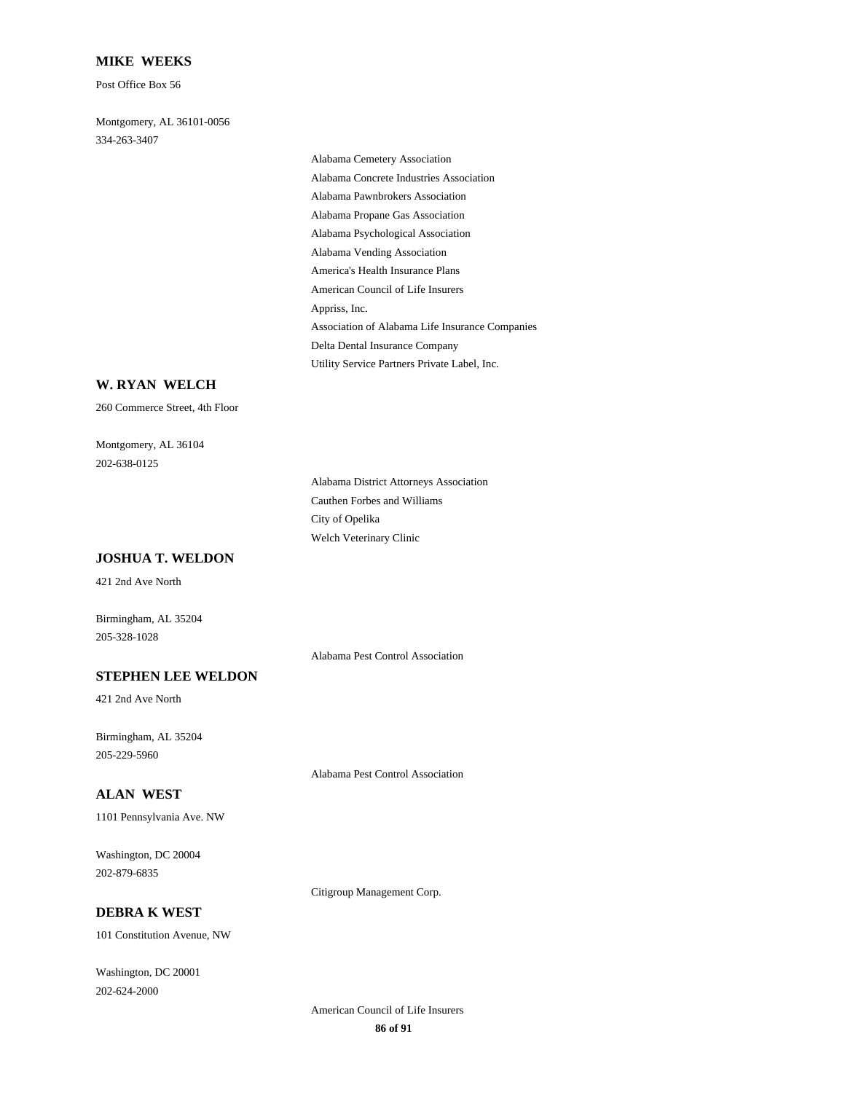#### **MIKE WEEKS**

Post Office Box 56

334-263-3407 Montgomery, AL 36101-0056

> Alabama Propane Gas Association Alabama Psychological Association Alabama Vending Association Alabama Cemetery Association Alabama Concrete Industries Association Alabama Pawnbrokers Association Association of Alabama Life Insurance Companies Delta Dental Insurance Company Utility Service Partners Private Label, Inc. America's Health Insurance Plans American Council of Life Insurers Appriss, Inc.

### **W. RYAN WELCH**

260 Commerce Street, 4th Floor

202-638-0125 Montgomery, AL 36104

**JOSHUA T. WELDON**

421 2nd Ave North

Birmingham, AL 35204 205-328-1028

Alabama Pest Control Association

Cauthen Forbes and Williams

Welch Veterinary Clinic City of Opelika

Alabama District Attorneys Association

### **STEPHEN LEE WELDON**

421 2nd Ave North

205-229-5960 Birmingham, AL 35204

Alabama Pest Control Association

### **ALAN WEST**

1101 Pennsylvania Ave. NW

202-879-6835 Washington, DC 20004

Citigroup Management Corp.

## **DEBRA K WEST**

101 Constitution Avenue, NW

202-624-2000 Washington, DC 20001

> **86 of 91** American Council of Life Insurers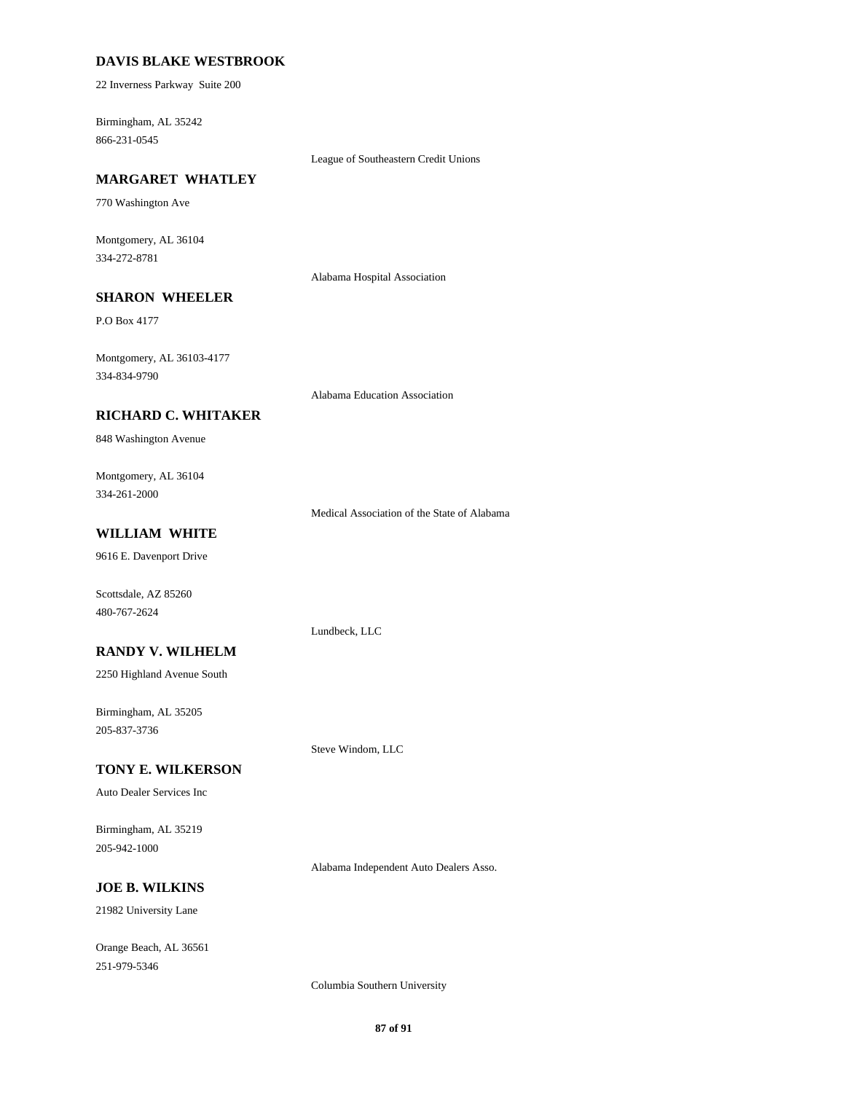#### **DAVIS BLAKE WESTBROOK**

22 Inverness Parkway Suite 200

866-231-0545 Birmingham, AL 35242

League of Southeastern Credit Unions

## **MARGARET WHATLEY**

770 Washington Ave

334-272-8781 Montgomery, AL 36104

Alabama Hospital Association

### **SHARON WHEELER**

P.O Box 4177

334-834-9790 Montgomery, AL 36103-4177

Alabama Education Association

#### **RICHARD C. WHITAKER**

848 Washington Avenue

334-261-2000 Montgomery, AL 36104

Medical Association of the State of Alabama

## **WILLIAM WHITE**

9616 E. Davenport Drive

Scottsdale, AZ 85260 480-767-2624

Lundbeck, LLC

Steve Windom, LLC

### **RANDY V. WILHELM**

2250 Highland Avenue South

205-837-3736 Birmingham, AL 35205

#### **TONY E. WILKERSON**

Auto Dealer Services Inc

205-942-1000 Birmingham, AL 35219

Alabama Independent Auto Dealers Asso.

## **JOE B. WILKINS**

21982 University Lane

251-979-5346 Orange Beach, AL 36561

Columbia Southern University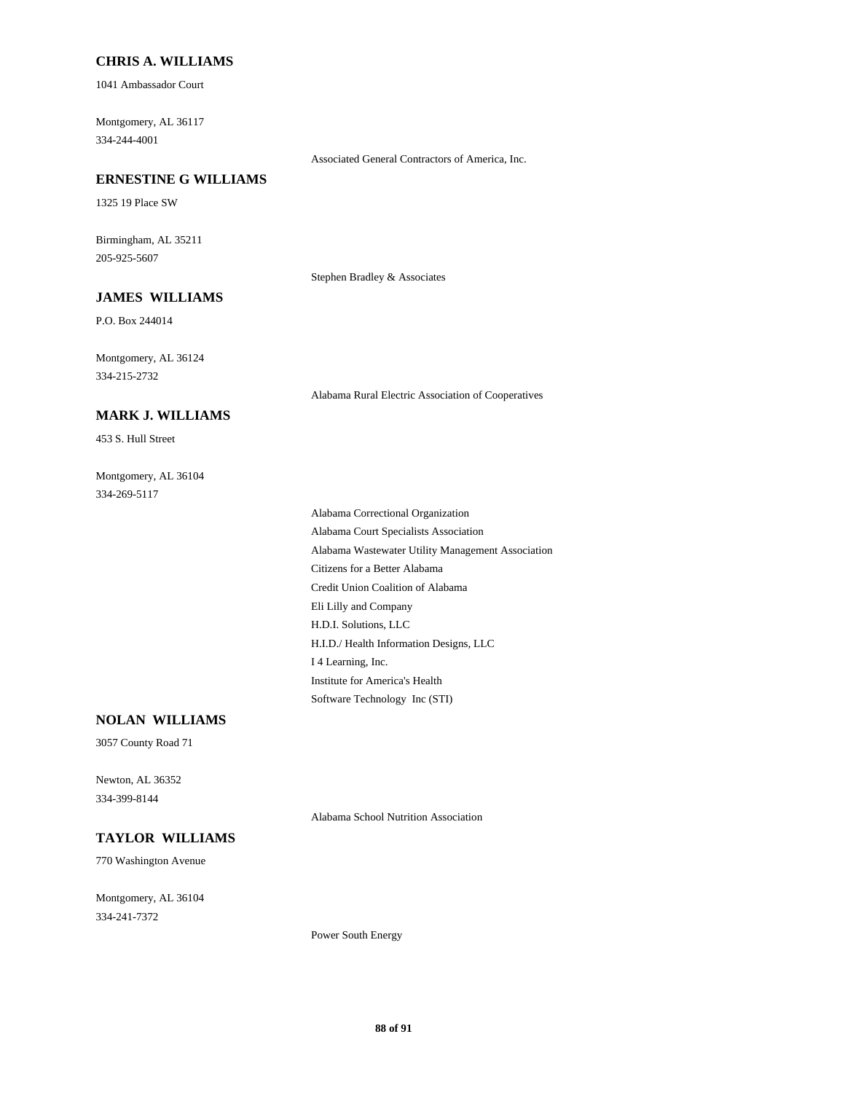#### **CHRIS A. WILLIAMS**

1041 Ambassador Court

334-244-4001 Montgomery, AL 36117

Associated General Contractors of America, Inc.

## **ERNESTINE G WILLIAMS**

1325 19 Place SW

205-925-5607 Birmingham, AL 35211

Stephen Bradley & Associates

## **JAMES WILLIAMS**

P.O. Box 244014

334-215-2732 Montgomery, AL 36124

Alabama Rural Electric Association of Cooperatives

## **MARK J. WILLIAMS**

453 S. Hull Street

334-269-5117 Montgomery, AL 36104

> Eli Lilly and Company H.D.I. Solutions, LLC Citizens for a Better Alabama Credit Union Coalition of Alabama Institute for America's Health Software Technology Inc (STI) H.I.D./ Health Information Designs, LLC I 4 Learning, Inc. Alabama Correctional Organization Alabama Court Specialists Association Alabama Wastewater Utility Management Association

## **NOLAN WILLIAMS**

3057 County Road 71

334-399-8144 Newton, AL 36352

Alabama School Nutrition Association

#### **TAYLOR WILLIAMS**

770 Washington Avenue

334-241-7372 Montgomery, AL 36104

Power South Energy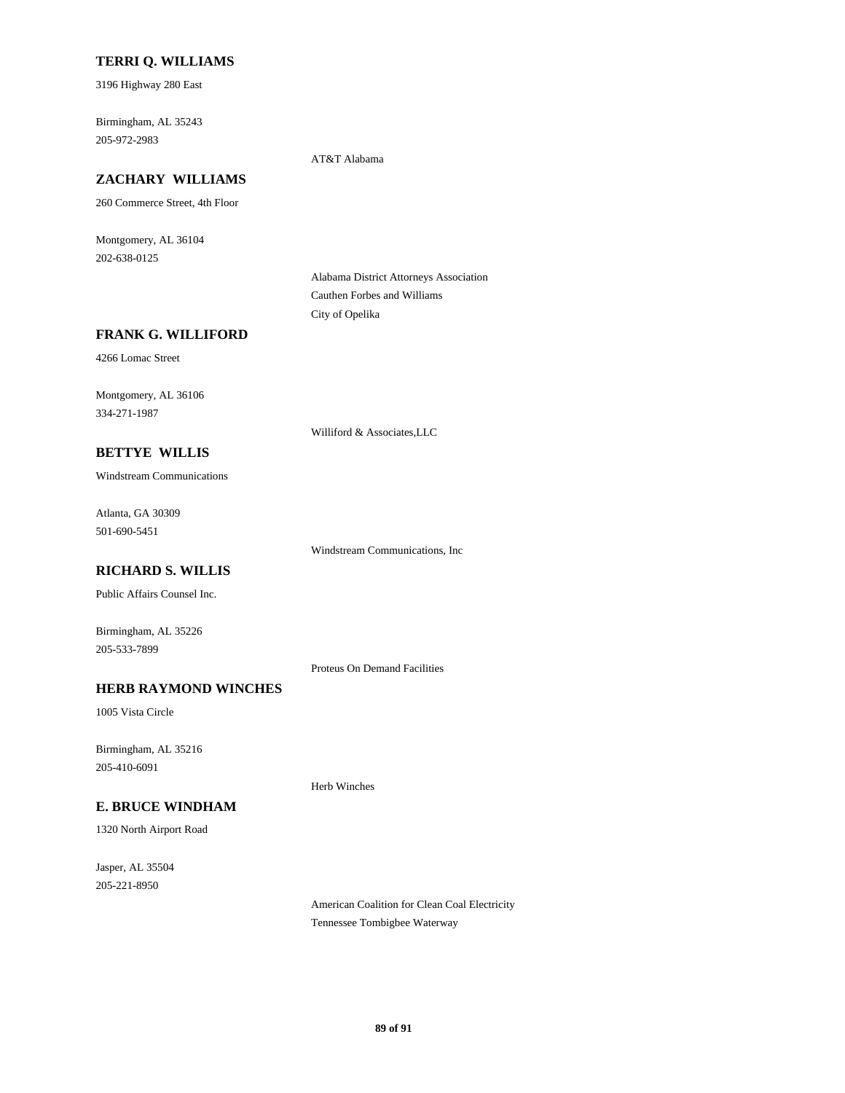#### **TERRI Q. WILLIAMS**

3196 Highway 280 East

205-972-2983 Birmingham, AL 35243

#### AT&T Alabama

## **ZACHARY WILLIAMS**

260 Commerce Street, 4th Floor

202-638-0125 Montgomery, AL 36104

> Alabama District Attorneys Association Cauthen Forbes and Williams City of Opelika

#### **FRANK G. WILLIFORD**

4266 Lomac Street

334-271-1987 Montgomery, AL 36106

**BETTYE WILLIS**

# Williford & Associates,LLC

Windstream Communications

501-690-5451 Atlanta, GA 30309

Windstream Communications, Inc

## **RICHARD S. WILLIS**

Public Affairs Counsel Inc.

205-533-7899 Birmingham, AL 35226

Proteus On Demand Facilities

Herb Winches

### **HERB RAYMOND WINCHES**

1005 Vista Circle

205-410-6091 Birmingham, AL 35216

## **E. BRUCE WINDHAM**

1320 North Airport Road

205-221-8950 Jasper, AL 35504

> American Coalition for Clean Coal Electricity Tennessee Tombigbee Waterway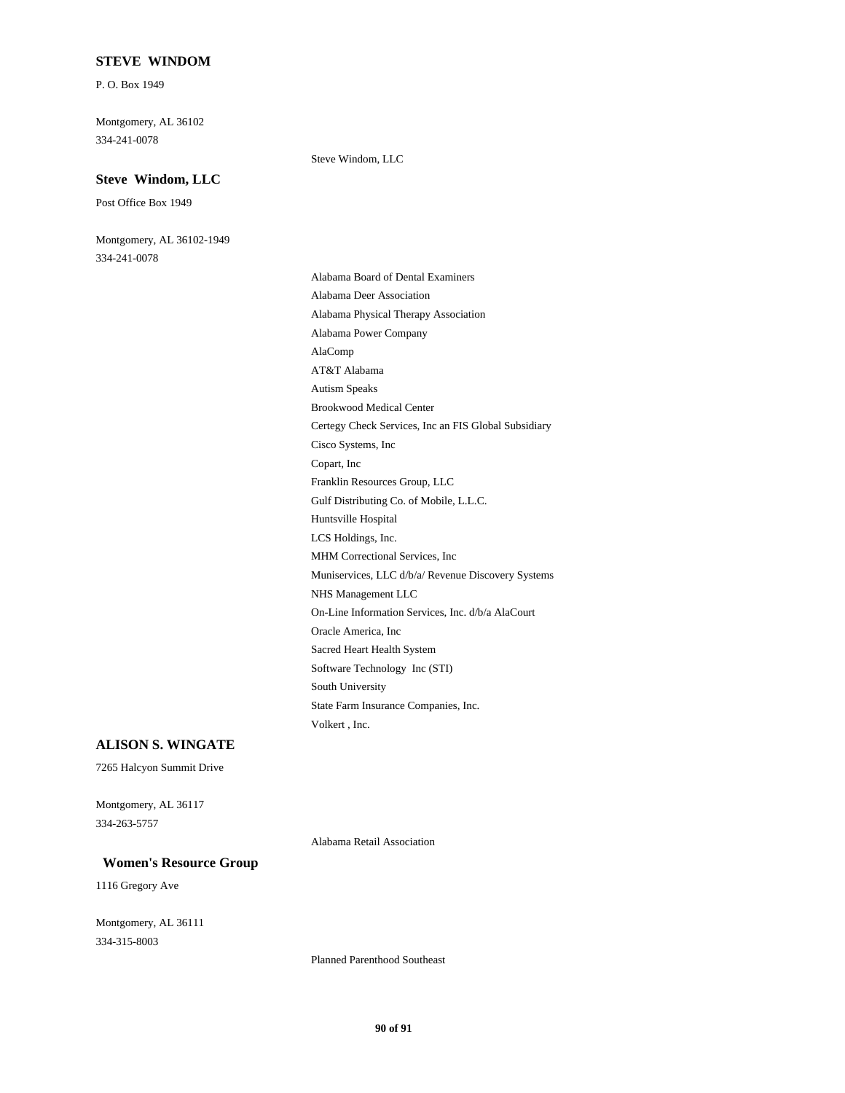#### **STEVE WINDOM**

P. O. Box 1949

334-241-0078 Montgomery, AL 36102

#### **Steve Windom, LLC**

Post Office Box 1949

334-241-0078 Montgomery, AL 36102-1949 Steve Windom, LLC

On-Line Information Services, Inc. d/b/a AlaCourt Oracle America, Inc Muniservices, LLC d/b/a/ Revenue Discovery Systems NHS Management LLC Sacred Heart Health System State Farm Insurance Companies, Inc. Volkert , Inc. Software Technology Inc (STI) South University AT&T Alabama AlaComp Brookwood Medical Center Autism Speaks Alabama Deer Association Alabama Board of Dental Examiners Alabama Power Company Alabama Physical Therapy Association Huntsville Hospital Gulf Distributing Co. of Mobile, L.L.C. MHM Correctional Services, Inc LCS Holdings, Inc. Cisco Systems, Inc Certegy Check Services, Inc an FIS Global Subsidiary Franklin Resources Group, LLC Copart, Inc

### **ALISON S. WINGATE**

7265 Halcyon Summit Drive

334-263-5757 Montgomery, AL 36117

Alabama Retail Association

### **Women's Resource Group**

1116 Gregory Ave

334-315-8003 Montgomery, AL 36111

Planned Parenthood Southeast